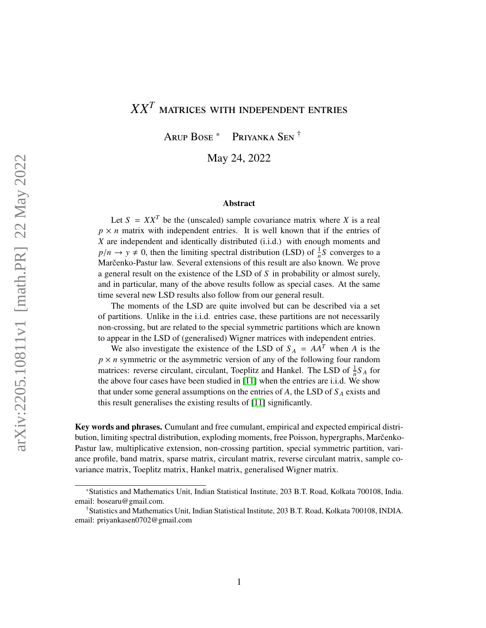# *XX<sup>T</sup>* matrices with independent entries

Arup Bose \* Priyanka Sen †

May 24, 2022

#### Abstract

Let  $S = XX^T$  be the (unscaled) sample covariance matrix where *X* is a real  $p \times n$  matrix with independent entries. It is well known that if the entries of *X* are independent and identically distributed (i.i.d.) with enough moments and  $p/n \rightarrow y \neq 0$ , then the limiting spectral distribution (LSD) of  $\frac{1}{n}S$  converges to a<br>Maršenko Pastur law, Several extensions of this result are also known. We prove Marčenko-Pastur law. Several extensions of this result are also known. We prove a general result on the existence of the LSD of *S* in probability or almost surely, and in particular, many of the above results follow as special cases. At the same time several new LSD results also follow from our general result.

The moments of the LSD are quite involved but can be described via a set of partitions. Unlike in the i.i.d. entries case, these partitions are not necessarily non-crossing, but are related to the special symmetric partitions which are known to appear in the LSD of (generalised) Wigner matrices with independent entries.

We also investigate the existence of the LSD of  $S_A = AA^T$  when *A* is the  $p \times n$  symmetric or the asymmetric version of any of the following four random matrices: reverse circulant, circulant, Toeplitz and Hankel. The LSD of  $\frac{1}{n}S_A$  for the above four cases have been studied in [\[11\]](#page-50-0) when the entries are i.i.d. We show that under some general assumptions on the entries of *A*, the LSD of *S <sup>A</sup>* exists and this result generalises the existing results of [\[11\]](#page-50-0) significantly.

Key words and phrases. Cumulant and free cumulant, empirical and expected empirical distribution, limiting spectral distribution, exploding moments, free Poisson, hypergraphs, Marcenko-Pastur law, multiplicative extension, non-crossing partition, special symmetric partition, variance profile, band matrix, sparse matrix, circulant matrix, reverse circulant matrix, sample covariance matrix, Toeplitz matrix, Hankel matrix, generalised Wigner matrix.

<sup>\*</sup>Statistics and Mathematics Unit, Indian Statistical Institute, 203 B.T. Road, Kolkata 700108, India. email: bosearu@gmail.com.

<sup>†</sup>Statistics and Mathematics Unit, Indian Statistical Institute, 203 B.T. Road, Kolkata 700108, INDIA. email: priyankasen0702@gmail.com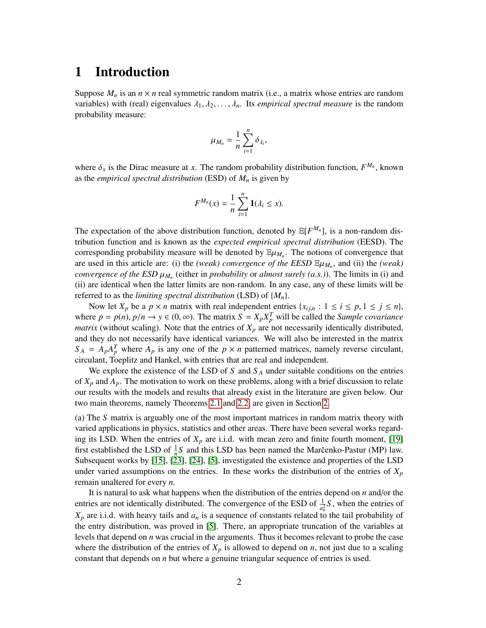## <span id="page-1-0"></span>1 Introduction

Suppose  $M_n$  is an  $n \times n$  real symmetric random matrix (i.e., a matrix whose entries are random variables) with (real) eigenvalues  $\lambda_1, \lambda_2, \ldots, \lambda_n$ . Its *empirical spectral measure* is the random probability measure:

$$
\mu_{M_n} = \frac{1}{n} \sum_{i=1}^n \delta_{\lambda_i},
$$

where  $\delta_x$  is the Dirac measure at *x*. The random probability distribution function,  $F^{M_n}$ , known as the *empirical spectral distribution* (ESD) of *M* is given by as the *empirical spectral distribution* (ESD) of *M<sup>n</sup>* is given by

$$
F^{M_n}(x)=\frac{1}{n}\sum_{i=1}^n\mathbf{1}(\lambda_i\leq x).
$$

The expectation of the above distribution function, denoted by  $\mathbb{E}[F^{M_n}]$ , is a non-random distribution function and is known as the *expected empirical spectral distribution* (EESD). The corresponding probability measure will be denoted by  $\mathbb{E}\mu_{M_n}$ . The notions of convergence that are used in this article are: (i) the (weak) convergence of the *EESD*  $\mathbb{E}\mu_{M_n}$  and (ii) the (weak) are used in this article are: (i) the *(weak) convergence of the EESD*  $E\mu_{M_n}$ , and (ii) the *(weak)*<br>convergence of the ESD  $\mu_{M_n}$  (either in probability or almost surely  $(a, s)$ ). The limits in (i) and *convergence of the ESD*  $\mu_{M_n}$  (either in *probability* or *almost surely (a.s.)*). The limits in (i) and (ii) are identical when the latter limits are non-random. In any case, any of these limits will be (ii) are identical when the latter limits are non-random. In any case, any of these limits will be referred to as the *limiting spectral distribution* (LSD) of {*Mn*}.

Now let  $X_p$  be a  $p \times n$  matrix with real independent entries  $\{x_{i,j,n} : 1 \le i \le p, 1 \le j \le n\}$ , where  $p = p(n)$ ,  $p/n \rightarrow y \in (0, \infty)$ . The matrix  $S = X_p X_p^T$  will be called the *Sample covariance* matrix (without scaling). Note that the entries of *Y* are not necessarily identically distributed *matrix* (without scaling). Note that the entries of  $X_p$  are not necessarily identically distributed, and they do not necessarily have identical variances. We will also be interested in the matrix  $S_A = A_p A_p^T$  where  $A_p$  is any one of the  $p \times n$  patterned matrices, namely reverse circulant, circulant, Toeplitz and Hankel, with entries that are real and independent.

We explore the existence of the LSD of *S* and  $S_A$  under suitable conditions on the entries of *X<sup>p</sup>* and *Ap*. The motivation to work on these problems, along with a brief discussion to relate our results with the models and results that already exist in the literature are given below. Our two main theorems, namely Theorems [2.1](#page-4-0) and [2.2,](#page-5-0) are given in Section [2.](#page-4-1)

(a) The *S* matrix is arguably one of the most important matrices in random matrix theory with varied applications in physics, statistics and other areas. There have been several works regarding its LSD. When the entries of  $X_p$  are i.i.d. with mean zero and finite fourth moment, [\[19\]](#page-51-0) first established the LSD of  $\frac{1}{n}S$  and this LSD has been named the Marcenko-Pastur (MP) law. Subsequent works by [\[15\]](#page-50-1), [\[23\]](#page-51-1), [\[24\]](#page-51-2), [\[5\]](#page-50-2), investigated the existence and properties of the LSD under varied assumptions on the entries. In these works the distribution of the entries of  $X_p$ remain unaltered for every *n*.

It is natural to ask what happens when the distribution of the entries depend on *n* and/or the entries are not identically distributed. The convergence of the ESD of  $\frac{1}{a_n^2}S$ , when the entries of  $X_p$  are i.i.d. with heavy tails and  $a_n$  is a sequence of constants related to the tail probability of the entry distribution, was proved in [\[5\]](#page-50-2). There, an appropriate truncation of the variables at levels that depend on *n* was crucial in the arguments. Thus it becomes relevant to probe the case where the distribution of the entries of  $X_p$  is allowed to depend on *n*, not just due to a scaling constant that depends on *n* but where a genuine triangular sequence of entries is used.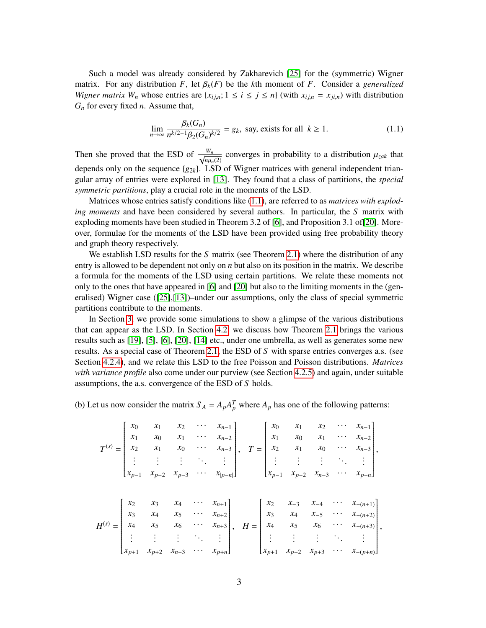Such a model was already considered by Zakharevich [\[25\]](#page-51-3) for the (symmetric) Wigner matrix. For any distribution *<sup>F</sup>*, let β*k*(*F*) be the *<sup>k</sup>*th moment of *<sup>F</sup>*. Consider a *generalized Wigner matrix W<sub>n</sub>* whose entries are  $\{x_{i,j,n}; 1 \le i \le j \le n\}$  (with  $x_{i,j,n} = x_{j,i,n}$ ) with distribution *G<sup>n</sup>* for every fixed *n*. Assume that,

<span id="page-2-0"></span>
$$
\lim_{n \to \infty} \frac{\beta_k(G_n)}{n^{k/2 - 1} \beta_2(G_n)^{k/2}} = g_k, \text{ say, exists for all } k \ge 1.
$$
 (1.1)

Then she proved that the ESD of  $\frac{W_n}{\sqrt{n}}$  $\frac{w_n}{n\mu_n(2)}$  converges in probability to a distribution  $\mu_{zak}$  that<br>LSD of Wigner metrics with concrel independent trien depends only on the sequence  ${g_{2k}}$ . LSD of Wigner matrices with general independent triangular array of entries were explored in [\[13\]](#page-50-3). They found that a class of partitions, the *special symmetric partitions*, play a crucial role in the moments of the LSD.

Matrices whose entries satisfy conditions like [\(1.1\)](#page-2-0), are referred to as *matrices with exploding moments* and have been considered by several authors. In particular, the *S* matrix with exploding moments have been studied in Theorem 3.2 of [\[6\]](#page-50-4), and Proposition 3.1 of[\[20\]](#page-51-4). Moreover, formulae for the moments of the LSD have been provided using free probability theory and graph theory respectively.

We establish LSD results for the *S* matrix (see Theorem [2.1\)](#page-4-0) where the distribution of any entry is allowed to be dependent not only on *n* but also on its position in the matrix. We describe a formula for the moments of the LSD using certain partitions. We relate these moments not only to the ones that have appeared in [\[6\]](#page-50-4) and [\[20\]](#page-51-4) but also to the limiting moments in the (generalised) Wigner case  $(25,113)$ –under our assumptions, only the class of special symmetric partitions contribute to the moments.

In Section [3,](#page-6-0) we provide some simulations to show a glimpse of the various distributions that can appear as the LSD. In Section [4.2,](#page-10-0) we discuss how Theorem [2.1](#page-4-0) brings the various results such as [\[19\]](#page-51-0), [\[5\]](#page-50-2), [\[6\]](#page-50-4), [\[20\]](#page-51-4), [\[14\]](#page-50-5) etc., under one umbrella, as well as generates some new results. As a special case of Theorem [2.1,](#page-4-0) the ESD of *S* with sparse entries converges a.s. (see Section [4.2.4\)](#page-12-0), and we relate this LSD to the free Poisson and Poisson distributions. *Matrices with variance profile* also come under our purview (see Section [4.2.5\)](#page-13-0) and again, under suitable assumptions, the a.s. convergence of the ESD of *S* holds.

(b) Let us now consider the matrix  $S_A = A_p A_p^T$  where  $A_p$  has one of the following patterns:

$$
T^{(s)} = \begin{bmatrix} x_0 & x_1 & x_2 & \cdots & x_{n-1} \\ x_1 & x_0 & x_1 & \cdots & x_{n-2} \\ x_2 & x_1 & x_0 & \cdots & x_{n-3} \\ \vdots & \vdots & \vdots & \ddots & \vdots \\ x_{p-1} & x_{p-2} & x_{p-3} & \cdots & x_{|p-n|} \end{bmatrix}, \quad T = \begin{bmatrix} x_0 & x_1 & x_2 & \cdots & x_{n-1} \\ x_1 & x_0 & x_1 & \cdots & x_{n-2} \\ x_2 & x_1 & x_0 & \cdots & x_{n-3} \\ \vdots & \vdots & \vdots & \ddots & \vdots \\ x_{p-1} & x_{p-2} & x_{n-3} & \cdots & x_{p-n} \end{bmatrix},
$$

$$
H^{(s)} = \begin{bmatrix} x_2 & x_3 & x_4 & \cdots & x_{n+1} \\ x_3 & x_4 & x_5 & \cdots & x_{n+2} \\ x_4 & x_5 & x_6 & \cdots & x_{n+3} \\ \vdots & \vdots & \vdots & \ddots & \vdots \\ x_{p+1} & x_{p+2} & x_{n+3} & \cdots & x_{p+n} \end{bmatrix}, \quad H = \begin{bmatrix} x_2 & x_{-3} & x_{-4} & \cdots & x_{-(n+1)} \\ x_3 & x_4 & x_{-5} & \cdots & x_{-(n+2)} \\ x_4 & x_5 & x_6 & \cdots & x_{-(n+3)} \\ \vdots & \vdots & \vdots & \ddots & \vdots \\ x_{p+1} & x_{p+2} & x_{p+3} & \cdots & x_{-(p+n)} \end{bmatrix},
$$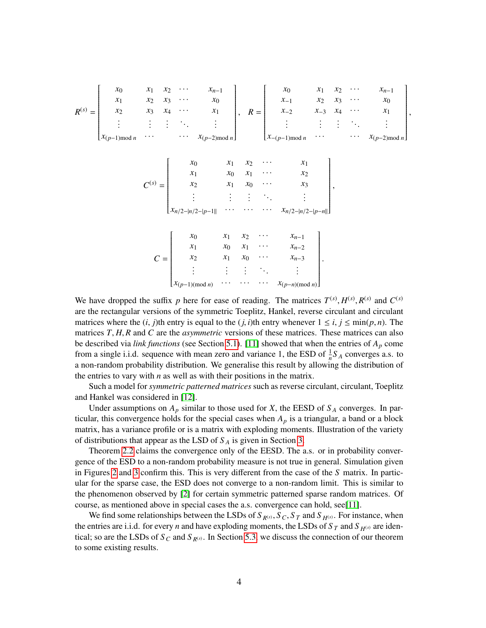

We have dropped the suffix *p* here for ease of reading. The matrices  $T^{(s)}$ ,  $H^{(s)}$ ,  $R^{(s)}$  and  $C^{(s)}$ <br>are the rectangular versions of the symmetric Toenlitz. Hankel, reverse circulant and circulant are the rectangular versions of the symmetric Toeplitz, Hankel, reverse circulant and circulant matrices where the  $(i, j)$ th entry is equal to the  $(j, i)$ th entry whenever  $1 \le i, j \le \min(p, n)$ . The matrices *<sup>T</sup>*, *<sup>H</sup>*, *<sup>R</sup>* and *<sup>C</sup>* are the *asymmetric* versions of these matrices. These matrices can also be described via *link functions* (see Section [5.1\)](#page-23-0). [\[11\]](#page-50-0) showed that when the entries of *A<sup>p</sup>* come from a single i.i.d. sequence with mean zero and variance 1, the ESD of  $\frac{1}{n}S_A$  converges a.s. to a non-random probability distribution. We generalise this result by allowing the distribution of the entries to vary with *n* as well as with their positions in the matrix.

Such a model for *symmetric patterned matrices* such as reverse circulant, circulant, Toeplitz and Hankel was considered in [\[12\]](#page-50-6).

Under assumptions on  $A_p$  similar to those used for *X*, the EESD of  $S_A$  converges. In particular, this convergence holds for the special cases when  $A_p$  is a triangular, a band or a block matrix, has a variance profile or is a matrix with exploding moments. Illustration of the variety of distributions that appear as the LSD of *S <sup>A</sup>* is given in Section [3.](#page-6-0)

Theorem [2.2](#page-5-0) claims the convergence only of the EESD. The a.s. or in probability convergence of the ESD to a non-random probability measure is not true in general. Simulation given in Figures [2](#page-53-0) and [3](#page-54-0) confirm this. This is very different from the case of the *S* matrix. In particular for the sparse case, the ESD does not converge to a non-random limit. This is similar to the phenomenon observed by [\[2\]](#page-50-7) for certain symmetric patterned sparse random matrices. Of course, as mentioned above in special cases the a.s. convergence can hold, see[\[11\]](#page-50-0).

We find some relationships between the LSDs of  $S_{R^{(s)}}, S_C, S_T$  and  $S_{H^{(s)}}$ . For instance, when the entries are i.i.d. for every *n* and have exploding moments, the LSDs of  $S_T$  and  $S_{H(s)}$  are identical; so are the LSDs of  $S_C$  and  $S_{R(s)}$ . In Section [5.3,](#page-40-0) we discuss the connection of our theorem to some existing results.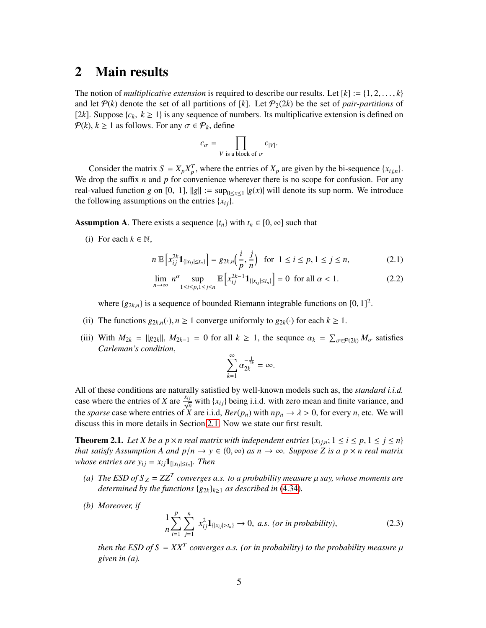## <span id="page-4-1"></span>2 Main results

The notion of *multiplicative extension* is required to describe our results. Let  $[k] := \{1, 2, \ldots, k\}$ and let  $P(k)$  denote the set of all partitions of [k]. Let  $P_2(2k)$  be the set of *pair-partitions* of [2*k*]. Suppose  $\{c_k, k \ge 1\}$  is any sequence of numbers. Its multiplicative extension is defined on  $P(k)$ ,  $k \ge 1$  as follows. For any  $\sigma \in \mathcal{P}_k$ , define

$$
c_{\sigma} = \prod_{V \text{ is a block of } \sigma} c_{|V|}.
$$

Consider the matrix  $S = X_p X_p^T$ , where the entries of  $X_p$  are given by the bi-sequence  $\{x_{i,j,n}\}$ . We drop the suffix *n* and *p* for convenience wherever there is no scope for confusion. For any real-valued function *g* on [0, 1],  $||g|| := \sup_{0 \le x \le 1} |g(x)|$  will denote its sup norm. We introduce the following assumptions on the entries  $\{x_{ij}\}.$ 

**Assumption A.** There exists a sequence  $\{t_n\}$  with  $t_n \in [0, \infty]$  such that

(i) For each  $k \in \mathbb{N}$ ,

$$
n \mathbb{E}\left[x_{ij}^{2k} \mathbf{1}_{\{|x_{ij}| \le t_n\}}\right] = g_{2k,n}\left(\frac{i}{p}, \frac{j}{n}\right) \text{ for } 1 \le i \le p, 1 \le j \le n,
$$
 (2.1)

$$
\lim_{n \to \infty} n^{\alpha} \sup_{1 \le i \le p, 1 \le j \le n} \mathbb{E}\left[x_{ij}^{2k-1} \mathbf{1}_{\{|x_{ij}| \le t_n\}}\right] = 0 \text{ for all } \alpha < 1. \tag{2.2}
$$

where  $\{g_{2k,n}\}\$ is a sequence of bounded Riemann integrable functions on  $[0, 1]^2$ .

- (ii) The functions  $g_{2k,n}(\cdot), n \ge 1$  converge uniformly to  $g_{2k}(\cdot)$  for each  $k \ge 1$ .
- (iii) With  $M_{2k} = ||g_{2k}||$ ,  $M_{2k-1} = 0$  for all  $k \ge 1$ , the sequnce  $\alpha_k = \sum_{\sigma \in \mathcal{P}(2k)} M_{\sigma}$  satisfies Carlaman's condition *Carleman's condition*,

<span id="page-4-4"></span><span id="page-4-3"></span>
$$
\sum_{k=1}^{\infty} \alpha_{2k}^{-\frac{1}{2k}} = \infty.
$$

All of these conditions are naturally satisfied by well-known models such as, the *standard i.i.d.* case where the entries of *X* are  $\frac{x_{ij}}{\sqrt{n}}$  with {*x*<sub>*i*j</sub>} being i.i.d. with zero mean and finite variance, and the *sparse* case where entries of *X* are i.i.d,  $Ber(p_n)$  with  $np_n \to \lambda > 0$ , for every *n*, etc. We will discuss this in more details in Section [2.1.](#page-4-0) Now we state our first result.

<span id="page-4-0"></span>**Theorem 2.1.** *Let X be a p* $\times$ *n real matrix with independent entries* { $x_{i,j,n}$ ; 1  $\le i \le p, 1 \le j \le n$ } *that satisfy Assumption A and*  $p/n \to y \in (0, \infty)$  *as*  $n \to \infty$ *. Suppose Z is a*  $p \times n$  *real matrix whose entries are y*<sup>*i*</sup>  $j = x_{ij}$ **1**<sub>[| $x_{ij} \leq t_n$ ]. Then</sub>

- (a) The ESD of  $S_Z = ZZ^T$  converges a.s. to a probability measure  $\mu$  say, whose moments are determined by the functions  $\{a_k\}$ , as described in  $(4, 34)$ *determined by the functions*  $\{g_{2k}\}_{k\geq 1}$  *as described in* [\(4.34\)](#page-18-0)*.*
- *(b) Moreover, if*

<span id="page-4-2"></span>
$$
\frac{1}{n}\sum_{i=1}^{p}\sum_{j=1}^{n} x_{ij}^{2}1_{\{|x_{ij}|>t_{n}\}} \to 0, \ a.s. \ (or \ in \ probability), \tag{2.3}
$$

*then the ESD of S* =  $XX^T$  *converges a.s. (or in probability) to the probability measure*  $\mu$  *aiven in (a) given in (a).*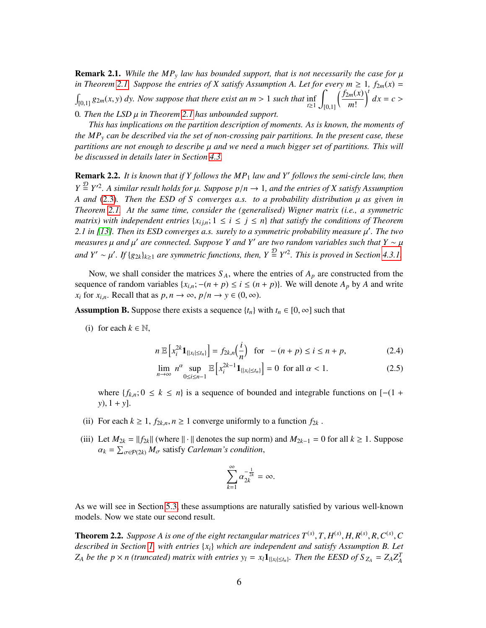<span id="page-5-2"></span>**Remark 2.1.** While the MP<sub>y</sub> law has bounded support, that is not necessarily the case for  $\mu$ *in Theorem [2.1.](#page-4-0)* Suppose the entries of X satisfy Assumption A. Let for every  $m \geq 1$ ,  $f_{2m}(x) =$  $\int_{[0,1]} g_{2m}(x, y) dy$ . Now suppose that there exist an  $m > 1$  such that inf  $\int_{t \geq 1}$ Z [0,1]  $f_{2m}(x)$ *m*! <sup>t</sup>  $dx = c$ <sup>0</sup>*. Then the LSD* µ *in Theorem [2.1](#page-4-0) has unbounded support.*

*This has implications on the partition description of moments. As is known, the moments of the MP<sup>y</sup> can be described via the set of non-crossing pair partitions. In the present case, these partitions are not enough to describe* µ *and we need a much bigger set of partitions. This will be discussed in details later in Section [4.3.](#page-14-0)*

<span id="page-5-1"></span>**Remark 2.2.** It is known that if Y follows the MP<sub>1</sub> law and Y' follows the semi-circle law, then  $Y = \frac{D}{2} Y^2$ . A similar result holds for  $\mu$ . Suppose  $p/n \to 1$ , and the entries of *X* satisfy Assumption<br>A and (2.3) Then the ESD of *S*, converges a s, to a probability distribution *u* as given in *A and* [\(2.3\)](#page-4-2)*. Then the ESD of S converges a.s. to a probability distribution* µ *as given in Theorem [2.1.](#page-4-0) At the same time, consider the (generalised) Wigner matrix (i.e., a symmetric matrix)* with independent entries  $\{x_{i,j,n}; 1 \leq i \leq j \leq n\}$  that satisfy the conditions of Theorem *2.1 in [\[13\]](#page-50-3). Then its ESD converges a.s. surely to a symmetric probability measure μ'. The two*<br>measures u and u' are connected. Suppose *V* and *V' are two random variables such that V* a *u measures*  $\mu$  *and*  $\mu'$  *are connected. Suppose Y and Y' are two random variables such that Y ∼*  $\mu$ *and*  $Y' \sim \mu'$ . If { $g_{2k}$ }<sub>*k*≥1</sub> *are symmetric functions, then,*  $Y \stackrel{\mathcal{D}}{=} Y'^2$ . *This is proved in Section [4.3.1.](#page-16-0)* 

Now, we shall consider the matrices  $S_A$ , where the entries of  $A_p$  are constructed from the sequence of random variables  $\{x_{i,n}; -(n+p) \leq i \leq (n+p)\}\$ . We will denote  $A_p$  by  $A$  and write *x*<sup>*i*</sup> for *x*<sup>*i*</sup>,*n*. Recall that as  $p, n \to \infty$ ,  $p/n \to y \in (0, \infty)$ .

**Assumption B.** Suppose there exists a sequence  $\{t_n\}$  with  $t_n \in [0, \infty]$  such that

(i) for each  $k \in \mathbb{N}$ ,

$$
n \mathbb{E}\left[x_i^{2k}\mathbf{1}_{\{|x_i|\leq t_n\}}\right] = f_{2k,n}\left(\frac{i}{n}\right) \text{ for } -(n+p) \leq i \leq n+p,\tag{2.4}
$$

$$
\lim_{n \to \infty} n^{\alpha} \sup_{0 \le i \le n-1} \mathbb{E}\left[x_i^{2k-1} \mathbf{1}_{\{|x_i| \le t_n\}}\right] = 0 \text{ for all } \alpha < 1. \tag{2.5}
$$

where  ${f_{k,n}}$ ; 0 ≤ *k* ≤ *n*} is a sequence of bounded and integrable functions on [−(1 + *<sup>y</sup>*), <sup>1</sup> <sup>+</sup> *<sup>y</sup>*].

- (ii) For each  $k \geq 1$ ,  $f_{2k,n}$ ,  $n \geq 1$  converge uniformly to a function  $f_{2k}$ .
- (iii) Let  $M_{2k} = ||f_{2k}||$  (where  $|| \cdot ||$  denotes the sup norm) and  $M_{2k-1} = 0$  for all  $k \ge 1$ . Suppose  $\alpha_k = \sum_{\sigma \in \mathcal{P}(2k)} M_{\sigma}$  satisfy *Carleman's condition*,

<span id="page-5-4"></span><span id="page-5-3"></span>
$$
\sum_{k=1}^\infty \alpha_{2k}^{-\frac{1}{2k}}=\infty.
$$

As we will see in Section [5.3,](#page-40-0) these assumptions are naturally satisfied by various well-known models. Now we state our second result.

<span id="page-5-0"></span>**Theorem 2.2.** Suppose A is one of the eight rectangular matrices  $T^{(s)}$ ,  $T$ ,  $H^{(s)}$ ,  $H$ ,  $R^{(s)}$ ,  $R$ ,  $C^{(s)}$ ,  $C$  described in Section 1, with entries  $\{x_i\}$  which are independent and satisfy Assumption  $R$ , Let *described in Section [1,](#page-1-0) with entries* {*xi*} *which are independent and satisfy Assumption B. Let*  $Z_A$  be the  $p \times n$  (truncated) matrix with entries  $y_l = x_l \mathbf{1}_{\{|x_l| \le t_n\}}$ . Then the EESD of  $S_{Z_A} = Z_A Z_A^T$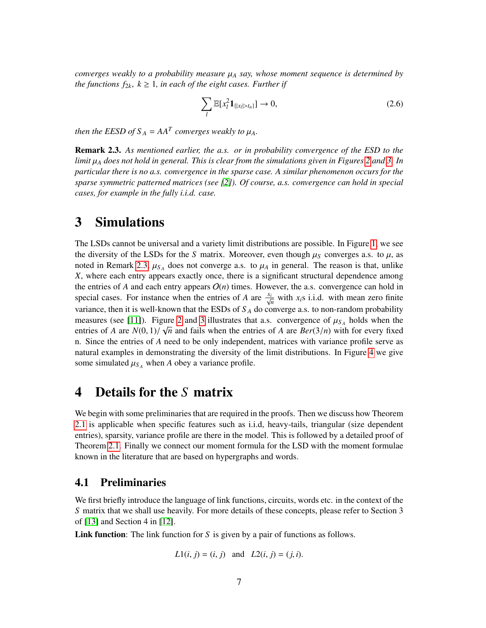*converges weakly to a probability measure* <sup>µ</sup>*<sup>A</sup> say, whose moment sequence is determined by the functions*  $f_{2k}$ ,  $k \geq 1$ , *in each of the eight cases. Further if* 

<span id="page-6-3"></span>
$$
\sum_{l} \mathbb{E}[x_l^2 \mathbf{1}_{\{|x_l| > t_n\}}] \to 0,
$$
\n(2.6)

*then the EESD of*  $S_A = AA^T$  *converges weakly to*  $\mu_A$ *.* 

<span id="page-6-1"></span>Remark 2.3. *As mentioned earlier, the a.s. or in probability convergence of the ESD to the limit* <sup>µ</sup>*<sup>A</sup> does not hold in general. This is clear from the simulations given in Figures [2](#page-53-0) and [3.](#page-54-0) In particular there is no a.s. convergence in the sparse case. A similar phenomenon occurs for the sparse symmetric patterned matrices (see [\[2\]](#page-50-7)). Of course, a.s. convergence can hold in special cases, for example in the fully i.i.d. case.*

## <span id="page-6-0"></span>3 Simulations

The LSDs cannot be universal and a variety limit distributions are possible. In Figure [1,](#page-52-0) we see the diversity of the LSDs for the *S* matrix. Moreover, even though  $\mu<sub>S</sub>$  converges a.s. to  $\mu$ , as noted in Remark [2.3,](#page-6-1)  $\mu_{S_A}$  does not converge a.s. to  $\mu_A$  in general. The reason is that, unlike  $\bf{Y}$  where each entry appears exactly once there is a significant structural dependence among *X*, where each entry appears exactly once, there is a significant structural dependence among the entries of *A* and each entry appears  $O(n)$  times. However, the a.s. convergence can hold in special cases. For instance when the entries of *A* are  $\frac{x_i}{\sqrt{n}}$  $\frac{i}{n}$  with *x*<sub>*i*</sub>s i.i.d. with mean zero finite variance, then it is well-known that the ESDs of  $S_A$  do converge a.s. to non-random probability measures (see [\[11\]](#page-50-0)). Figure [2](#page-53-0) and [3](#page-54-0) illustrates that a.s. convergence of  $\mu_{S_A}$  holds when the entries of A are  $N(0, 1)/\sqrt{n}$  and fails when the entries of A are  $Rer(3/n)$  with for every fixed entries of *A* are  $N(0, 1)/\sqrt{n}$  and fails when the entries of *A* are  $Ber(3/n)$  with for every fixed in Since the entries of *A* need to be only independent matrices with variance profile serve as n. Since the entries of *A* need to be only independent, matrices with variance profile serve as natural examples in demonstrating the diversity of the limit distributions. In Figure [4](#page-55-0) we give some simulated  $\mu_{S_A}$  when *A* obey a variance profile.

# 4 Details for the *S* matrix

We begin with some preliminaries that are required in the proofs. Then we discuss how Theorem [2.1](#page-4-0) is applicable when specific features such as i.i.d, heavy-tails, triangular (size dependent entries), sparsity, variance profile are there in the model. This is followed by a detailed proof of Theorem [2.1.](#page-4-0) Finally we connect our moment formula for the LSD with the moment formulae known in the literature that are based on hypergraphs and words.

## <span id="page-6-2"></span>4.1 Preliminaries

We first briefly introduce the language of link functions, circuits, words etc. in the context of the *S* matrix that we shall use heavily. For more details of these concepts, please refer to Section 3 of [\[13\]](#page-50-3) and Section 4 in [\[12\]](#page-50-6).

Link function: The link function for *S* is given by a pair of functions as follows.

$$
L1(i, j) = (i, j)
$$
 and  $L2(i, j) = (j, i)$ .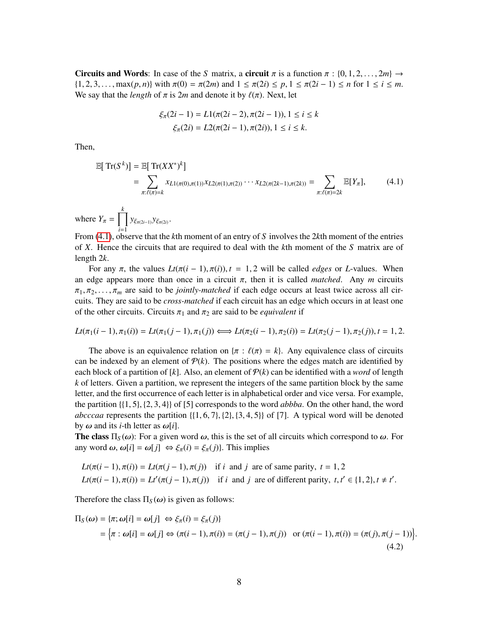Circuits and Words: In case of the *S* matrix, a circuit  $\pi$  is a function  $\pi$  : {0, 1, 2, ..., 2*m*}  $\rightarrow$  $\{1, 2, 3, \ldots, \max(p, n)\}$  with  $\pi(0) = \pi(2m)$  and  $1 \leq \pi(2i) \leq p, 1 \leq \pi(2i-1) \leq n$  for  $1 \leq i \leq m$ . We say that the *length* of  $\pi$  is 2*m* and denote it by  $\ell(\pi)$ . Next, let

<span id="page-7-0"></span>
$$
\xi_{\pi}(2i-1) = L1(\pi(2i-2), \pi(2i-1)), 1 \le i \le k
$$
  

$$
\xi_{\pi}(2i) = L2(\pi(2i-1), \pi(2i)), 1 \le i \le k.
$$

Then,

$$
\mathbb{E}[\operatorname{Tr}(S^k)] = \mathbb{E}[\operatorname{Tr}(XX^*)^k]
$$
  
= 
$$
\sum_{\pi:\ell(\pi)=k} x_{L1(\pi(0),\pi(1))} x_{L2(\pi(1),\pi(2))} \cdots x_{L2(\pi(2k-1),\pi(2k))} = \sum_{\pi:\ell(\pi)=2k} \mathbb{E}[Y_{\pi}],
$$
 (4.1)

where  $Y_{\pi} = \prod_{i=1}^{k}$  $y_{\xi_{\pi(2i-1)}}y_{\xi_{\pi(2i)}}$ .

*i*=1 From [\(4.1\)](#page-7-0), observe that the *k*th moment of an entry of *S* involves the 2*k*th moment of the entries of *X*. Hence the circuits that are required to deal with the *k*th moment of the *S* matrix are of length 2*k*.

For any  $\pi$ , the values  $Lt(\pi(i-1), \pi(i))$ ,  $t = 1, 2$  will be called *edges* or *L*-values. When an edge appears more than once in a circuit  $\pi$ , then it is called *matched*. Any *m* circuits  $\pi_1, \pi_2, \ldots, \pi_m$  are said to be *jointly-matched* if each edge occurs at least twice across all circuits. They are said to be *cross-matched* if each circuit has an edge which occurs in at least one of the other circuits. Circuits  $\pi_1$  and  $\pi_2$  are said to be *equivalent* if

$$
Lt(\pi_1(i-1), \pi_1(i)) = Lt(\pi_1(j-1), \pi_1(j)) \Longleftrightarrow Lt(\pi_2(i-1), \pi_2(i)) = Lt(\pi_2(j-1), \pi_2(j)), t = 1, 2.
$$

The above is an equivalence relation on  $\{\pi : \ell(\pi) = k\}$ . Any equivalence class of circuits can be indexed by an element of  $P(k)$ . The positions where the edges match are identified by each block of a partition of [k]. Also, an element of  $P(k)$  can be identified with a *word* of length *k* of letters. Given a partition, we represent the integers of the same partition block by the same letter, and the first occurrence of each letter is in alphabetical order and vice versa. For example, the partition {{1, <sup>5</sup>}, {2, <sup>3</sup>, <sup>4</sup>}} of [5] corresponds to the word *abbba*. On the other hand, the word *abcccaa* represents the partition  $\{(1, 6, 7), (2), (3, 4, 5)\}$  of [7]. A typical word will be denoted by ω and its *<sup>i</sup>*-th letter as ω[*i*].

**The class**  $\Pi_S(\omega)$ : For a given word  $\omega$ , this is the set of all circuits which correspond to  $\omega$ . For any word  $\omega$ ,  $\omega[i] = \omega[j] \Leftrightarrow \xi_{\pi}(i) = \xi_{\pi}(j)$ . This implies

$$
Lt(\pi(i-1), \pi(i)) = Lt(\pi(j-1), \pi(j))
$$
 if *i* and *j* are of same parity, *t* = 1, 2  

$$
Lt(\pi(i-1), \pi(i)) = Lt'(\pi(j-1), \pi(j))
$$
 if *i* and *j* are of different parity, *t*, *t'*  $\in \{1, 2\}, t \neq t'$ .

Therefore the class  $\Pi_S(\omega)$  is given as follows:

<span id="page-7-1"></span>
$$
\Pi_S(\omega) = \{\pi; \omega[i] = \omega[j] \Leftrightarrow \xi_\pi(i) = \xi_\pi(j)\}
$$
\n
$$
= \{\pi : \omega[i] = \omega[j] \Leftrightarrow (\pi(i-1), \pi(i)) = (\pi(j-1), \pi(j)) \text{ or } (\pi(i-1), \pi(i)) = (\pi(j), \pi(j-1))\}
$$
\n(4.2)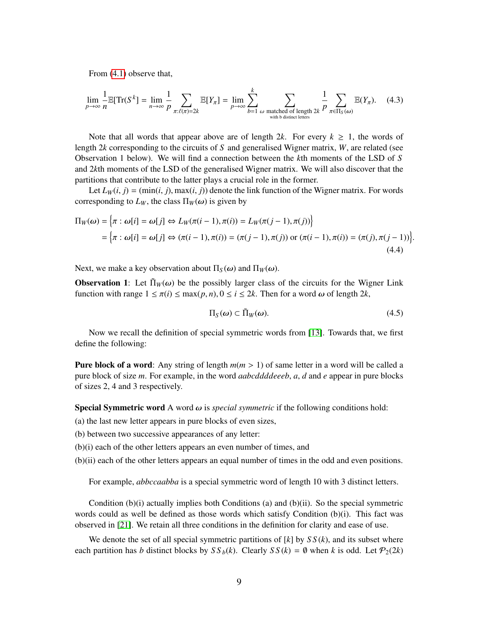From [\(4.1\)](#page-7-0) observe that,

$$
\lim_{p \to \infty} \frac{1}{n} \mathbb{E}[\operatorname{Tr}(S^k] = \lim_{n \to \infty} \frac{1}{p} \sum_{\pi: \ell(\pi) = 2k} \mathbb{E}[Y_\pi] = \lim_{p \to \infty} \sum_{b=1}^k \sum_{\omega \text{ matched of length } 2k} \frac{1}{p} \sum_{\pi \in \Pi_S(\omega)} \mathbb{E}(Y_\pi). \tag{4.3}
$$

Note that all words that appear above are of length 2*k*. For every  $k \geq 1$ , the words of length 2*k* corresponding to the circuits of *S* and generalised Wigner matrix, *W*, are related (see Observation 1 below). We will find a connection between the *k*th moments of the LSD of *S* and 2*k*th moments of the LSD of the generalised Wigner matrix. We will also discover that the partitions that contribute to the latter plays a crucial role in the former.

Let  $L_W(i, j) = (min(i, j), max(i, j))$  denote the link function of the Wigner matrix. For words corresponding to  $L_W$ , the class  $\Pi_W(\omega)$  is given by

$$
\Pi_W(\omega) = \left\{ \pi : \omega[i] = \omega[j] \Leftrightarrow L_W(\pi(i-1), \pi(i)) = L_W(\pi(j-1), \pi(j)) \right\}
$$
\n
$$
= \left\{ \pi : \omega[i] = \omega[j] \Leftrightarrow (\pi(i-1), \pi(i)) = (\pi(j-1), \pi(j)) \text{ or } (\pi(i-1), \pi(i)) = (\pi(j), \pi(j-1)) \right\}
$$
\n(4.4)

Next, we make a key observation about  $\Pi_S(\omega)$  and  $\Pi_W(\omega)$ .

**Observation 1:** Let  $\Pi_W(\omega)$  be the possibly larger class of the circuits for the Wigner Link function with range  $1 \le \pi(i) \le \max(p, n), 0 \le i \le 2k$ . Then for a word  $\omega$  of length 2*k*,

<span id="page-8-0"></span>
$$
\Pi_S(\omega) \subset \tilde{\Pi}_W(\omega). \tag{4.5}
$$

Now we recall the definition of special symmetric words from [\[13\]](#page-50-3). Towards that, we first define the following:

**Pure block of a word:** Any string of length  $m(m > 1)$  of same letter in a word will be called a pure block of size *m*. For example, in the word *aabcddddeeeb*, *a*, *d* and *e* appear in pure blocks of sizes 2, 4 and 3 respectively.

**Special Symmetric word** A word  $\omega$  is *special symmetric* if the following conditions hold:

(a) the last new letter appears in pure blocks of even sizes,

- (b) between two successive appearances of any letter:
- (b)(i) each of the other letters appears an even number of times, and
- (b)(ii) each of the other letters appears an equal number of times in the odd and even positions.

For example, *abbccaabba* is a special symmetric word of length 10 with 3 distinct letters.

Condition  $(b)(i)$  actually implies both Conditions (a) and  $(b)(ii)$ . So the special symmetric words could as well be defined as those words which satisfy Condition (b)(i). This fact was observed in [\[21\]](#page-51-5). We retain all three conditions in the definition for clarity and ease of use.

We denote the set of all special symmetric partitions of  $[k]$  by  $SS(k)$ , and its subset where each partition has *b* distinct blocks by  $SS_b(k)$ . Clearly  $SS(k) = \emptyset$  when *k* is odd. Let  $\mathcal{P}_2(2k)$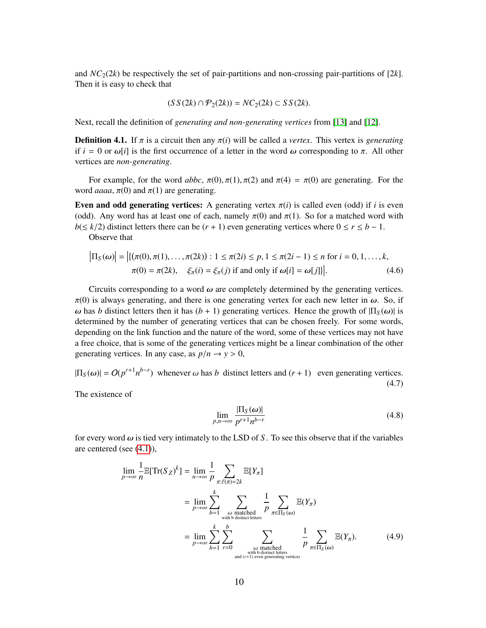and  $NC_2(2k)$  be respectively the set of pair-partitions and non-crossing pair-partitions of [2*k*]. Then it is easy to check that

$$
(SS(2k)\cap P_2(2k)) = NC_2(2k) \subset SS(2k).
$$

Next, recall the definition of *generating and non-generating vertices* from [\[13\]](#page-50-3) and [\[12\]](#page-50-6).

**Definition 4.1.** If π is a circuit then any  $π(i)$  will be called a *vertex*. This vertex is *generating* if  $i = 0$  or  $\omega[i]$  is the first occurrence of a letter in the word  $\omega$  corresponding to  $\pi$ . All other vertices are *non-generating*.

For example, for the word *abbc*,  $\pi(0), \pi(1), \pi(2)$  and  $\pi(4) = \pi(0)$  are generating. For the word *aaaa*,  $\pi(0)$  and  $\pi(1)$  are generating.

Even and odd generating vertices: A generating vertex  $\pi(i)$  is called even (odd) if *i* is even (odd). Any word has at least one of each, namely  $\pi(0)$  and  $\pi(1)$ . So for a matched word with *b*( $\leq k/2$ ) distinct letters there can be (*r* + 1) even generating vertices where  $0 \leq r \leq b - 1$ .

Observe that

$$
\left|\Pi_{S}(\omega)\right| = \left|\{(\pi(0), \pi(1), \dots, \pi(2k)) : 1 \le \pi(2i) \le p, 1 \le \pi(2i - 1) \le n \text{ for } i = 0, 1, \dots, k, \pi(0) = \pi(2k), \xi_{\pi}(i) = \xi_{\pi}(j) \text{ if and only if } \omega[i] = \omega[j]\}\right|.
$$
\n(4.6)

Circuits corresponding to a word  $\omega$  are completely determined by the generating vertices.  $\pi(0)$  is always generating, and there is one generating vertex for each new letter in  $\omega$ . So, if  $ω$  has *b* distinct letters then it has  $(b + 1)$  generating vertices. Hence the growth of  $\Pi_S(ω)$  is determined by the number of generating vertices that can be chosen freely. For some words, depending on the link function and the nature of the word, some of these vertices may not have a free choice, that is some of the generating vertices might be a linear combination of the other generating vertices. In any case, as  $p/n \rightarrow y > 0$ ,

<span id="page-9-0"></span> $|\Pi_S(\omega)| = O(p^{r+1}n^{b-r})$  whenever  $\omega$  has *b* distinct letters and  $(r + 1)$  even generating vertices. (4.7)

The existence of

<span id="page-9-1"></span>
$$
\lim_{p,n\to\infty} \frac{|\Pi_S(\omega)|}{p^{r+1}n^{b-r}}\tag{4.8}
$$

for every word  $\omega$  is tied very intimately to the LSD of *S*. To see this observe that if the variables are centered (see [\(4.1\)](#page-7-0)),

$$
\lim_{p \to \infty} \frac{1}{n} \mathbb{E}[Tr(S_Z)^k] = \lim_{n \to \infty} \frac{1}{p} \sum_{\pi:\ell(\pi)=2k} \mathbb{E}[Y_{\pi}]
$$
  
\n
$$
= \lim_{p \to \infty} \sum_{b=1}^k \sum_{\substack{\omega \text{ matched} \ \text{with } b \text{ distinct letters} \ \text{with } c \text{ distinct letters} \\ \text{with } b \text{ distinct letters}}} \frac{1}{p} \sum_{\pi \in \Pi_S(\omega)} \mathbb{E}(Y_{\pi})
$$
  
\n
$$
= \lim_{p \to \infty} \sum_{b=1}^k \sum_{r=0}^b \sum_{\substack{\omega \text{ matched} \ \text{with } b \text{ distinct letters} \ \text{with } c \text{ letters} \\ \text{and } (r+1) \text{ even generating vertices}}} \frac{1}{p} \sum_{\pi \in \Pi_S(\omega)} \mathbb{E}(Y_{\pi}). \tag{4.9}
$$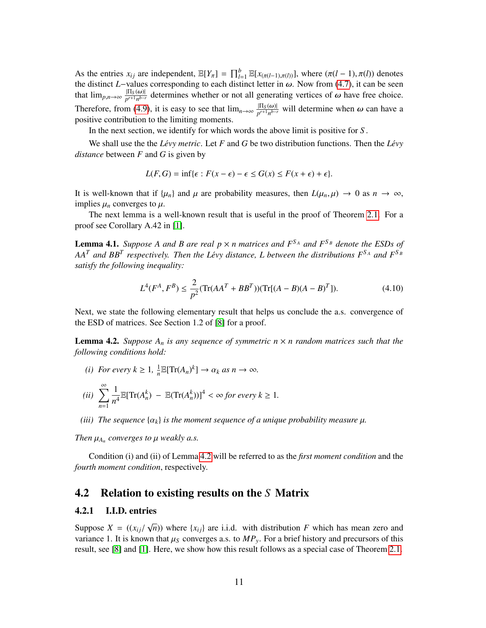As the entries  $x_{ij}$  are independent,  $\mathbb{E}[Y_{\pi}] = \prod_{l=1}^{b} \mathbb{E}[x_{(\pi(l-1),\pi(l))}]$ , where  $(\pi(l-1), \pi(l))$  denotes the distinct *I*-values corresponding to each distinct letter in  $\omega$ . Now from (4.7) it can be seen the distinct *L*−values corresponding to each distinct letter in  $\omega$ . Now from [\(4.7\)](#page-9-0), it can be seen that  $\lim_{p,n\to\infty} \frac{|\Pi_S(\omega)|}{p^{r+1}n^{b-r}}$  determines whether or not all generating vertices of  $\omega$  have free choice. Therefore, from [\(4.9\)](#page-9-1), it is easy to see that  $\lim_{n\to\infty} \frac{|\Pi_S(\omega)|}{p^{r+1}n^{b-r}}$  will determine when  $\omega$  can have a positive contribution to the limiting moments positive contribution to the limiting moments.

In the next section, we identify for which words the above limit is positive for *S* .

We shall use the the *Lévy metric*. Let  $F$  and  $G$  be two distribution functions. Then the *Lévy distance* between *F* and *G* is given by

$$
L(F, G) = \inf \{ \epsilon : F(x - \epsilon) - \epsilon \le G(x) \le F(x + \epsilon) + \epsilon \}.
$$

It is well-known that if  $\{\mu_n\}$  and  $\mu$  are probability measures, then  $L(\mu_n, \mu) \to 0$  as  $n \to \infty$ , implies  $\mu_n$  converges to  $\mu$ .

The next lemma is a well-known result that is useful in the proof of Theorem [2.1.](#page-4-0) For a proof see Corollary A.42 in [\[1\]](#page-50-8).

<span id="page-10-3"></span>**Lemma 4.1.** *Suppose A and B are real*  $p \times n$  *matrices and*  $F^{S_A}$  *and*  $F^{S_B}$  *denote the ESDs of*  $AA<sup>T</sup>$  and  $BB<sup>T</sup>$  respectively. Then the Lévy distance, L between the distributions  $F<sup>S_A</sup>$  and  $F<sup>S_B</sup>$ *satisfy the following inequality:*

$$
L^{4}(F^{A}, F^{B}) \le \frac{2}{p^{2}} (\text{Tr}(AA^{T} + BB^{T})) (\text{Tr}[(A - B)(A - B)^{T}]). \tag{4.10}
$$

Next, we state the following elementary result that helps us conclude the a.s. convergence of the ESD of matrices. See Section 1.2 of [\[8\]](#page-50-9) for a proof.

<span id="page-10-1"></span>**Lemma 4.2.** *Suppose*  $A_n$  *is any sequence of symmetric*  $n \times n$  *random matrices such that the following conditions hold:*

*(i) For every*  $k \geq 1$ ,  $\frac{1}{n}$  $\frac{1}{n} \mathbb{E}[Tr(A_n)^k] \to \alpha_k \text{ as } n \to \infty.$ 

$$
(ii) \sum_{n=1}^{\infty} \frac{1}{n^4} \mathbb{E}[\text{Tr}(A_n^k) - \mathbb{E}(\text{Tr}(A_n^k))]^4 < \infty \text{ for every } k \ge 1.
$$

*(iii) The sequence*  $\{\alpha_k\}$  *is the moment sequence of a unique probability measure*  $\mu$ *.* 

*Then*  $\mu_{A_n}$  *converges to*  $\mu$  *weakly a.s.* 

Condition (i) and (ii) of Lemma [4.2](#page-10-1) will be referred to as the *first moment condition* and the *fourth moment condition*, respectively.

## <span id="page-10-0"></span>4.2 Relation to existing results on the *S* Matrix

### <span id="page-10-2"></span>4.2.1 I.I.D. entries

Suppose  $X = ((x_{ij})$ <br>variance 1 It is know  $\sqrt{n}$ )) where {*x<sub>ij</sub>*} are i.i.d. with distribution *F* which has mean zero and variance 1. It is known that  $\mu<sub>S</sub>$  converges a.s. to  $MP<sub>y</sub>$ . For a brief history and precursors of this result, see [\[8\]](#page-50-9) and [\[1\]](#page-50-8). Here, we show how this result follows as a special case of Theorem [2.1.](#page-4-0)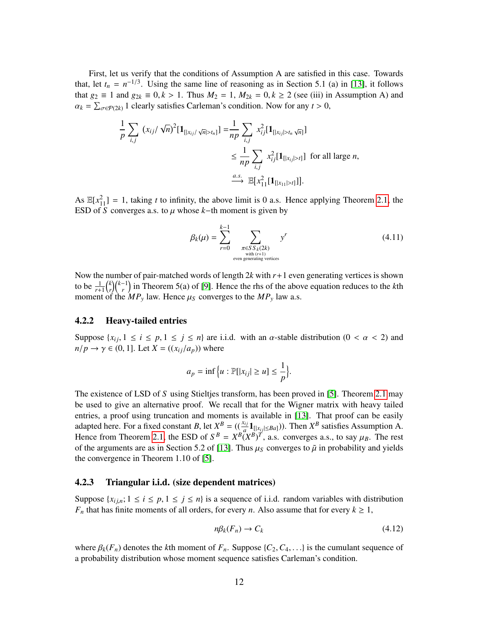First, let us verify that the conditions of Assumption A are satisfied in this case. Towards that, let  $t_n = n^{-1/3}$ . Using the same line of reasoning as in Section 5.1 (a) in [\[13\]](#page-50-3), it follows that *g*<sub>2</sub> ≡ 1 and *g*<sub>2*k*</sub> ≡ 0, *k* > 1. Thus *M*<sub>2</sub> = 1, *M*<sub>2*k*</sub> = 0, *k* ≥ 2 (see (iii) in Assumption A) and  $\alpha_k = \sum_{\sigma \in \mathcal{P}(2k)} 1$  clearly satisfies Carleman's condition. Now for any  $t > 0$ ,

$$
\frac{1}{p} \sum_{i,j} (x_{ij} / \sqrt{n})^2 [\mathbf{1}_{[|x_{ij}| \sqrt{n}| > t_n]}] = \frac{1}{np} \sum_{i,j} x_{ij}^2 [\mathbf{1}_{[|x_{ij}| > t_n \sqrt{n}]}]
$$
  
\n
$$
\leq \frac{1}{np} \sum_{i,j} x_{ij}^2 [\mathbf{1}_{[|x_{ij}| > t]}] \text{ for all large } n,
$$
  
\n
$$
\xrightarrow{a.s.} \mathbb{E}[x_{11}^2 [\mathbf{1}_{[|x_{11}| > t]}]].
$$

As  $\mathbb{E}[x_{1}^2] = 1$ , taking *t* to infinity, the above limit is 0 a.s. Hence applying Theorem [2.1,](#page-4-0) the ESD of S converges a.s. to  $\mu$  whose  $k$ −th moment is given by

$$
\beta_k(\mu) = \sum_{r=0}^{k-1} \sum_{\substack{\pi \in S \, S_k(2k) \\ \text{with } (r+1) \\ \text{even generating vertices}}} y^r \tag{4.11}
$$

Now the number of pair-matched words of length 2*k* with *r*+1 even generating vertices is shown to be  $\frac{1}{r+1} {k \choose r}$  $\binom{k}{r}$  $\binom{k-1}{r}$  in Theorem 5(a) of [\[9\]](#page-50-10). Hence the rhs of the above equation reduces to the *k*th moment of the  $MP_y$  law. Hence  $\mu_s$  converges to the  $MP_y$  law a.s.

#### 4.2.2 Heavy-tailed entries

Suppose  $\{x_i, 1 \le i \le p, 1 \le j \le n\}$  are i.i.d. with an  $\alpha$ -stable distribution  $(0 < \alpha < 2)$  and  $n/p \rightarrow \gamma \in (0, 1]$ . Let  $X = ((x_{ij}/a_p))$  where

$$
a_p = \inf\Big\{u : \mathbb{P}[|x_{ij}| \ge u] \le \frac{1}{p}\Big\}.
$$

The existence of LSD of *S* using Stieltjes transform, has been proved in [\[5\]](#page-50-2). Theorem [2.1](#page-4-0) may be used to give an alternative proof. We recall that for the Wigner matrix with heavy tailed entries, a proof using truncation and moments is available in [\[13\]](#page-50-3). That proof can be easily adapted here. For a fixed constant *B*, let  $X^B = ((\frac{x_{ij}}{a} \mathbf{1}_{[|x_{ij}| \leq Ba]})$ ). Then  $X^B$  satisfies Assumption A. Hence from Theorem [2.1,](#page-4-0) the ESD of  $S^B = X^B (X^B)^T$ , a.s. converges a.s., to say  $\mu_B$ . The rest<br>of the arguments are as in Section 5.2 of [13]. Thus  $\mu_B$  converges to  $\tilde{u}$  in probability and vields of the arguments are as in Section 5.2 of [\[13\]](#page-50-3). Thus  $\mu_S$  converges to  $\tilde{\mu}$  in probability and yields the convergence in Theorem 1.10 of [\[5\]](#page-50-2).

#### <span id="page-11-1"></span>4.2.3 Triangular i.i.d. (size dependent matrices)

Suppose  $\{x_{i,j,n}; 1 \le i \le p, 1 \le j \le n\}$  is a sequence of i.i.d. random variables with distribution *F<sub>n</sub>* that has finite moments of all orders, for every *n*. Also assume that for every  $k \geq 1$ ,

<span id="page-11-0"></span>
$$
n\beta_k(F_n) \to C_k \tag{4.12}
$$

where  $\beta_k(F_n)$  denotes the *k*th moment of  $F_n$ . Suppose  $\{C_2, C_4, \ldots\}$  is the cumulant sequence of a probability distribution whose moment sequence satisfies Carleman's condition.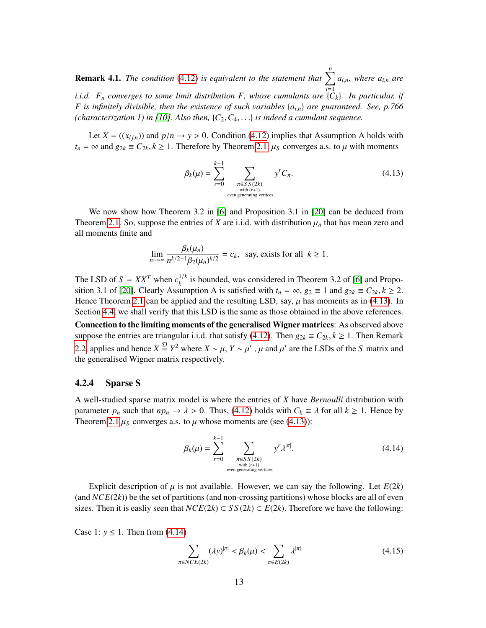<span id="page-12-4"></span>**Remark 4.1.** *The condition* [\(4.12\)](#page-11-0) *is equivalent to the statement that*  $\sum_{i=1}^{n} a_{i,n}$ *, where*  $a_{i,n}$  *are i*=1 *i.i.d. F<sup>n</sup> converges to some limit distribution F, whose cumulants are* {*Ck*}*. In particular, if F is infinitely divisible, then the existence of such variables* {*ai*,*n*} *are guaranteed. See, p.766 (characterization 1) in [\[10\]](#page-50-11). Also then,*  $\{C_2, C_4, \ldots\}$  *is indeed a cumulant sequence.* 

Let  $X = ((x_{i,j,n})$  and  $p/n \rightarrow y > 0$ . Condition [\(4.12\)](#page-11-0) implies that Assumption A holds with *t<sub>n</sub>* = ∞ and  $g_{2k}$  ≡  $C_{2k}$ ,  $k \ge 1$ . Therefore by Theorem [2.1,](#page-4-0)  $\mu_s$  converges a.s. to  $\mu$  with moments

<span id="page-12-1"></span>
$$
\beta_k(\mu) = \sum_{r=0}^{k-1} \sum_{\substack{\pi \in SS(2k) \\ \text{with } (r+1) \\ \text{even generating vertices}}} y^r C_{\pi}.
$$
\n(4.13)

We now show how Theorem 3.2 in [\[6\]](#page-50-4) and Proposition 3.1 in [\[20\]](#page-51-4) can be deduced from Theorem [2.1.](#page-4-0) So, suppose the entries of *X* are i.i.d. with distribution  $\mu_n$  that has mean zero and all moments finite and

$$
\lim_{n \to \infty} \frac{\beta_k(\mu_n)}{n^{k/2 - 1} \beta_2(\mu_n)^{k/2}} = c_k, \text{ say, exists for all } k \ge 1.
$$

The LSD of  $S = XX^T$  when  $c_k^{1/k}$  is bounded, was considered in Theorem 3.2 of [\[6\]](#page-50-4) and Propo-sition 3.1 of [\[20\]](#page-51-4). Clearly Assumption A is satisfied with  $t_n = \infty$ ,  $g_2 \equiv 1$  and  $g_{2k} \equiv C_{2k}$ ,  $k \ge 2$ . Hence Theorem [2.1](#page-4-0) can be applied and the resulting LSD, say,  $\mu$  has moments as in [\(4.13\)](#page-12-1). In Section [4.4,](#page-20-0) we shall verify that this LSD is the same as those obtained in the above references.

Connection to the limiting moments of the generalised Wigner matrices: As observed above suppose the entries are triangular i.i.d. that satisfy [\(4.12\)](#page-11-0). Then  $g_{2k} \equiv C_{2k}$ ,  $k \ge 1$ . Then Remark [2.2,](#page-5-1) applies and hence *X*<sup> $\frac{D}{2}$ </sup> *Y*<sup>2</sup> where *X* ∼ *μ*, *Y* ∼ *μ'*, *μ* and *μ'* are the LSDs of the *S* matrix and the generalised Wigner matrix respectively. the generalised Wigner matrix respectively.

#### <span id="page-12-0"></span>4.2.4 Sparse S

A well-studied sparse matrix model is where the entries of *X* have *Bernoulli* distribution with parameter  $p_n$  such that  $np_n \to \lambda > 0$ . Thus, [\(4.12\)](#page-11-0) holds with  $C_k \equiv \lambda$  for all  $k \ge 1$ . Hence by Theorem [2.1](#page-4-0)  $\mu$ <sub>S</sub> converges a.s. to  $\mu$  whose moments are (see [\(4.13\)](#page-12-1)):

<span id="page-12-2"></span>
$$
\beta_k(\mu) = \sum_{r=0}^{k-1} \sum_{\substack{\pi \in S \ S(2k) \\ \text{with } (r+1) \\ \text{even generating vertices}}} y^r \lambda^{|\pi|}.
$$
\n(4.14)

Explicit description of  $\mu$  is not available. However, we can say the following. Let  $E(2k)$ (and  $NCE(2k)$ ) be the set of partitions (and non-crossing partitions) whose blocks are all of even sizes. Then it is easliy seen that  $NCE(2k) \subset SS(2k) \subset E(2k)$ . Therefore we have the following:

Case 1: *y* ≤ 1. Then from  $(4.14)$ 

<span id="page-12-3"></span>
$$
\sum_{\pi \in NCE(2k)} (\lambda y)^{|\pi|} < \beta_k(\mu) < \sum_{\pi \in E(2k)} \lambda^{|\pi|} \tag{4.15}
$$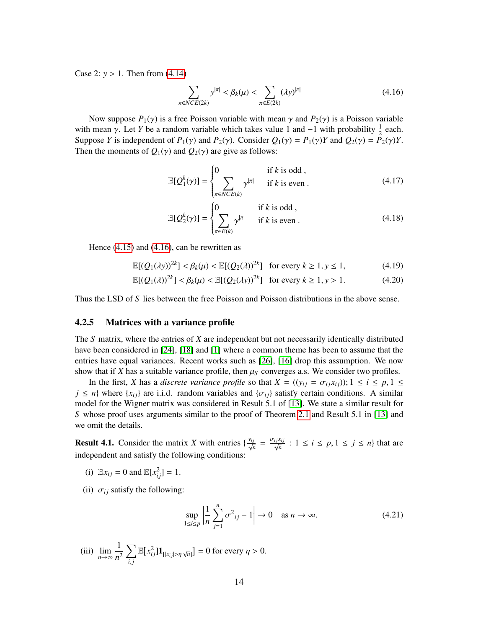Case 2: *<sup>y</sup>* > 1. Then from [\(4.14\)](#page-12-2)

<span id="page-13-1"></span>
$$
\sum_{\pi \in NCE(2k)} y^{|\pi|} < \beta_k(\mu) < \sum_{\pi \in E(2k)} (\lambda y)^{|\pi|} \tag{4.16}
$$

Now suppose  $P_1(y)$  is a free Poisson variable with mean  $\gamma$  and  $P_2(y)$  is a Poisson variable with mean *γ*. Let *Y* be a random variable which takes value 1 and -1 with probability  $\frac{1}{2}$  each.<br>Suppose *Y* is independent of *P*<sub>*i*</sub>(*x*) and *P*<sub>*i*</sub>(*x*) Consider *Q*<sub>*i*</sub>(*x*) = *P<sub><i>i*</sub>(*x*)*Y* and *Q*<sub>*i*</sub>( Suppose *Y* is independent of  $P_1(\gamma)$  and  $P_2(\gamma)$ . Consider  $Q_1(\gamma) = P_1(\gamma)Y$  and  $Q_2(\gamma) = P_2(\gamma)Y$ . Then the moments of  $Q_1(\gamma)$  and  $Q_2(\gamma)$  are give as follows:

$$
\mathbb{E}[Q_1^k(\gamma)] = \begin{cases} 0 & \text{if } k \text{ is odd,} \\ \sum_{\pi \in NCE(k)} \gamma^{|\pi|} & \text{if } k \text{ is even.} \end{cases}
$$
(4.17)

$$
\mathbb{E}[Q_2^k(\gamma)] = \begin{cases} 0 & \text{if } k \text{ is odd,} \\ \sum_{\pi \in E(k)} \gamma^{|\pi|} & \text{if } k \text{ is even.} \end{cases}
$$
(4.18)

Hence [\(4.15\)](#page-12-3) and [\(4.16\)](#page-13-1), can be rewritten as

$$
\mathbb{E}[(Q_1(\lambda y))^{2k}] < \beta_k(\mu) < \mathbb{E}[(Q_2(\lambda))^{2k}] \quad \text{for every } k \ge 1, y \le 1,
$$
 (4.19)

$$
\mathbb{E}[(Q_1(\lambda))^{2k}] < \beta_k(\mu) < \mathbb{E}[(Q_2(\lambda y))^{2k}] \text{ for every } k \ge 1, y > 1.
$$
 (4.20)

Thus the LSD of *S* lies between the free Poisson and Poisson distributions in the above sense.

### <span id="page-13-0"></span>4.2.5 Matrices with a variance profile

The *S* matrix, where the entries of *X* are independent but not necessarily identically distributed have been considered in [\[24\]](#page-51-2), [\[18\]](#page-51-6) and [\[1\]](#page-50-8) where a common theme has been to assume that the entries have equal variances. Recent works such as [\[26\]](#page-51-7), [\[16\]](#page-51-8) drop this assumption. We now show that if *X* has a suitable variance profile, then  $\mu<sub>S</sub>$  converges a.s. We consider two profiles.

In the first, *X* has a *discrete variance profile* so that  $X = ((y_{ij} = \sigma_{ij}x_{ij}))$ ;  $1 \le i \le p, 1 \le j$  $j \leq n$ } where {*x<sub>ij</sub>*} are i.i.d. random variables and { $\sigma_{ij}$ } satisfy certain conditions. A similar model for the Wigner matrix was considered in Result 5.1 of [\[13\]](#page-50-3). We state a similar result for *S* whose proof uses arguments similar to the proof of Theorem [2.1](#page-4-0) and Result 5.1 in [\[13\]](#page-50-3) and we omit the details.

**Result 4.1.** Consider the matrix *X* with entries  $\{\frac{y_{ij}}{\sqrt{n}} = \frac{\sigma_{ij}x_{ij}}{\sqrt{n}} : 1 \le i \le p, 1 \le j \le n\}$  that are independent and estisfy the following conditions: independent and satisfy the following conditions:

(i)  $\mathbb{E}x_{ij} = 0$  and  $\mathbb{E}[x_{ij}^2] = 1$ .

(ii)  $\sigma_{ij}$  satisfy the following:

<span id="page-13-2"></span>
$$
\sup_{1 \le i \le p} \left| \frac{1}{n} \sum_{j=1}^{n} \sigma^2_{ij} - 1 \right| \to 0 \quad \text{as } n \to \infty.
$$
 (4.21)

(iii) 
$$
\lim_{n \to \infty} \frac{1}{n^2} \sum_{i,j} \mathbb{E}[x_{ij}^2] \mathbf{1}_{[|x_{ij}| > \eta \sqrt{n}]} = 0 \text{ for every } \eta > 0.
$$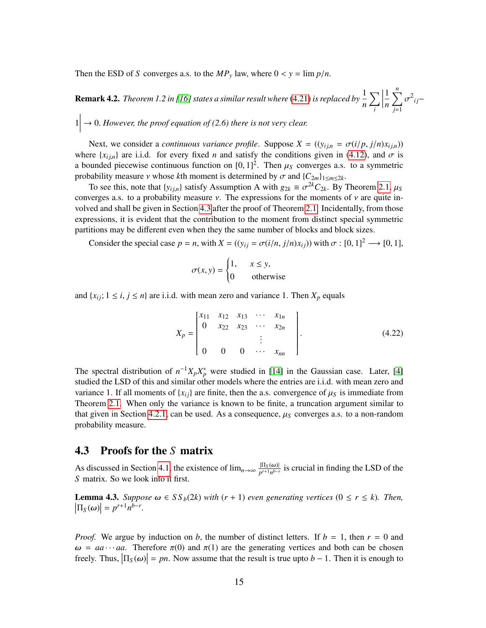Then the ESD of *S* converges a.s. to the  $MP_y$  law, where  $0 < y = \lim p/n$ .

**Remark 4.2.** *Theorem 1.2 in [\[16\]](#page-51-8) states a similar result where* [\(4.21\)](#page-13-2) *is replaced by*  $\frac{1}{n}$  $\nabla$ *i*  $\begin{array}{c} \n \downarrow \\ \n \downarrow \\ \n \downarrow \n \end{array}$ 1 *n*  $\sum_{n=1}^{n}$  $\sum_{j=1}$ <sup>2</sup> $ij$ −

 $1 \rightarrow 0$ . However, the proof equation of (2.6) there is not very clear.

Next, we consider a *continuous variance profile*. Suppose  $X = ((y_{ij,n} = \sigma(i/p, j/n)x_{ij,n}))$ where  $\{x_{i,j,n}\}$  are i.i.d. for every fixed *n* and satisfy the conditions given in [\(4.12\)](#page-11-0), and  $\sigma$  is a bounded piecewise continuous function on  $[0, 1]^2$ . Then  $\mu_S$  converges a.s. to a symmetric<br>probability measure *y* whose *k*th moment is determined by  $\sigma$  and  $[C_2, b_1, c_2]$ probability measure *ν* whose *k*th moment is determined by  $\sigma$  and { $C_{2m}$ }<sub>1≤*m*≤2*k*.</sub>

To see this, note that  $\{y_{ij,n}\}$  satisfy Assumption A with  $g_{2k} \equiv \sigma^{2k} C_{2k}$ . By Theorem [2.1,](#page-4-0)  $\mu_S$ <br>verges as to a probability measure y. The expressions for the moments of y are quite inconverges a.s. to a probability measure  $\nu$ . The expressions for the moments of  $\nu$  are quite involved and shall be given in Section [4.3](#page-14-0) after the proof of Theorem [2.1.](#page-4-0) Incidentally, from those expressions, it is evident that the contribution to the moment from distinct special symmetric partitions may be different even when they the same number of blocks and block sizes.

Consider the special case  $p = n$ , with  $X = ((y_{ij} = \sigma(i/n, j/n)x_{ij}))$  with  $\sigma : [0, 1]^2 \longrightarrow [0, 1]$ ,

<span id="page-14-2"></span>
$$
\sigma(x, y) = \begin{cases} 1, & x \le y, \\ 0 & \text{otherwise} \end{cases}
$$

and  $\{x_{ij}; 1 \le i, j \le n\}$  are i.i.d. with mean zero and variance 1. Then  $X_p$  equals

$$
X_p = \begin{bmatrix} x_{11} & x_{12} & x_{13} & \cdots & x_{1n} \\ 0 & x_{22} & x_{23} & \cdots & x_{2n} \\ & & & \vdots & \\ 0 & 0 & 0 & \cdots & x_{nn} \end{bmatrix}.
$$
 (4.22)

The spectral distribution of  $n^{-1}X_pX_p^*$  were studied in [\[14\]](#page-50-5) in the Gaussian case. Later, [\[4\]](#page-50-12) studied the LSD of this and similar other models where the entries are i.i.d. with mean zero and variance 1. If all moments of  $\{x_{ij}\}$  are finite, then the a.s. convergence of  $\mu<sub>S</sub>$  is immediate from Theorem [2.1.](#page-4-0) When only the variance is known to be finite, a truncation argument similar to that given in Section [4.2.1,](#page-10-2) can be used. As a consequence,  $\mu<sub>S</sub>$  converges a.s. to a non-random probability measure.

## <span id="page-14-0"></span>4.3 Proofs for the *S* matrix

As discussed in Section [4.1,](#page-6-2) the existence of  $\lim_{n\to\infty} \frac{|\Pi_S(\omega)|}{p^{r+1}n^{b-r}}$  is crucial in finding the LSD of the *S* matrix. So we look into it first.

<span id="page-14-1"></span>**Lemma 4.3.** *Suppose*  $\omega \in SS_b(2k)$  *with*  $(r + 1)$  *even generating vertices*  $(0 \le r \le k)$ *. Then,*  $\left| \Pi_S(\omega) \right| = p^{r+1} n^{b-r}.$ 

*Proof.* We argue by induction on *b*, the number of distinct letters. If  $b = 1$ , then  $r = 0$  and  $\omega = aa \cdots aa$ . Therefore  $\pi(0)$  and  $\pi(1)$  are the generating vertices and both can be chosen freely. Thus,  $|\Pi_S(\omega)| = pn$ . Now assume that the result is true upto *b* − 1. Then it is enough to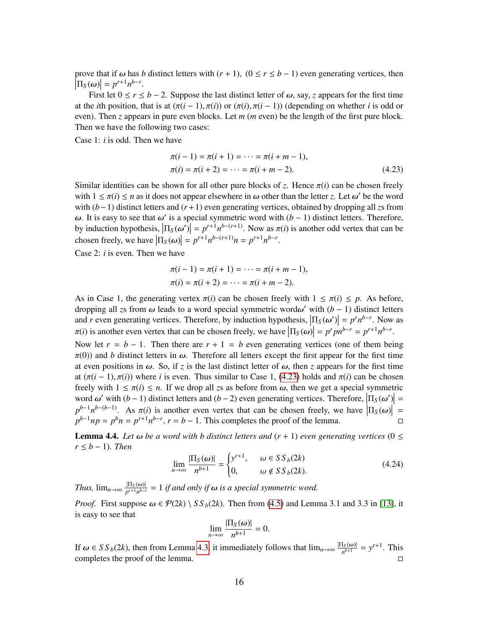prove that if  $\omega$  has *b* distinct letters with  $(r + 1)$ ,  $(0 \le r \le b - 1)$  even generating vertices, then  $\left| \Pi_S(\omega) \right| = p^{r+1} n^{b-r}.$  First let  $0 \le r \le$ 

First let  $0 \le r \le b - 2$ . Suppose the last distinct letter of  $\omega$ , say, *z* appears for the first time at the *i*th position, that is at  $(\pi(i-1), \pi(i))$  or  $(\pi(i), \pi(i-1))$  (depending on whether *i* is odd or even). Then *z* appears in pure even blocks. Let *m* (*m* even) be the length of the first pure block. Then we have the following two cases:

Case 1: *i* is odd. Then we have

<span id="page-15-0"></span>
$$
\pi(i-1) = \pi(i+1) = \dots = \pi(i+m-1),
$$
  
\n
$$
\pi(i) = \pi(i+2) = \dots = \pi(i+m-2).
$$
\n(4.23)

Similar identities can be shown for all other pure blocks of *z*. Hence  $\pi(i)$  can be chosen freely with  $1 \le \pi(i) \le n$  as it does not appear elsewhere in  $\omega$  other than the letter *z*. Let  $\omega'$  be the word with (*b*−1) distinct letters and (*r*+1) even generating vertices, obtained by dropping all *z*s from ω. It is easy to see that ω' is a special symmetric word with  $(b - 1)$  distinct letters. Therefore,<br>by induction bypothesis  $|\Pi_0(\omega)| = n^{r+1}n^{b-(r+1)}$ . Now as  $\pi(i)$  is another odd vertex that can be by induction hypothesis,  $\left|\Pi_S(\omega')\right| = p^{r+1}n^{b-(r+1)}$ . Now as  $\pi(i)$  is another odd vertex that can be aboven freely we have  $\left|\Pi_S(\omega)\right| = n^{r+1}n^{b-(r+1)}$ .  $n = n^{r+1}n^{b-r}$ chosen freely, we have  $|\Pi_S(\omega)| = p^{r+1} n^{b-(r+1)} n = p^{r+1} n^{b-r}$ .

Case 2: *i* is even. Then we have

$$
\pi(i-1) = \pi(i+1) = \dots = \pi(i+m-1),
$$
  
\n
$$
\pi(i) = \pi(i+2) = \dots = \pi(i+m-2).
$$

As in Case 1, the generating vertex  $\pi(i)$  can be chosen freely with  $1 \leq \pi(i) \leq p$ . As before, dropping all zs from  $\omega$  leads to a word special symmetric word $\omega'$  with  $(b - 1)$  distinct letters and *r* even generating vertices. Therefore, by induction hypothesis,  $\left|\Pi_S(\omega')\right| = p^r n^{b-r}$ . Now as  $\tau(i)$  is another aven vertex that can be chosen freely we have  $\left|\Pi_S(\omega)\right| = n^r n^{b-r} = n^{r+1} n^{b-r}$  $\pi(i)$  is another even vertex that can be chosen freely, we have  $\left| \Pi_S(\omega) \right| = p^r p n^{b-r} = p^{r+1} n^{b-r}$ .

Now let  $r = b - 1$ . Then there are  $r + 1 = b$  even generating vertices (one of them being  $\pi(0)$ ) and *b* distinct letters in  $\omega$ . Therefore all letters except the first appear for the first time at even positions in  $\omega$ . So, if *z* is the last distinct letter of  $\omega$ , then *z* appears for the first time at  $(\pi(i-1), \pi(i))$  where *i* is even. Thus similar to Case 1, [\(4.23\)](#page-15-0) holds and  $\pi(i)$  can be chosen freely with  $1 \leq \pi(i) \leq n$ . If we drop all zs as before from  $\omega$ , then we get a special symmetric word  $\omega'$  with  $(b-1)$  distinct letters and  $(b-2)$  even generating vertices. Therefore,  $|\Pi_S(\omega')| =$ <br> $b^{-1}b^{-(b-1)}$ . As  $\pi(i)$  is apother aven vertex that ear he shopen freely we have  $|\Pi_S(\omega)| =$  $p^{b-1}n^{b-(b-1)}$ . As  $\pi(i)$  is another even vertex that can be chosen freely, we have  $\left|\Pi_S(\omega)\right| =$ <br> $p^{b-1}n p = p^{b}n = p^{r+1}p^{b-r}$ ,  $r = b-1$ . This completes the proof of the lemma  $p^{b-1}np = p^bn = p^{r+1}n^{b-r}$ ,  $r = b - 1$ . This completes the proof of the lemma.

<span id="page-15-1"></span>**Lemma 4.4.** *Let*  $\omega$  *be a word with b distinct letters and*  $(r + 1)$  *even generating vertices*  $(0 \leq$ *r* ≤ *b* − 1)*. Then*

$$
\lim_{n \to \infty} \frac{|\Pi_S(\omega)|}{n^{b+1}} = \begin{cases} y^{r+1}, & \omega \in S \, S_b(2k) \\ 0, & \omega \notin S \, S_b(2k). \end{cases} \tag{4.24}
$$

*Thus,*  $\lim_{n\to\infty} \frac{|\Pi_S(\omega)|}{p^{r+1}n^{b-r}} = 1$  *if and only if*  $\omega$  *is a special symmetric word.* 

*Proof.* First suppose  $\omega \in \mathcal{P}(2k) \setminus SS_b(2k)$ . Then from [\(4.5\)](#page-8-0) and Lemma 3.1 and 3.3 in [\[13\]](#page-50-3), it is easy to see that

$$
\lim_{n\to\infty}\frac{|\Pi_S(\omega)|}{n^{b+1}}=0.
$$

If  $\omega \in SS_b(2k)$ , then from Lemma [4.3,](#page-14-1) it immediately follows that  $\lim_{n\to\infty} \frac{|\Pi_S(\omega)|}{n^{b+1}} = y^{r+1}$ . This completes the proof of the lemma completes the proof of the lemma.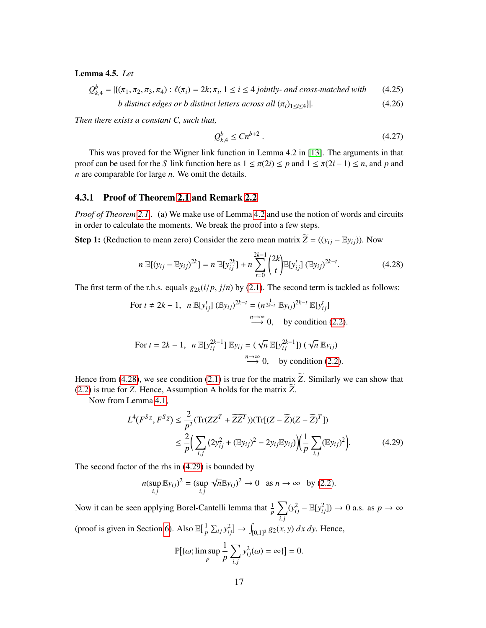<span id="page-16-3"></span>Lemma 4.5. *Let*

$$
Q_{k,4}^{b} = |\{(\pi_1, \pi_2, \pi_3, \pi_4) : \ell(\pi_i) = 2k; \pi_i, 1 \le i \le 4 \text{ jointly- and cross-matched with} \qquad (4.25)
$$

*b* distinct edges or *b* distinct letters across all 
$$
(\pi_i)_{1 \leq i \leq 4}
$$
 }. (4.26)

*Then there exists a constant C, such that,*

<span id="page-16-4"></span><span id="page-16-1"></span>
$$
Q_{k,4}^b \le C n^{b+2} \,. \tag{4.27}
$$

This was proved for the Wigner link function in Lemma 4.2 in [\[13\]](#page-50-3). The arguments in that proof can be used for the *S* link function here as  $1 \leq \pi(2i) \leq p$  and  $1 \leq \pi(2i-1) \leq n$ , and p and *n* are comparable for large *n*. We omit the details.

### <span id="page-16-0"></span>4.3.1 Proof of Theorem [2.1](#page-4-0) and Remark [2.2](#page-5-1)

*Proof of Theorem [2.1](#page-4-0) .* (a) We make use of Lemma [4.2](#page-10-1) and use the notion of words and circuits in order to calculate the moments. We break the proof into a few steps.

Step 1: (Reduction to mean zero) Consider the zero mean matrix  $\widetilde{Z} = ((y_{ij} - \mathbb{E}y_{ij}))$ . Now

$$
n \mathbb{E}[(y_{ij} - \mathbb{E}y_{ij})^{2k}] = n \mathbb{E}[y_{ij}^{2k}] + n \sum_{t=0}^{2k-1} {2k \choose t} \mathbb{E}[y_{ij}^t] (\mathbb{E}y_{ij})^{2k-t}.
$$
 (4.28)

The first term of the r.h.s. equals  $g_{2k}(i/p, j/n)$  by [\(2.1\)](#page-4-3). The second term is tackled as follows:

For 
$$
t \neq 2k - 1
$$
,  $n \mathbb{E}[y_{ij}^t] (\mathbb{E}y_{ij})^{2k-t} = (n^{\frac{1}{2k-t}} \mathbb{E}y_{ij})^{2k-t} \mathbb{E}[y_{ij}^t]$   
\n $\xrightarrow{n \to \infty} 0$ , by condition (2.2).  
\nFor  $t = 2k - 1$ ,  $n \mathbb{E}[y_{ij}^{2k-1}] \mathbb{E}y_{ij} = (\sqrt{n} \mathbb{E}[y_{ij}^{2k-1}] ) (\sqrt{n} \mathbb{E}y_{ij})$   
\n $\xrightarrow{n \to \infty} 0$ , by condition (2.2).

Hence from [\(4.28\)](#page-16-1), we see condition [\(2.1\)](#page-4-3) is true for the matrix  $\widetilde{Z}$ . Similarly we can show that [\(2.2\)](#page-4-4) is true for  $\widetilde{Z}$ . Hence, Assumption A holds for the matrix  $\widetilde{Z}$ .

Now from Lemma [4.1,](#page-10-3)

$$
L^{4}(F^{Sz}, F^{Sz}) \leq \frac{2}{p^{2}} (\text{Tr}(ZZ^{T} + \widetilde{ZZ}^{T})) (\text{Tr}[(Z - \widetilde{Z})(Z - \widetilde{Z})^{T}])
$$
  
 
$$
\leq \frac{2}{p} \Big( \sum_{i,j} (2y_{ij}^{2} + (\mathbb{E}y_{ij})^{2} - 2y_{ij} \mathbb{E}y_{ij}) \Big) \Big( \frac{1}{p} \sum_{i,j} (\mathbb{E}y_{ij})^{2} \Big).
$$
 (4.29)

The second factor of the rhs in [\(4.29\)](#page-16-2) is bounded by

$$
n(\sup_{i,j} \mathbb{E}y_{ij})^2 = (\sup_{i,j} \sqrt{n} \mathbb{E}y_{ij})^2 \to 0 \text{ as } n \to \infty \text{ by (2.2)}.
$$

Now it can be seen applying Borel-Cantelli lemma that  $\frac{1}{p}\sum_{j} (y_{ij}^2 - \mathbb{E}[y_{ij}^2]) \to 0$  a.s. as  $p \to \infty$ *i*, *j* (proof is given in Section [6\)](#page-45-0). Also  $\mathbb{E}[\frac{1}{n}]$  $\frac{1}{p}$   $\sum_{ij} y_{ij}^2$   $\rightarrow$   $\int_{[0,1]^2} g_2(x, y) dx dy$ . Hence,

<span id="page-16-2"></span>
$$
\mathbb{P}[\{\omega; \limsup_{p} \frac{1}{p} \sum_{i,j} y_{ij}^2(\omega) = \infty\}] = 0.
$$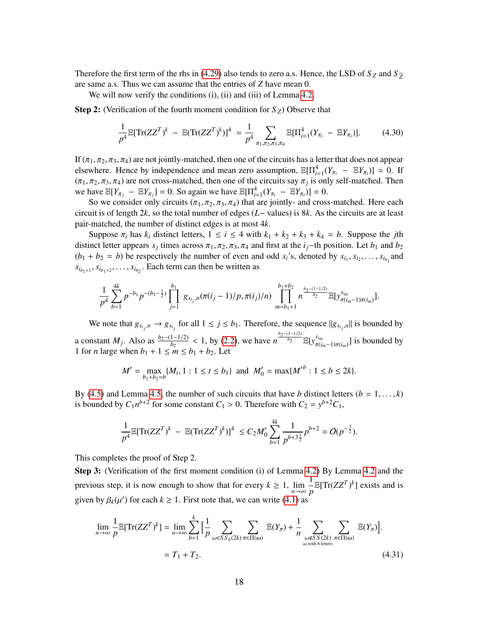Therefore the first term of the rhs in [\(4.29\)](#page-16-2) also tends to zero a.s. Hence, the LSD of  $S_Z$  and  $S_{\tilde{Z}}$ are same a.s. Thus we can assume that the entries of *Z* have mean 0.

We will now verify the conditions (i), (ii) and (iii) of Lemma [4.2.](#page-10-1)

**Step 2:** (Verification of the fourth moment condition for  $S_Z$ ) Observe that

$$
\frac{1}{p^4} \mathbb{E}[\text{Tr}(ZZ^T)^k - \mathbb{E}(\text{Tr}(ZZ^T)^k)]^4 = \frac{1}{p^4} \sum_{\pi_1, \pi_2, \pi_3, \pi_4} \mathbb{E}[\Pi_{i=1}^4 (Y_{\pi_i} - \mathbb{E}Y_{\pi_i})]. \tag{4.30}
$$

If  $(\pi_1, \pi_2, \pi_3, \pi_4)$  are not jointly-matched, then one of the circuits has a letter that does not appear elsewhere. Hence by independence and mean zero assumption,  $\mathbb{E}[\Pi_{i=1}^4(Y_{\pi_i} - \mathbb{E}Y_{\pi_i})] = 0$ . If  $(\pi_1, \pi_2, \pi_3, \pi_4)$  are not cross-matched, then one of the circuits say  $\pi_j$  is only self-matched. Then<br>we have  $\mathbb{E}[Y] = \mathbb{E}[Y] = 0$ . So again we have  $\mathbb{E}[\Pi^4 (X] = \mathbb{E}[Y]] = 0$ . we have  $\mathbb{E}[Y_{\pi_j} - \mathbb{E}Y_{\pi_j}] = 0$ . So again we have  $\mathbb{E}[\Pi_{i=1}^4(Y_{\pi_i} - \mathbb{E}Y_{\pi_i})] = 0$ .<br>So we consider only simplify  $(\pi, \pi, \pi, \pi)$  that are isintly and areas

So we consider only circuits  $(\pi_1, \pi_2, \pi_3, \pi_4)$  that are jointly- and cross-matched. Here each circuit is of length 2*k*, so the total number of edges (*L*− values) is 8*k*. As the circuits are at least pair-matched, the number of distinct edges is at most 4*k*.

Suppose  $\pi_i$  has  $k_i$  distinct letters,  $1 \le i \le 4$  with  $k_1 + k_2 + k_3 + k_4 = b$ . Suppose the *j*th distinct letter appears *s*<sub>*j*</sub> times across  $\pi_1$ ,  $\pi_2$ ,  $\pi_3$ ,  $\pi_4$  and first at the *i<sub>j</sub>*−th position. Let *b*<sub>1</sub> and *b*<sub>2</sub> (*b*<sub>1</sub> + *b*) be respectively the number of even and odd s's denoted by *s*<sub>1</sub> s<sub>1</sub>  $(b_1 + b_2 = b)$  be respectively the number of even and odd  $s_i$ 's, denoted by  $s_{i_1}, s_{i_2}, \ldots, s_{i_{b_1}}$  and  $s_{i_{b_1+1}}, s_{i_{b_1+2}}, \ldots, s_{i_{b_2}}$ . Each term can then be written as

$$
\frac{1}{p^4}\sum_{b=1}^{4k}p^{-b_1}p^{-(b_2-\frac{1}{2})}\prod_{j=1}^{b_1}g_{s_{i_j},n}(\pi(i_j-1)/p,\pi(i_j)/n)\prod_{m=b_1+1}^{b_1+b_2}n^{\frac{b_2-(1-1/2)}{b_2}}\mathbb{E}[y_{\pi(i_m-1)\pi(i_m)}^{s_{im}}].
$$

We note that  $g_{s_{i_j},n} \to g_{s_{i_j}}$  for all  $1 \leq j \leq b_1$ . Therefore, the sequence  $||g_{s_{i_j},n}||$  is bounded by  $j^{\mu}$   $\sigma_{\mu}$   $j^{\mu}$   $\sigma_{\mu}$   $j^{\mu}$   $\sigma_{\mu}$   $\sigma_{\mu}$   $\sigma_{\mu}$   $\sigma_{\mu}$   $\sigma_{\mu}$   $\sigma_{\mu}$   $\sigma_{\mu}$   $\sigma_{\mu}$ a constant *M*<sup>*j*</sup>. Also as  $\frac{b_2-(1-1/2)}{b_2} < 1$ , by [\(2.2\)](#page-4-4), we have  $n^{\frac{b_2-(1-1/2)}{b_2}} \mathbb{E}[y_{\pi(i)}^{s_{im}}]$  $\left[\frac{s_{im}}{\pi(i_m-1)\pi(i_m)}\right]$  is bounded by 1 for *n* large when  $b_1 + 1 \le m \le b_1 + b_2$ . Let

$$
M' = \max_{b_1 + b_2 = b} \{M_t, 1 : 1 \le t \le b_1\} \text{ and } M'_0 = \max\{M'^b : 1 \le b \le 2k\}.
$$

By [\(4.5\)](#page-8-0) and Lemma [4.5,](#page-16-3) the number of such circuits that have *b* distinct letters  $(b = 1, \ldots, k)$ is bounded by  $C_1 n^{b+2}$  for some constant  $C_1 > 0$ . Therefore with  $C_2 = y^{b+2}C_1$ ,

$$
\frac{1}{p^4} \mathbb{E}[\text{Tr}(ZZ^T)^k - \mathbb{E}(\text{Tr}(ZZ^T)^k)]^4 \leq C_2 M_0' \sum_{b=1}^{4k} \frac{1}{p^{b+3\frac{1}{2}}} p^{b+2} = O(p^{-\frac{3}{2}}).
$$

This completes the proof of Step 2.

Step 3: (Verification of the first moment condition (i) of Lemma [4.2\)](#page-10-1) By Lemma [4.2](#page-10-1) and the previous step, it is now enough to show that for every  $k \ge 1$ ,  $\lim_{n \to \infty}$ 1  $\frac{1}{p}$  E[Tr( $ZZ^T$ )<sup>k</sup>] exists and is given by  $\beta_k(\mu')$  for each  $k \ge 1$ . First note that, we can write [\(4.1\)](#page-7-0) as

<span id="page-17-0"></span>
$$
\lim_{n \to \infty} \frac{1}{p} \mathbb{E}[Tr(ZZ^T)^k] = \lim_{n \to \infty} \sum_{b=1}^k \Big[ \frac{1}{p} \sum_{\omega \in SS_b(2k)} \sum_{\pi \in \Pi(\omega)} \mathbb{E}(Y_{\pi}) + \frac{1}{n} \sum_{\omega \notin SS(2k)} \sum_{\pi \in \Pi(\omega)} \mathbb{E}(Y_{\pi}) \Big].
$$
\n
$$
= T_1 + T_2.
$$
\n(4.31)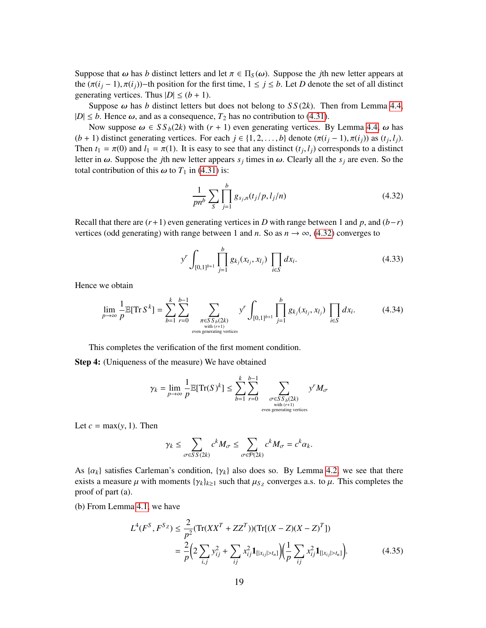Suppose that  $\omega$  has *b* distinct letters and let  $\pi \in \Pi_S(\omega)$ . Suppose the *j*th new letter appears at the  $(\pi(i_i-1), \pi(i_i))$ −th position for the first time,  $1 \leq j \leq b$ . Let *D* denote the set of all distinct generating vertices. Thus  $|D| \le (b+1)$ .

Suppose  $\omega$  has *b* distinct letters but does not belong to *SS(2k)*. Then from Lemma [4.4,](#page-15-1)  $|D| \leq b$ . Hence  $\omega$ , and as a consequence,  $T_2$  has no contribution to [\(4.31\)](#page-17-0).

Now suppose  $\omega \in SS_b(2k)$  with  $(r + 1)$  even generating vertices. By Lemma [4.4,](#page-15-1)  $\omega$  has (*b* + 1) distinct generating vertices. For each  $j \in \{1, 2, ..., b\}$  denote  $(\pi(i_j - 1), \pi(i_j))$  as  $(t_j, l_j)$ .<br>Then  $t_i = \pi(0)$  and  $l_i = \pi(1)$ . It is easy to see that any distinct  $(t_i, l_i)$  corresponds to a distinct Then  $t_1 = \pi(0)$  and  $l_1 = \pi(1)$ . It is easy to see that any distinct  $(t_j, l_j)$  corresponds to a distinct letter in  $\omega$ . Suppose the *i*<sup>th</sup> new letter appears s, times in  $\omega$ . Clearly all the s, are even. So the letter in  $\omega$ . Suppose the *j*th new letter appears  $s_j$  times in  $\omega$ . Clearly all the  $s_j$  are even. So the total contribution of this  $\omega$  to  $T_s$  in  $(4, 31)$  is: total contribution of this  $\omega$  to  $T_1$  in [\(4.31\)](#page-17-0) is:

<span id="page-18-1"></span>
$$
\frac{1}{p n^b} \sum_{S} \prod_{j=1}^{b} g_{s_j,n}(t_j/p, l_j/n)
$$
\n(4.32)

Recall that there are  $(r+1)$  even generating vertices in *D* with range between 1 and *p*, and  $(b-r)$ vertices (odd generating) with range between 1 and *n*. So as  $n \to \infty$ , [\(4.32\)](#page-18-1) converges to

<span id="page-18-3"></span><span id="page-18-0"></span>
$$
y^{r} \int_{[0,1]^{b+1}} \prod_{j=1}^{b} g_{k_j}(x_{t_j}, x_{t_j}) \prod_{i \in S} dx_i.
$$
 (4.33)

Hence we obtain

$$
\lim_{p \to \infty} \frac{1}{p} \mathbb{E}[\text{Tr}\, S^k] = \sum_{b=1}^k \sum_{r=0}^{b-1} \sum_{\substack{\pi \in S \, S_b(2k) \\ \text{with } (r+1) \\ \text{even generating vertices}}} y^r \int_{[0,1]^{b+1}} \prod_{j=1}^b g_{k_j}(x_{t_j}, x_{l_j}) \prod_{i \in S} dx_i. \tag{4.34}
$$

This completes the verification of the first moment condition.

Step 4: (Uniqueness of the measure) We have obtained

$$
\gamma_k = \lim_{p \to \infty} \frac{1}{p} \mathbb{E}[\text{Tr}(S)^k] \le \sum_{b=1}^k \sum_{r=0}^{b-1} \sum_{\substack{\sigma \in SS_b(2k) \\ \text{with } (r+1) \\ \text{even generating vertices}}} y^r M_{\sigma}
$$

Let  $c = \max(y, 1)$ . Then

<span id="page-18-2"></span>
$$
\gamma_k \leq \sum_{\sigma \in SS(2k)} c^k M_{\sigma} \leq \sum_{\sigma \in \mathcal{P}(2k)} c^k M_{\sigma} = c^k \alpha_k.
$$

As  $\{\alpha_k\}$  satisfies Carleman's condition,  $\{\gamma_k\}$  also does so. By Lemma [4.2,](#page-10-1) we see that there exists a measure  $\mu$  with moments  $\{\gamma_k\}_{k\geq 1}$  such that  $\mu_{S_Z}$  converges a.s. to  $\mu$ . This completes the proof of part (a) proof of part (a).

(b) From Lemma [4.1,](#page-10-3) we have

$$
L^{4}(F^{S}, F^{Sz}) \leq \frac{2}{p^{2}} (\text{Tr}(XX^{T} + ZZ^{T})) (\text{Tr}[(X - Z)(X - Z)^{T}])
$$
  
= 
$$
\frac{2}{p} \Big( 2 \sum_{i,j} y_{ij}^{2} + \sum_{ij} x_{ij}^{2} \mathbf{1}_{[|x_{ij}| > t_{n}]} \Big) \Big( \frac{1}{p} \sum_{ij} x_{ij}^{2} \mathbf{1}_{[|x_{ij}| > t_{n}]} \Big).
$$
 (4.35)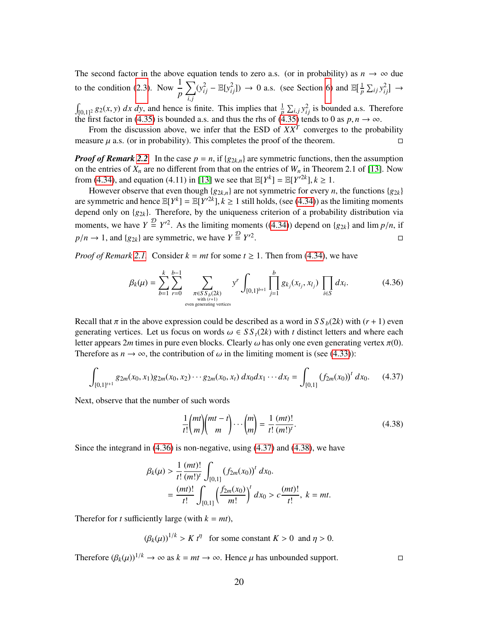The second factor in the above equation tends to zero a.s. (or in probability) as  $n \to \infty$  due to the condition [\(2.3\)](#page-4-2). Now  $\frac{1}{p}$  $\sum (y_{ij}^2 - \mathbb{E}[y_{ij}^2]) \rightarrow 0$  a.s. (see Section [6\)](#page-45-0) and  $\mathbb{E}[\frac{1}{p}]$  $\frac{1}{p}$   $\sum_{ij} y_{ij}^2$   $\rightarrow$ 

 $\int_{[0,1]^2} g_2(x, y) dx dy$ , and hence is finite. This implies that  $\frac{1}{p} \sum_{i,j} y_{ij}^2$  is bounded a.s. Therefore the first factor in (4.35) is bounded a.s. and thus the rhs of (4.35) tends to 0 as *n*  $n \to \infty$ the first factor in [\(4.35\)](#page-18-2) is bounded a.s. and thus the rhs of (4.35) tends to 0 as  $p, n \to \infty$ .<br>From the discussion above, we infer that the FSD of *XX<sup>T</sup>* converges to the prob-

From the discussion above, we infer that the ESD of  $XX<sup>T</sup>$  converges to the probability measure  $\mu$  a.s. (or in probability). This completes the proof of the theorem.

*Proof of Remark [2.2](#page-5-1).* In the case  $p = n$ , if  $\{g_{2k,n}\}\$ are symmetric functions, then the assumption on the entries of  $X_n$  are no different from that on the entries of  $W_n$  in Theorem 2.1 of [\[13\]](#page-50-3). Now from [\(4.34\)](#page-18-0), and equation (4.11) in [\[13\]](#page-50-3) we see that  $\mathbb{E}[Y^k] = \mathbb{E}[Y'^{2k}], k \ge 1$ .<br>However observe that even though  $\{g_k\}$ , ken not symmetric for every *n* 

However observe that even though  ${g_{2k,n}}$  are not symmetric for every *n*, the functions  ${g_{2k}}$ are symmetric and hence  $\mathbb{E}[Y^k] = \mathbb{E}[Y^{2k}], k \ge 1$  still holds, (see [\(4.34\)](#page-18-0)) as the limiting moments<br>depend only on  $\{g_k\}$ . Therefore, by the uniqueness criterion of a probability distribution via depend only on {*g*2*k*}. Therefore, by the uniqueness criterion of a probability distribution via moments, we have  $Y \stackrel{\mathcal{D}}{=} Y'^2$ . As the limiting moments ([\(4.34\)](#page-18-0)) depend on {*g*<sub>2*k*</sub>} and lim *p*/*n*, if  $p/n \to 1$ , and {*g*<sub>2*k*</sub>} are symmetric, we have  $Y \stackrel{\mathcal{D}}{=} Y'^2$ .

*Proof of Remark* [2.1.](#page-5-2) Consider  $k = mt$  for some  $t \ge 1$ . Then from [\(4.34\)](#page-18-0), we have

$$
\beta_k(\mu) = \sum_{b=1}^k \sum_{r=0}^{b-1} \sum_{\substack{\pi \in S \, S \, b(2k) \\ \text{with } (r+1) \\ \text{even generating vertices}}} y^r \int_{[0,1]^{b+1}} \prod_{j=1}^b g_{k_j}(x_{t_j}, x_{l_j}) \prod_{i \in S} dx_i.
$$
 (4.36)

Recall that  $\pi$  in the above expression could be described as a word in  $S S_b(2k)$  with ( $r + 1$ ) even generating vertices. Let us focus on words  $\omega \in SS_t(2k)$  with *t* distinct letters and where each letter appears 2*m* times in pure even blocks. Clearly  $\omega$  has only one even generating vertex  $\pi(0)$ . Therefore as  $n \to \infty$ , the contribution of  $\omega$  in the limiting moment is (see [\(4.33\)](#page-18-3)):

<span id="page-19-1"></span>
$$
\int_{[0,1]^{t+1}} g_{2m}(x_0, x_1) g_{2m}(x_0, x_2) \cdots g_{2m}(x_0, x_t) dx_0 dx_1 \cdots dx_t = \int_{[0,1]} (f_{2m}(x_0))^t dx_0.
$$
 (4.37)

Next, observe that the number of such words

<span id="page-19-2"></span><span id="page-19-0"></span>
$$
\frac{1}{t!} \binom{mt}{m} \binom{mt-t}{m} \cdots \binom{m}{m} = \frac{1}{t!} \frac{(mt)!}{(m!)^t}.
$$
\n(4.38)

Since the integrand in [\(4.36\)](#page-19-0) is non-negative, using [\(4.37\)](#page-19-1) and [\(4.38\)](#page-19-2), we have

$$
\beta_k(\mu) > \frac{1}{t!} \frac{(mt)!}{(m!)^t} \int_{[0,1]} (f_{2m}(x_0))^t dx_0.
$$
  
= 
$$
\frac{(mt)!}{t!} \int_{[0,1]} \left(\frac{f_{2m}(x_0)}{m!}\right)^t dx_0 > c \frac{(mt)!}{t!}, \ k = mt.
$$

Therefor for *t* sufficiently large (with  $k = mt$ ),

 $(\beta_k(\mu))^{1/k} > K t^{\eta}$  for some constant  $K > 0$  and  $\eta > 0$ .

Therefore  $(\beta_k(\mu))^{1/k} \to \infty$  as  $k = mt \to \infty$ . Hence  $\mu$  has unbounded support.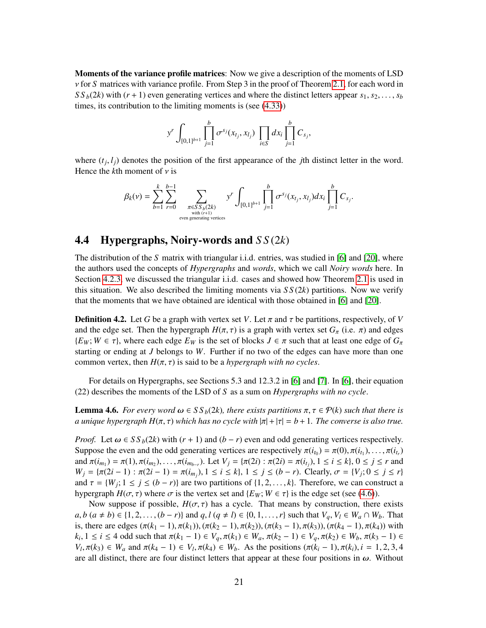Moments of the variance profile matrices: Now we give a description of the moments of LSD ν for *<sup>S</sup>* matrices with variance profile. From Step 3 in the proof of Theorem [2.1,](#page-4-0) for each word in  $SS_b(2k)$  with  $(r + 1)$  even generating vertices and where the distinct letters appear  $s_1, s_2, \ldots, s_b$ times, its contribution to the limiting moments is (see [\(4.33\)](#page-18-3))

$$
y^{r} \int_{[0,1]^{b+1}} \prod_{j=1}^{b} \sigma^{sj}(x_{t_j}, x_{t_j}) \prod_{i \in S} dx_{i} \prod_{j=1}^{b} C_{s_j},
$$

where  $(t_j, l_j)$  denotes the position of the first appearance of the *j*th distinct letter in the word.<br>Hence the *k*th moment of *y* is Hence the  $k$ th moment of  $\nu$  is

$$
\beta_k(\nu) = \sum_{b=1}^k \sum_{r=0}^{b-1} \sum_{\substack{\pi \in SS_b(2k) \\ \text{with } (r+1) \\ \text{even generating vertices}}} y^r \int_{[0,1]^{b+1}} \prod_{j=1}^b \sigma^{s_j}(x_{t_j}, x_{t_j}) dx_i \prod_{j=1}^b C_{s_j}.
$$

## <span id="page-20-0"></span>4.4 Hypergraphs, Noiry-words and *S S* (2*k*)

The distribution of the *S* matrix with triangular i.i.d. entries, was studied in [\[6\]](#page-50-4) and [\[20\]](#page-51-4), where the authors used the concepts of *Hypergraphs* and *words*, which we call *Noiry words* here. In Section [4.2.3,](#page-11-1) we discussed the triangular i.i.d. cases and showed how Theorem [2.1](#page-4-0) is used in this situation. We also described the limiting moments via  $SS(2k)$  partitions. Now we verify that the moments that we have obtained are identical with those obtained in [\[6\]](#page-50-4) and [\[20\]](#page-51-4).

**Definition 4.2.** Let G be a graph with vertex set V. Let  $\pi$  and  $\tau$  be partitions, respectively, of V and the edge set. Then the hypergraph  $H(\pi, \tau)$  is a graph with vertex set  $G_{\pi}$  (i.e.  $\pi$ ) and edges  ${E_W; W \in \tau}$ , where each edge  $E_W$  is the set of blocks  $J \in \pi$  such that at least one edge of  $G_\pi$ starting or ending at *J* belongs to *W*. Further if no two of the edges can have more than one common vertex, then  $H(\pi, \tau)$  is said to be a *hypergraph with no cycles*.

For details on Hypergraphs, see Sections 5.3 and 12.3.2 in [\[6\]](#page-50-4) and [\[7\]](#page-50-13). In [\[6\]](#page-50-4), their equation (22) describes the moments of the LSD of *S* as a sum on *Hypergraphs with no cycle*.

<span id="page-20-1"></span>**Lemma 4.6.** *For every word*  $ω ∈ S S<sub>b</sub>(2k)$ *, there exists partitions*  $π, τ ∈ P(k)$  *such that there is a unique hypergraph H*( $\pi$ ,  $\tau$ ) *which has no cycle with*  $|\pi| + |\tau| = b + 1$ *. The converse is also true.* 

*Proof.* Let  $\omega \in SS_b(2k)$  with  $(r + 1)$  and  $(b - r)$  even and odd generating vertices respectively. Suppose the even and the odd generating vertices are respectively  $\pi(i_{t_0}) = \pi(0), \pi(i_{t_1}), \ldots, \pi(i_{t_r})$ <br>and  $\pi(i) = \pi(1), \pi(i)$  and  $\pi(i) = \pi(i)$  and  $\pi(i) = \pi(i)$  and  $\pi(i) = \pi(1), \pi(i) = \pi(i)$ and  $\pi(i_{m_1}) = \pi(1), \pi(i_{m_2}), \dots, \pi(i_{m_{b-r}})$ . Let  $V_j = {\pi(2i) : \pi(2i) = \pi(i_{t_j}), 1 \le i \le k}, 0 \le j \le r$  and  $W_j = {\pi(2i-1) : \pi(2i-1) = \pi(i-1) + \pi(j-1) \le j \le k}$ . Let  $V_j = {\pi(2i) : \pi(2i-1) = \pi(i-1) + \pi(j-1) \le j \le k}$ .  $W_j = \{\pi(2i-1) : \pi(2i-1) = \pi(i_{m_j}), 1 \le i \le k\}, 1 \le j \le (b-r)$ . Clearly,  $\sigma = \{V_j; 0 \le j \le r\}$ <br>and  $\tau = \{W_j : 1 \le j \le (b-r)\}$  are two partitions of 1.2  $k!$ . Therefore, we can construct a and  $\tau = \{W_j; 1 \le j \le (b - r)\}\$  are two partitions of  $\{1, 2, ..., k\}$ . Therefore, we can construct a hypergraph  $H(\tau, \tau)$  where  $\tau$  is the vertex set and  $\{F_{\tau\tau}: W \in \tau\}$  is the edge set (see (4.6)) hypergraph  $H(\sigma, \tau)$  where  $\sigma$  is the vertex set and  $\{E_W; W \in \tau\}$  is the edge set (see [\(4.6\)](#page-20-1)).

Now suppose if possible,  $H(\sigma, \tau)$  has a cycle. That means by construction, there exists  $a, b \ (a \neq b) \in \{1, 2, \ldots, (b - r)\}\$  and  $q, l \ (q \neq l) \in \{0, 1, \ldots, r\}$  such that  $V_q, V_l \in W_a \cap W_b$ . That is, there are edges  $(\pi(k_1 - 1), \pi(k_1)), (\pi(k_2 - 1), \pi(k_2)), (\pi(k_3 - 1), \pi(k_3)), (\pi(k_4 - 1), \pi(k_4))$  with  $k_i, 1 \le i \le 4$  odd such that  $\pi(k_1 - 1) \in V_q$ ,  $\pi(k_1) \in W_a$ ,  $\pi(k_2 - 1) \in V_q$ ,  $\pi(k_2) \in W_b$ ,  $\pi(k_3 - 1) \in V_s$ <br>*V*<sub>i</sub>  $\pi(k_4) \in W_s$  and  $\pi(k_5 - 1) \in V_s$ ,  $\pi(k_6) \in W_s$ . As the positions  $(\pi(k_6 - 1) \pi(k_6) \in -1)$  and  $\pi(k_6 - 1) \in V_s$  $V_l$ ,  $\pi(k_3) \in W_a$  and  $\pi(k_4 - 1) \in V_l$ ,  $\pi(k_4) \in W_b$ . As the positions  $(\pi(k_i - 1), \pi(k_i), i = 1, 2, 3, 4$ <br>are all distinct, there are four distinct letters that appear at these four positions in  $\omega$ . Without are all distinct, there are four distinct letters that appear at these four positions in  $\omega$ . Without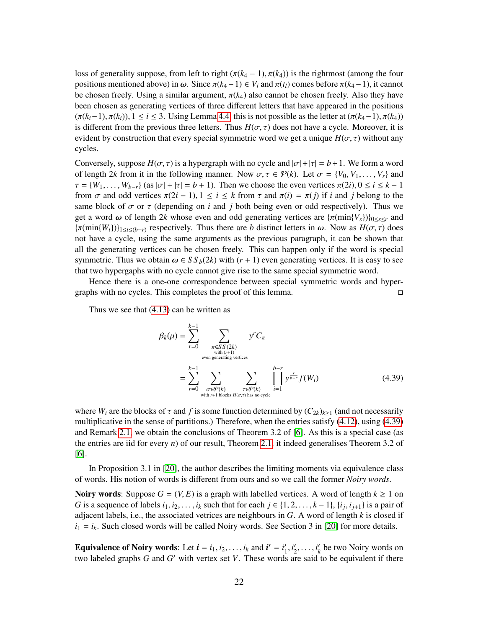loss of generality suppose, from left to right  $(\pi(k_4 - 1), \pi(k_4))$  is the rightmost (among the four positions mentioned above) in  $\omega$ . Since  $\pi(k_4-1) \in V_l$  and  $\pi(t_l)$  comes before  $\pi(k_4-1)$ , it cannot be chosen freely. Using a similar argument,  $\pi(k_4)$  also cannot be chosen freely. Also they have been chosen as generating vertices of three different letters that have appeared in the positions  $(\pi(k_i-1), \pi(k_i))$ ,  $1 \le i \le 3$ . Using Lemma [4.4,](#page-15-1) this is not possible as the letter at  $(\pi(k_4-1), \pi(k_4))$ is different from the previous three letters. Thus  $H(\sigma, \tau)$  does not have a cycle. Moreover, it is evident by construction that every special symmetric word we get a unique  $H(\sigma, \tau)$  without any cycles.

Conversely, suppose  $H(\sigma, \tau)$  is a hypergraph with no cycle and  $|\sigma| + |\tau| = b + 1$ . We form a word of length 2*k* from it in the following manner. Now  $\sigma, \tau \in \mathcal{P}(k)$ . Let  $\sigma = \{V_0, V_1, \ldots, V_r\}$  and  $\tau = \{W_1, \ldots, W_{b-r}\}$  (as  $|\sigma| + |\tau| = b + 1$ ). Then we choose the even vertices  $\pi(2i), 0 \le i \le k - 1$ from  $\sigma$  and odd vertices  $\pi(2i - 1), 1 \le i \le k$  from  $\tau$  and  $\pi(i) = \pi(j)$  if *i* and *j* belong to the same block of  $\sigma$  or  $\tau$  (depending on *i* and *j* both being even or odd respectively). Thus we get a word  $\omega$  of length 2*k* whose even and odd generating vertices are  $\{\pi(\min\{V_s\})\}_{0\leq s\leq r}$  and  ${\pi(\min\{W_t\})}_{1\leq t\leq (b-r)}$  respectively. Thus there are *b* distinct letters in  $\omega$ . Now as  $H(\sigma, \tau)$  does not have a cycle, using the same arguments as the previous paragraph, it can be shown that all the generating vertices can be chosen freely. This can happen only if the word is special symmetric. Thus we obtain  $\omega \in S S_b(2k)$  with  $(r + 1)$  even generating vertices. It is easy to see that two hypergaphs with no cycle cannot give rise to the same special symmetric word.

Hence there is a one-one correspondence between special symmetric words and hypergraphs with no cycles. This completes the proof of this lemma.

Thus we see that [\(4.13\)](#page-12-1) can be written as

<span id="page-21-0"></span>
$$
\beta_k(\mu) = \sum_{r=0}^{k-1} \sum_{\substack{\pi \in SS(2k) \\ \text{with } (r+1) \\ \text{even generating vertices} \\ r=0}} y^r C_\pi
$$
\n
$$
= \sum_{r=0}^{k-1} \sum_{\substack{\sigma \in \mathcal{P}(k) \\ \text{with } r+1 \text{ blocks } H(\sigma,\tau) \text{ has no cycle}}} y^r C_\pi
$$
\n
$$
(4.39)
$$

where  $W_i$  are the blocks of  $\tau$  and  $f$  is some function determined by  $(C_{2k})_{k>1}$  (and not necessarily multiplicative in the sense of partitions.) Therefore, when the entries satisfy [\(4.12\)](#page-11-0), using [\(4.39\)](#page-21-0) and Remark [2.1,](#page-5-2) we obtain the conclusions of Theorem 3.2 of [\[6\]](#page-50-4). As this is a special case (as the entries are iid for every *n*) of our result, Theorem [2.1,](#page-4-0) it indeed generalises Theorem 3.2 of [\[6\]](#page-50-4).

In Proposition 3.1 in [\[20\]](#page-51-4), the author describes the limiting moments via equivalence class of words. His notion of words is different from ours and so we call the former *Noiry words*.

**Noiry words:** Suppose  $G = (V, E)$  is a graph with labelled vertices. A word of length  $k \ge 1$  on *G* is a sequence of labels  $i_1, i_2, \ldots, i_k$  such that for each  $j \in \{1, 2, \ldots, k-1\}$ ,  $\{i_j, i_{j+1}\}$  is a pair of adjacent labels *i.e.* the associated vertices are neighbours in *G*. A word of langth *k* is closed if adjacent labels, i.e., the associated vetrices are neighbours in *G*. A word of length *k* is closed if  $i_1 = i_k$ . Such closed words will be called Noiry words. See Section 3 in [\[20\]](#page-51-4) for more details.

**Equivalence of Noiry words:** Let  $\mathbf{i} = i_1, i_2, \dots, i_k$  and  $\mathbf{i}' = i'_1$ <br>two labeled graphs G and G' with vertex set V. These words  $\frac{i}{1}$ ,  $\frac{i}{2}$ <br>s 21  $i'_2, \ldots, i'_k$ *k* be two Noiry words on two labeled graphs  $G$  and  $G'$  with vertex set  $V$ . These words are said to be equivalent if there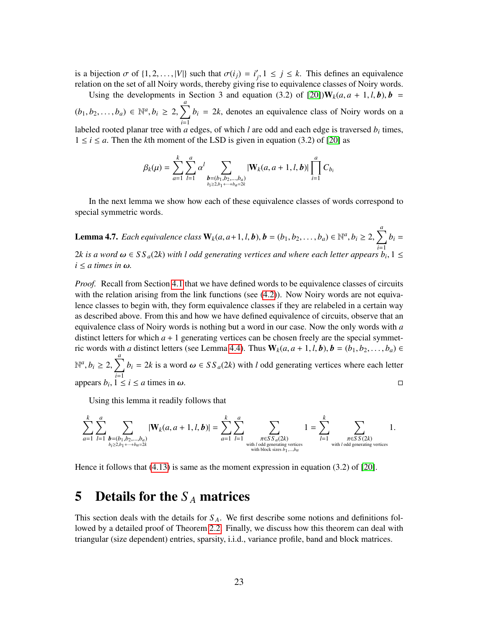is a bijection  $\sigma$  of  $\{1, 2, ..., |V|\}$  such that  $\sigma(i_j) = i'_j$ <br>relation on the set of all Noiry words, thereby giving  $f_j, 1 \leq j \leq k$ . This defines an equivalence<br>rise to equivalence classes of Noiry words relation on the set of all Noiry words, thereby giving rise to equivalence classes of Noiry words.

Using the developments in Section 3 and equation (3.2) of [\[20\]](#page-51-4)) $W_k(a, a + 1, l, b), b =$  $(b_1, b_2, \ldots, b_a) \in \mathbb{N}^a, b_i \ge 2,$  $\sum_{ }^{a}$ *i*=1  $b_i = 2k$ , denotes an equivalence class of Noiry words on a labeled rooted planar tree with *a* edges, of which *l* are odd and each edge is traversed *b<sup>i</sup>* times,  $1 \le i \le a$ . Then the *k*th moment of the LSD is given in equation (3.2) of [\[20\]](#page-51-4) as

$$
\beta_k(\mu) = \sum_{a=1}^k \sum_{l=1}^a \alpha^l \sum_{\substack{b=(b_1,b_2,...,b_a) \\ b_i \geq b_1 + \cdots + b_a = 2k}} |\mathbf{W}_k(a,a+1,l,b)| \prod_{i=1}^a C_{b_i}
$$

In the next lemma we show how each of these equivalence classes of words correspond to special symmetric words.

**Lemma 4.7.** *Each equivalence class*  $\mathbf{W}_k(a, a+1, l, b), \mathbf{b} = (b_1, b_2, \dots, b_a) \in \mathbb{N}^a, b_i \ge 2$ ,  $\sum_{ }^{a}$ *i*=1  $b_i =$ 2*k* is a word  $\omega \in SS_a(2k)$  with l odd generating vertices and where each letter appears  $b_i, 1 \le i \le a$  times in  $\omega$  $i \le a$  *times in ω.* 

*Proof.* Recall from Section [4.1](#page-6-2) that we have defined words to be equivalence classes of circuits with the relation arising from the link functions (see [\(4.2\)](#page-7-1)). Now Noiry words are not equivalence classes to begin with, they form equivalence classes if they are relabeled in a certain way as described above. From this and how we have defined equivalence of circuits, observe that an equivalence class of Noiry words is nothing but a word in our case. Now the only words with *a* distinct letters for which  $a + 1$  generating vertices can be chosen freely are the special symmetric words with *a* distinct letters (see Lemma [4.4\)](#page-15-1). Thus  $W_k(a, a + 1, l, b), b = (b_1, b_2, \ldots, b_a) \in$  $\mathbb{N}^a, b_i \geq 2,$  $\sum_{ }^{a}$  $\sum_{i=1}^{n} b_i = 2k$  is a word  $\omega \in SS_a(2k)$  with *l* odd generating vertices where each letter appears  $b_i$ ,  $1 \le i \le a$  times in  $\omega$ .  $, \overline{1 \leq i \leq a \text{ times in } \omega}.$ 

Using this lemma it readily follows that

$$
\sum_{a=1}^k \sum_{l=1}^a \sum_{\substack{b=(b_1,b_2,\ldots,b_a) \\ b_i \ge 2b_1+\cdots+b_a=2k}} |\mathbf{W}_k(a,a+1,l,b)| = \sum_{a=1}^k \sum_{l=1}^a \sum_{\substack{\pi \in SS_a(2k) \\ \text{with } l \text{ odd generating vertices} \\ \text{with block sizes } b_1,\ldots,b_a}} 1 = \sum_{l=1}^k \sum_{\substack{\pi \in SS_S(2k) \\ \text{with } l \text{ odd generating vertices} \\ \text{with } l \text{ odd generating vertices}}} 1.
$$

Hence it follows that [\(4.13\)](#page-12-1) is same as the moment expression in equation (3.2) of [\[20\]](#page-51-4).

# 5 Details for the *S <sup>A</sup>* matrices

This section deals with the details for *S <sup>A</sup>*. We first describe some notions and definitions followed by a detailed proof of Theorem [2.2.](#page-5-0) Finally, we discuss how this theorem can deal with triangular (size dependent) entries, sparsity, i.i.d., variance profile, band and block matrices.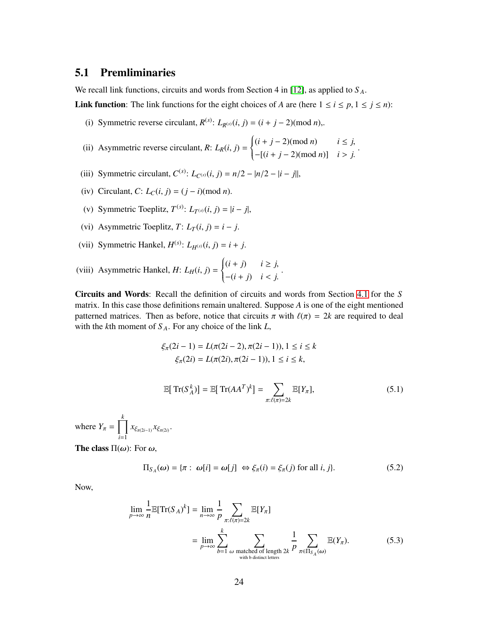## <span id="page-23-0"></span>5.1 Premliminaries

We recall link functions, circuits and words from Section 4 in [\[12\]](#page-50-6), as applied to *S <sup>A</sup>*.

**Link function:** The link functions for the eight choices of *A* are (here  $1 \le i \le p, 1 \le j \le n$ ):

- (i) Symmetric reverse circulant,  $R^{(s)}$ :  $L_{R^{(s)}}(i, j) = (i + j 2) \pmod{n}$ ,.
- (ii) Asymmetric reverse circulant,  $R: L_R(i, j) =$  $\left\{ \right.$  $\overline{\mathcal{L}}$  $(i + j - 2) \text{ (mod } n)$  *i* ≤ *j*, <sup>−</sup>[(*<sup>i</sup>* <sup>+</sup> *<sup>j</sup>* <sup>−</sup> 2)(mod *<sup>n</sup>*)] *<sup>i</sup>* > *<sup>j</sup>*. .
- (iii) Symmetric circulant,  $C^{(s)}$ :  $L_{C^{(s)}}(i, j) = n/2 |n/2 i| j|$ ,
- (iv) Circulant,  $C: L<sub>C</sub>(i, j) = (j i) \pmod{n}$ .
- (v) Symmetric Toeplitz,  $T^{(s)}$ :  $L_{T^{(s)}}(i, j) = |i j|$ ,
- (vi) Asymmetric Toeplitz,  $T: L_T(i, j) = i j$ .
- (vii) Symmetric Hankel,  $H^{(s)}$ :  $L_{H^{(s)}}(i, j) = i + j$ .
- (viii) Asymmetric Hankel,  $H: L_H(i, j) =$  $\left\{\right.$  $\overline{\mathcal{L}}$  $(i + j)$   $i \geq j$ , <sup>−</sup>(*<sup>i</sup>* <sup>+</sup> *<sup>j</sup>*) *<sup>i</sup>* < *<sup>j</sup>*. .

Circuits and Words: Recall the definition of circuits and words from Section [4.1](#page-6-2) for the *S* matrix. In this case those definitions remain unaltered. Suppose *A* is one of the eight mentioned patterned matrices. Then as before, notice that circuits  $\pi$  with  $\ell(\pi) = 2k$  are required to deal with the *k*th moment of *S <sup>A</sup>*. For any choice of the link *L*,

$$
\xi_{\pi}(2i-1) = L(\pi(2i-2), \pi(2i-1)), 1 \le i \le k
$$
  

$$
\xi_{\pi}(2i) = L(\pi(2i), \pi(2i-1)), 1 \le i \le k,
$$

<span id="page-23-2"></span>
$$
\mathbb{E}[\operatorname{Tr}(S_A^k)] = \mathbb{E}[\operatorname{Tr}(AA^T)^k] = \sum_{\pi:\ell(\pi)=2k} \mathbb{E}[Y_\pi],\tag{5.1}
$$

where  $Y_{\pi} = \prod_{1}^{k}$  $\prod_{i=1} x_{\xi_{\pi(2i-1)}} x_{\xi_{\pi(2i)}}.$ 

The class  $\Pi(\omega)$ : For  $\omega$ ,

<span id="page-23-1"></span>
$$
\Pi_{S_A}(\omega) = \{\pi : \omega[i] = \omega[j] \iff \xi_{\pi}(i) = \xi_{\pi}(j) \text{ for all } i, j\}.
$$
 (5.2)

Now,

$$
\lim_{p \to \infty} \frac{1}{n} \mathbb{E}[Tr(S_A)^k] = \lim_{n \to \infty} \frac{1}{p} \sum_{\pi: \ell(\pi) = 2k} \mathbb{E}[Y_\pi]
$$

$$
= \lim_{p \to \infty} \sum_{b=1}^k \sum_{\omega \text{ matched of length } 2k} \frac{1}{p} \sum_{\pi \in \Pi_{S_A}(\omega)} \mathbb{E}(Y_\pi). \tag{5.3}
$$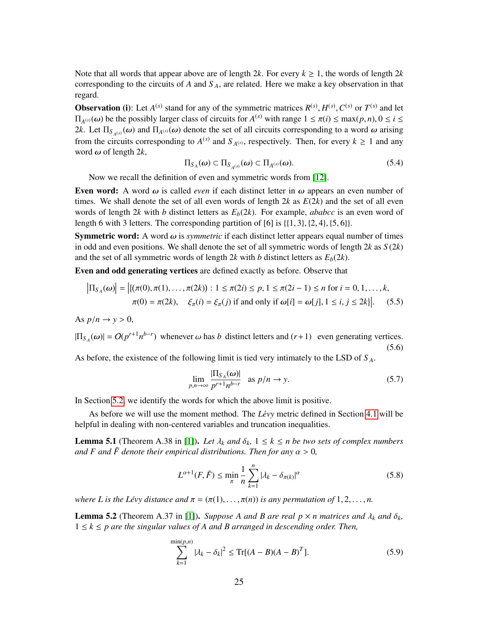Note that all words that appear above are of length 2*k*. For every  $k \ge 1$ , the words of length 2*k* corresponding to the circuits of  $A$  and  $S_A$ , are related. Here we make a key observation in that regard.

**Observation** (i): Let  $A^{(s)}$  stand for any of the symmetric matrices  $R^{(s)}$ ,  $H^{(s)}$ ,  $C^{(s)}$  or  $T^{(s)}$  and let  $H^{(s)}, C$ <br>  $\pi(i) < n$  $\Pi_{A^{(s)}}(\omega)$  be the possibly larger class of circuits for  $A^{(s)}$  with range  $1 \le \pi(i) \le \max(p, n), 0 \le i \le 2k$ . Let  $\Pi_{\alpha}$ ,  $\alpha(\omega)$  and  $\Pi_{\alpha}(\omega)$  denote the set of all circuits corresponding to a word  $\omega$  grising 2*k*. Let  $\Pi_{S_{A^{(s)}}}(\omega)$  and  $\Pi_{A^{(s)}}(\omega)$  denote the set of all circuits corresponding to a word  $\omega$  arising from the circuits corresponding to  $A^{(s)}$  and  $S_{A^{(s)}}$ , respectively. Then, for every  $k \ge 1$  and any word  $\omega$  of length 2*k*,

<span id="page-24-2"></span>
$$
\Pi_{S_A}(\omega) \subset \Pi_{S_{A^{(s)}}}(\omega) \subset \Pi_{A^{(s)}}(\omega). \tag{5.4}
$$

Now we recall the definition of even and symmetric words from [\[12\]](#page-50-6).

Even word: A word  $\omega$  is called *even* if each distinct letter in  $\omega$  appears an even number of times. We shall denote the set of all even words of length 2*k* as *E*(2*k*) and the set of all even words of length 2*k* with *b* distinct letters as  $E_b(2k)$ . For example, *ababcc* is an even word of length 6 with 3 letters. The corresponding partition of [6] is  $\{\{1, 3\}, \{2, 4\}, \{5, 6\}\}\.$ 

Symmetric word: A word ω is *symmetric* if each distinct letter appears equal number of times in odd and even positions. We shall denote the set of all symmetric words of length 2*k* as *S* (2*k*) and the set of all symmetric words of length  $2k$  with *b* distinct letters as  $E_b(2k)$ .

Even and odd generating vertices are defined exactly as before. Observe that

$$
\left|\Pi_{S_A}(\omega)\right| = \left|\{(\pi(0), \pi(1), \dots, \pi(2k)) : 1 \le \pi(2i) \le p, 1 \le \pi(2i-1) \le n \text{ for } i = 0, 1, \dots, k, \pi(0) = \pi(2k), \quad \xi_\pi(i) = \xi_\pi(j) \text{ if and only if } \omega[i] = \omega[j], 1 \le i, j \le 2k\right|\right|.
$$
 (5.5)

As  $p/n \rightarrow y > 0$ ,

 $\mathbf{r}$ 

 $|\Pi_{S_A}(\omega)| = O(p^{r+1}n^{b-r})$  whenever  $\omega$  has *b* distinct letters and  $(r+1)$  even generating vertices. (5.6)

As before, the existence of the following limit is tied very intimately to the LSD of *S <sup>A</sup>*.

<span id="page-24-3"></span>
$$
\lim_{p,n \to \infty} \frac{|\Pi_{S_A}(\omega)|}{p^{r+1}n^{b-r}} \quad \text{as } p/n \to y. \tag{5.7}
$$

In Section [5.2,](#page-25-0) we identify the words for which the above limit is positive.

As before we will use the moment method. The *Lévy* metric defined in Section [4.1](#page-6-2) will be helpful in dealing with non-centered variables and truncation inequalities.

<span id="page-24-0"></span>**Lemma 5.1** (Theorem A.38 in [\[1\]](#page-50-8)). Let  $\lambda_k$  and  $\delta_k$ ,  $1 \leq k \leq n$  be two sets of complex numbers *and F* and  $\bar{F}$  denote their empirical distributions. Then for any  $\alpha > 0$ ,

$$
L^{\alpha+1}(F,\bar{F}) \le \min_{\pi} \frac{1}{n} \sum_{k=1}^{n} |\lambda_k - \delta_{\pi(k)}|^\alpha
$$
 (5.8)

*where L is the Lévy distance and*  $\pi = (\pi(1), \ldots, \pi(n))$  *is any permutation of* 1, 2, ..., *n*.

<span id="page-24-1"></span>**Lemma 5.2** (Theorem A.37 in [\[1\]](#page-50-8)). *Suppose A and B are real p*  $\times$  *n matrices and*  $\lambda_k$  *and*  $\delta_k$ *,* 1 ≤ *k* ≤ *p are the singular values of A and B arranged in descending order. Then,*

$$
\sum_{k=1}^{\min(p,n)} |\lambda_k - \delta_k|^2 \le \text{Tr}[(A - B)(A - B)^T].
$$
\n(5.9)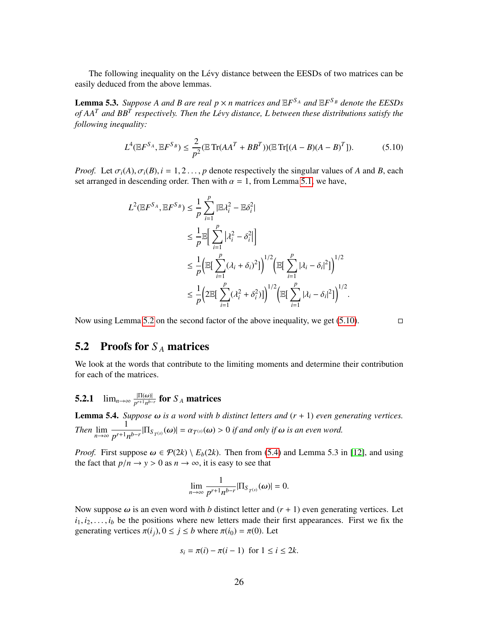The following inequality on the Lévy distance between the EESDs of two matrices can be easily deduced from the above lemmas.

<span id="page-25-3"></span>**Lemma 5.3.** Suppose A and B are real  $p \times n$  matrices and  $\mathbb{E}F^{S_A}$  and  $\mathbb{E}F^{S_B}$  denote the EESDs *of AA<sup>T</sup> and BB<sup>T</sup> respectively. Then the Levy distance, L between these distributions satisfy the* ´ *following inequality:*

<span id="page-25-1"></span>
$$
L^{4}(\mathbb{E}F^{S_{A}}, \mathbb{E}F^{S_{B}}) \le \frac{2}{p^{2}}(\mathbb{E}\operatorname{Tr}(AA^{T} + BB^{T}))(\mathbb{E}\operatorname{Tr}[(A-B)(A-B)^{T}]).
$$
 (5.10)

*Proof.* Let  $\sigma_i(A), \sigma_i(B), i = 1, 2, \ldots, p$  denote respectively the singular values of *A* and *B*, each set arranged in descending order. Then with  $\alpha = 1$ , from Lemma [5.1,](#page-24-0) we have,

$$
L^{2}(\mathbb{E}F^{S_A}, \mathbb{E}F^{S_B}) \leq \frac{1}{p} \sum_{i=1}^{p} |\mathbb{E}\lambda_i^2 - \mathbb{E}\delta_i^2|
$$
  
\n
$$
\leq \frac{1}{p} \mathbb{E}\Big[\sum_{i=1}^{p} |\lambda_i^2 - \delta_i^2|\Big]
$$
  
\n
$$
\leq \frac{1}{p} \Big(\mathbb{E}\Big[\sum_{i=1}^{p} (\lambda_i + \delta_i)^2\Big]\Big)^{1/2} \Big(\mathbb{E}\Big[\sum_{i=1}^{p} |\lambda_i - \delta_i|^2\Big]\Big)^{1/2}
$$
  
\n
$$
\leq \frac{1}{p} \Big(2\mathbb{E}\Big[\sum_{i=1}^{p} (\lambda_i^2 + \delta_i^2)\Big]\Big)^{1/2} \Big(\mathbb{E}\Big[\sum_{i=1}^{p} |\lambda_i - \delta_i|^2\Big]\Big)^{1/2}.
$$

Now using Lemma [5.2](#page-24-1) on the second factor of the above inequality, we get  $(5.10)$ .

## <span id="page-25-0"></span>5.2 Proofs for *S <sup>A</sup>* matrices

We look at the words that contribute to the limiting moments and determine their contribution for each of the matrices.

# **5.2.1**  $\lim_{n\to\infty} \frac{|\Pi(\omega)|}{p^{r+1}n^{b-r}}$  for  $S_A$  matrices

<span id="page-25-2"></span>**Lemma 5.4.** *Suppose*  $ω$  *is a word with b distinct letters and*  $(r + 1)$  *even generating vertices. Then*  $\lim_{n\to\infty}$ 1  $\frac{1}{p^{r+1}n^{b-r}}$  $|\Pi_{S_{T^{(s)}}}(\omega)| = \alpha_{T^{(s)}}(\omega) > 0$  *if and only if*  $\omega$  *is an even word.* 

*Proof.* First suppose  $\omega \in \mathcal{P}(2k) \setminus E_b(2k)$ . Then from [\(5.4\)](#page-24-2) and Lemma 5.3 in [\[12\]](#page-50-6), and using the fact that  $p/n \to y > 0$  as  $n \to \infty$ , it is easy to see that

$$
\lim_{n\to\infty}\frac{1}{p^{r+1}n^{b-r}}|\Pi_{S_{T(s)}}(\omega)|=0.
$$

Now suppose  $\omega$  is an even word with *b* distinct letter and  $(r + 1)$  even generating vertices. Let  $i_1, i_2, \ldots, i_b$  be the positions where new letters made their first appearances. First we fix the generating vertices  $\pi(i_j), 0 \le j \le b$  where  $\pi(i_0) = \pi(0)$ . Let

$$
s_i = \pi(i) - \pi(i-1) \text{ for } 1 \le i \le 2k.
$$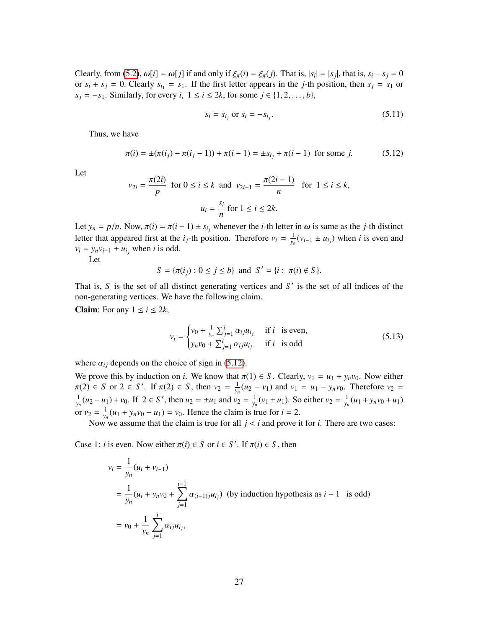Clearly, from [\(5.2\)](#page-23-1),  $\omega[i] = \omega[j]$  if and only if  $\xi_{\pi}(i) = \xi_{\pi}(j)$ . That is,  $|s_i| = |s_j|$ , that is,  $s_i - s_j = 0$ <br>or  $s_i + s_j = 0$ . Clearly  $s_j = s_j$ . If the first letter appears in the *i* th position, then  $s_j = s_j$  or or  $s_i + s_j = 0$ . Clearly  $s_{i_1} = s_1$ . If the first letter appears in the *j*-th position, then  $s_j = s_1$  or  $s_j = -s_1$ . Similarly, for every *i*,  $1 \le i \le 2k$ , for some  $j \in \{1, 2, \ldots, b\}$ ,

<span id="page-26-1"></span><span id="page-26-0"></span>
$$
s_i = s_{i_j} \text{ or } s_i = -s_{i_j}.\tag{5.11}
$$

Thus, we have

$$
\pi(i) = \pm(\pi(i_j) - \pi(i_j - 1)) + \pi(i - 1) = \pm s_{i_j} + \pi(i - 1) \text{ for some } j.
$$
 (5.12)

Let

$$
v_{2i} = \frac{\pi(2i)}{p} \text{ for } 0 \le i \le k \text{ and } v_{2i-1} = \frac{\pi(2i-1)}{n} \text{ for } 1 \le i \le k,
$$
  

$$
u_i = \frac{s_i}{n} \text{ for } 1 \le i \le 2k.
$$

Let  $y_n = p/n$ . Now,  $\pi(i) = \pi(i-1) \pm s_{i_j}$  whenever the *i*-th letter in  $\omega$  is same as the *j*-th distinct letter that appeared first at the  $i_j$ -th position. Therefore  $v_i = \frac{1}{v_i}$  $\frac{1}{y_n}(v_{i-1} \pm u_{i_j})$  when *i* is even and  $v_i = y_n v_{i-1} \pm u_{i}$  when *i* is odd.

Let

$$
S = \{\pi(i_j) : 0 \le j \le b\} \text{ and } S' = \{i : \pi(i) \notin S\}.
$$

That is,  $S$  is the set of all distinct generating vertices and  $S'$  is the set of all indices of the non-generating vertices. We have the following claim.

**Claim:** For any  $1 \le i \le 2k$ ,

<span id="page-26-2"></span>
$$
v_{i} = \begin{cases} v_{0} + \frac{1}{y_{n}} \sum_{j=1}^{i} \alpha_{ij} u_{i_{j}} & \text{if } i \text{ is even,} \\ y_{n} v_{0} + \sum_{j=1}^{i} \alpha_{ij} u_{i_{j}} & \text{if } i \text{ is odd} \end{cases}
$$
(5.13)

where  $\alpha_{ij}$  depends on the choice of sign in [\(5.12\)](#page-26-0).

We prove this by induction on *i*. We know that  $\pi(1) \in S$ . Clearly,  $v_1 = u_1 + y_n v_0$ . Now either  $\pi(2) \in S$  or  $2 \in S'$ . If  $\pi(2) \in S$ , then  $v_2 = \frac{1}{y_h}$  $\frac{1}{y_n}(u_2 - v_1)$  and  $v_1 = u_1 - y_n v_0$ . Therefore  $v_2 =$ 1  $\frac{1}{y_n}(u_2 - u_1) + v_0$ . If  $2 \in S'$ , then  $u_2 = \pm u_1$  and  $v_2 = \frac{1}{y_n}$  $\frac{1}{y_n}(v_1 \pm u_1)$ . So either  $v_2 = \frac{1}{y_n}$  $\frac{1}{y_n}(u_1 + y_n v_0 + u_1)$ or  $v_2 = \frac{1}{v_1}$  $\frac{1}{y_n}(u_1 + y_n v_0 - u_1) = v_0$ . Hence the claim is true for *i* = 2.

Now we assume that the claim is true for all  $j < i$  and prove it for *i*. There are two cases:

Case 1: *i* is even. Now either  $\pi(i) \in S$  or  $i \in S'$ . If  $\pi(i) \in S$ , then

$$
v_i = \frac{1}{y_n} (u_i + v_{i-1})
$$
  
=  $\frac{1}{y_n} (u_i + y_n v_0 + \sum_{j=1}^{i-1} \alpha_{(i-1)j} u_{ij})$  (by induction hypothesis as  $i - 1$  is odd)  
=  $v_0 + \frac{1}{y_n} \sum_{j=1}^{i} \alpha_{ij} u_{ij}$ ,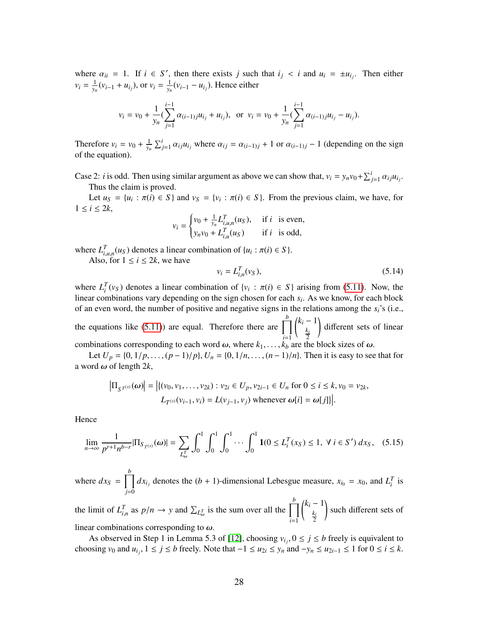where  $\alpha_{ii} = 1$ . If  $i \in S'$ , then there exists *j* such that  $i_j < i$  and  $u_i = \pm u_{i_j}$ . Then either  $v_i = \frac{1}{v_i}$  $\frac{1}{y_n}(v_{i-1} + u_{i_j}),$  or  $v_i = \frac{1}{y_n}$  $\frac{1}{y_n}(v_{i-1} - u_{i_j})$ . Hence either

$$
v_i = v_0 + \frac{1}{y_n} \left( \sum_{j=1}^{i-1} \alpha_{(i-1)j} u_{i_j} + u_{i_j} \right), \text{ or } v_i = v_0 + \frac{1}{y_n} \left( \sum_{j=1}^{i-1} \alpha_{(i-1)j} u_{i_j} - u_{i_j} \right).
$$

Therefore  $v_i = v_0 + \frac{1}{v_i}$  $\frac{1}{y_n} \sum_{j=1}^i \alpha_{ij} u_{i_j}$  where  $\alpha_{ij} = \alpha_{(i-1)j} + 1$  or  $\alpha_{(i-1)j} - 1$  (depending on the sign of the equation).

Case 2: *i* is odd. Then using similar argument as above we can show that,  $v_i = y_n v_0 + \sum_{j=1}^i \alpha_{ij} u_j$ .<br>Thus the claim is proved Thus the claim is proved.

Let  $u_S = \{u_i : \pi(i) \in S\}$  and  $v_S = \{v_i : \pi(i) \in S\}$ . From the previous claim, we have, for  $i < 2k$  $1 \leq i \leq 2k$ ,

$$
v_i = \begin{cases} v_0 + \frac{1}{y_n} L_{i,u,n}^T(u_S), & \text{if } i \text{ is even,} \\ y_n v_0 + L_{i,u}^T(u_S) & \text{if } i \text{ is odd,} \end{cases}
$$

where  $L_{i,u,n}^T(u_S)$  denotes a linear combination of  $\{u_i : \pi(i) \in S\}$ .<br>Also, for  $1 \le i \le 2k$ , we have Also, for  $1 \le i \le 2k$ , we have

<span id="page-27-1"></span>
$$
v_i = L_{i,n}^T(v_S),
$$
\n(5.14)

where  $L_i^T(v_S)$  denotes a linear combination of  $\{v_i : \pi(i) \in S\}$  arising from [\(5.11\)](#page-26-1). Now, the linear combinations vary depending on the sign chosen for each s. As we know for each block linear combinations vary depending on the sign chosen for each *s<sup>i</sup>* . As we know, for each block of an even word, the number of positive and negative signs in the relations among the *si*'s (i.e.,

the equations like [\(5.11\)](#page-26-1)) are equal. Therefore there are  $\prod_{i=1}^{b}$ *i*=1  $k_i - 1$ *ki* 2 ! different sets of linear combinations corresponding to each word  $\omega$ , where  $k_1, \ldots, k_b$  are the block sizes of  $\omega$ .

Let *U<sub>p</sub>* = {0, 1/*p*, . . . , (*p* − 1)/*p*}, *U<sub>n</sub>* = {0, 1/*n*, . . . , (*n* − 1)/*n*}. Then it is easy to see that for a word  $\omega$  of length 2*k*,

$$
\left|\Pi_{S^{T^{(s)}}}(\omega)\right| = \left|\{(v_0, v_1, \dots, v_{2k}) : v_{2i} \in U_p, v_{2i-1} \in U_n \text{ for } 0 \le i \le k, v_0 = v_{2k},\right.\
$$
  

$$
L_{T^{(s)}}(v_{i-1}, v_i) = L(v_{j-1}, v_j) \text{ whenever } \omega[i] = \omega[j]\}\right|.
$$

Hence

<span id="page-27-0"></span>
$$
\lim_{n \to \infty} \frac{1}{p^{r+1} n^{b-r}} |\Pi_{S_{T^{(s)}}}(\omega)| = \sum_{L_{\omega}^{T}} \int_{0}^{1} \int_{0}^{1} \cdots \int_{0}^{1} \mathbf{1}(0 \le L_{i}^{T}(x_{S}) \le 1, \ \forall \ i \in S') \ dx_{S}, \quad (5.15)
$$

where  $dx_S = \prod^b$ *j*=0  $dx_{i_j}$  denotes the  $(b + 1)$ -dimensional Lebesgue measure,  $x_{i_0} = x_0$ , and  $L_i^T$  is

the limit of  $L_{i,n}^T$  as  $p/n \to y$  and  $\sum_{L_{i}^T}$  $\sum_{\omega}$  is the sum over all the  $\prod_{i=1}^{b}$ *i*=1  $\int k_i - 1$ *ki* 2 ! such different sets of linear combinations corresponding to  $\omega$ .

As observed in Step 1 in Lemma 5.3 of [\[12\]](#page-50-6), choosing  $v_{i,j}$ ,  $0 \le j \le b$  freely is equivalent to oring  $v_0$  and  $u_1 \le i \le b$  freely. Note that  $-1 \le u_0 \le x$ , and  $-v \le u_0 \le \epsilon \le 1$  for  $0 \le i \le k$ choosing  $v_0$  and  $u_{i_j}$ ,  $1 \le j \le b$  freely. Note that  $-1 \le u_{2i} \le y_n$  and  $-y_n \le u_{2i-1} \le 1$  for  $0 \le i \le k$ .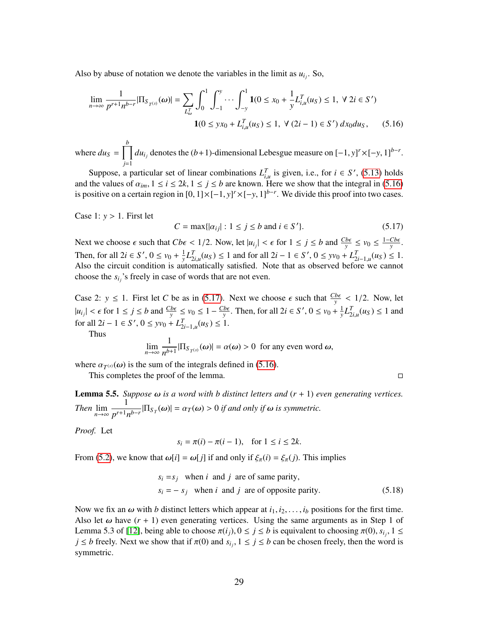Also by abuse of notation we denote the variables in the limit as  $u_{i_j}$ . So,

$$
\lim_{n \to \infty} \frac{1}{p^{r+1} n^{b-r}} |\Pi_{S_{T^{(s)}}}(\omega)| = \sum_{L_{\omega}^{T}} \int_{0}^{1} \int_{-1}^{y} \cdots \int_{-y}^{1} 1(0 \le x_0 + \frac{1}{y} L_{i,u}^{T}(u_S) \le 1, \ \forall \ 2i \in S') \mathbf{1}(0 \le yx_0 + L_{i,u}^{T}(u_S) \le 1, \ \forall \ (2i - 1) \in S') \ dx_0 du_S, \tag{5.16}
$$

where  $du_S = \prod^b$ *j*=1 *du*<sub>*i*</sub> denotes the (*b*+1)-dimensional Lebesgue measure on  $[-1, y]^r \times [-y, 1]^{b-r}$ .

Suppose, a particular set of linear combinations  $L_{i,j}^T$  is given, i.e., for  $i \in S'$ , [\(5.13\)](#page-26-2) holds and the values of  $\alpha_{im}$ ,  $1 \le i \le 2k$ ,  $1 \le j \le b$  are known. Here we show that the integral in [\(5.16\)](#page-28-0) is positive on a certain region in [0, 11×[-1, v]<sup>r</sup> ×[-v, 11<sup>b-r</sup>. We divide this proof into two cases is positive on a certain region in  $[0, 1] \times [-1, y]^r \times [-y, 1]^{b-r}$ . We divide this proof into two cases.

Case 1:  $y > 1$ . First let

<span id="page-28-1"></span><span id="page-28-0"></span>
$$
C = \max\{|a_{ij}| : 1 \le j \le b \text{ and } i \in S'\}.
$$
 (5.17)

Next we choose  $\epsilon$  such that  $Cb\epsilon < 1/2$ . Now, let  $|u_{ij}| < \epsilon$  for  $1 \le j \le b$  and  $\frac{Cb\epsilon}{y} \le v_0 \le \frac{1-Cb\epsilon}{y}$ . Then, for all  $2i \in S'$ ,  $0 \le v_0 + \frac{1}{v}$  $\frac{1}{2} L_{2i,u}^T(u_S) \le 1$  and for all  $2i - 1 \in S'$ ,  $0 \le yv_0 + L_{2i-1,u}^T(u_S) \le 1$ . Also the circuit condition is automatically satisfied. Note that as observed before we cannot choose the *si<sup>j</sup>* 's freely in case of words that are not even.

Case 2:  $y \le 1$ . First let *C* be as in [\(5.17\)](#page-28-1). Next we choose  $\epsilon$  such that  $\frac{Cb\epsilon}{y} < 1/2$ . Now, let  $\frac{b\epsilon}{y}$  < 1/2. Now, let  $|u_{ij}| < \epsilon$  for  $1 \le j \le b$  and  $\frac{Cb\epsilon}{y} \le v_0 \le 1 - \frac{Cb\epsilon}{y}$ . Then, for all 2*i* ∈ *S'*, 0 ≤ *v*<sub>0</sub> +  $\frac{1}{y}$  $\frac{1}{y} L_{2i,u}^T(u_S) \le 1$  and for all  $2i - 1 \in S'$ ,  $0 \leq yv_0 + L_{2i-1,u}^T(u_S) \leq 1$ .<br>Thus

Thus

$$
\lim_{n\to\infty}\frac{1}{n^{b+1}}|\Pi_{S_{T}(s)}(\omega)|=\alpha(\omega)>0 \text{ for any even word }\omega,
$$

where  $\alpha_{T^{(s)}}(\omega)$  is the sum of the integrals defined in [\(5.16\)](#page-28-0).<br>This completes the proof of the lamma

This completes the proof of the lemma.

<span id="page-28-2"></span>

<span id="page-28-3"></span>Lemma 5.5. *Suppose* ω *is a word with b distinct letters and* (*<sup>r</sup>* <sup>+</sup> 1) *even generating vertices. Then*  $\lim_{n\to\infty}$ 1  $\frac{1}{p^{r+1}n^{b-r}}$  $|\Pi_{S_T}(\omega)| = \alpha_T(\omega) > 0$  *if and only if*  $\omega$  *is symmetric.* 

*Proof.* Let

 $s_i = \pi(i) - \pi(i-1)$ , for  $1 \le i \le 2k$ .

From [\(5.2\)](#page-23-1), we know that  $\omega[i] = \omega[j]$  if and only if  $\xi_{\pi}(i) = \xi_{\pi}(j)$ . This implies

$$
s_i = s_j
$$
 when *i* and *j* are of same parity,  
\n $s_i = -s_j$  when *i* and *j* are of opposite parity. (5.18)

Now we fix an  $\omega$  with *b* distinct letters which appear at  $i_1, i_2, \ldots, i_b$  positions for the first time. Also let  $\omega$  have  $(r + 1)$  even generating vertices. Using the same arguments as in Step 1 of Lemma 5.3 of [\[12\]](#page-50-6), being able to choose  $\pi(i_j)$ ,  $0 \le j \le b$  is equivalent to choosing  $\pi(0)$ , *s*<sup>*i*</sup>*j*, 1 ≤ *i* ≤ *h* freely. Next we show that if  $\pi(0)$  and *s*<sup>*i*</sup> 1 ≤ *i* ≤ *h* can be chosen freely, then the wor  $j \leq b$  freely. Next we show that if  $\pi(0)$  and  $s_{i_j}$ ,  $1 \leq j \leq b$  can be chosen freely, then the word is symmetric symmetric.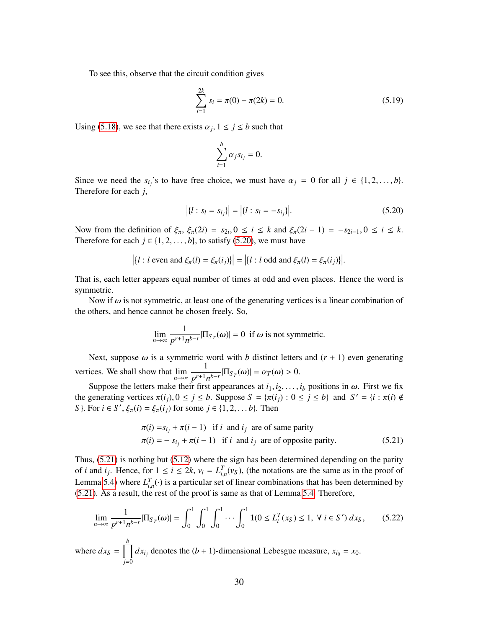To see this, observe that the circuit condition gives

$$
\sum_{i=1}^{2k} s_i = \pi(0) - \pi(2k) = 0.
$$
 (5.19)

Using [\(5.18\)](#page-28-2), we see that there exists  $\alpha_j$ ,  $1 \le j \le b$  such that

<span id="page-29-0"></span>
$$
\sum_{i=1}^b \alpha_j s_{i_j} = 0.
$$

Since we need the  $s_{i_j}$ 's to have free choice, we must have  $\alpha_j = 0$  for all  $j \in \{1, 2, ..., b\}$ .<br>Therefore for each *i* Therefore for each *j*,

$$
|\{l: s_l = s_{i_j}\}| = |\{l: s_l = -s_{i_j}\}|. \tag{5.20}
$$

Now from the definition of  $\xi_{\pi}$ ,  $\xi_{\pi}(2i) = s_{2i}$ ,  $0 \le i \le k$  and  $\xi_{\pi}(2i - 1) = -s_{2i-1}$ ,  $0 \le i \le k$ .<br>Therefore for each  $i \in \{1, 2, \ldots, k\}$  to satisfy (5.20) we must have Therefore for each  $j \in \{1, 2, \ldots, b\}$ , to satisfy [\(5.20\)](#page-29-0), we must have

$$
\left| \{ l : l \text{ even and } \xi_{\pi}(l) = \xi_{\pi}(i_j) \} \right| = \left| \{ l : l \text{ odd and } \xi_{\pi}(l) = \xi_{\pi}(i_j) \} \right|.
$$

That is, each letter appears equal number of times at odd and even places. Hence the word is symmetric.

Now if  $\omega$  is not symmetric, at least one of the generating vertices is a linear combination of the others, and hence cannot be chosen freely. So,

$$
\lim_{n \to \infty} \frac{1}{p^{r+1} n^{b-r}} |\Pi_{S_T}(\omega)| = 0 \text{ if } \omega \text{ is not symmetric.}
$$

Next, suppose  $\omega$  is a symmetric word with *b* distinct letters and  $(r + 1)$  even generating vertices. We shall show that  $\lim_{n\to\infty}$ 1  $\frac{1}{p^{r+1}n^{b-r}}$ |Π<sub>*ST*</sub>(ω)| = α*T*(ω) > 0.

Suppose the letters make their first appearances at  $i_1, i_2, \ldots, i_b$  positions in  $\omega$ . First we fix the generating vertices  $\pi(i_j), 0 \le j \le b$ . Suppose  $S = {\pi(i_j) : 0 \le j \le b}$  and  $S' = {i : \pi(i) \notin S}$ <br>S  $\to S' \in (i) - \xi(i)$  for some  $i \in [1, 2, \dots, b]$ . Then *S*}. For  $i \in S'$ ,  $\xi_{\pi}(i) = \xi_{\pi}(i_j)$  for some  $j \in \{1, 2, ..., b\}$ . Then

<span id="page-29-1"></span>
$$
\pi(i) = s_{i_j} + \pi(i - 1) \text{ if } i \text{ and } i_j \text{ are of same parity}
$$
  
\n
$$
\pi(i) = -s_{i_j} + \pi(i - 1) \text{ if } i \text{ and } i_j \text{ are of opposite parity.}
$$
\n(5.21)

Thus, [\(5.21\)](#page-29-1) is nothing but [\(5.12\)](#page-26-0) where the sign has been determined depending on the parity of *i* and *i<sub>j</sub>*. Hence, for  $1 \le i \le 2k$ ,  $v_i = L_{i,n}^T(v_s)$ , (the notations are the same as in the proof of  $I$  on  $I$ ,  $I$  ( ) is a perticular set of linear combinations that has been determined by Lemma [5.4\)](#page-25-2) where  $L_{i,n}^T(\cdot)$  is a particular set of linear combinations that has been determined by<br>(5.21) As a result, the rest of the proof is same as that of Lemma 5.4. Therefore [\(5.21\)](#page-29-1). As a result, the rest of the proof is same as that of Lemma [5.4.](#page-25-2) Therefore,

<span id="page-29-2"></span>
$$
\lim_{n \to \infty} \frac{1}{p^{r+1} n^{b-r}} |\Pi_{S_T}(\omega)| = \int_0^1 \int_0^1 \int_0^1 \cdots \int_0^1 \mathbf{1}(0 \le L_i^T(x_S) \le 1, \ \forall \ i \in S') \ dx_S, \tag{5.22}
$$

where  $dx_S = \prod^b$ *j*=0  $dx_{i_j}$  denotes the  $(b + 1)$ -dimensional Lebesgue measure,  $x_{i_0} = x_0$ .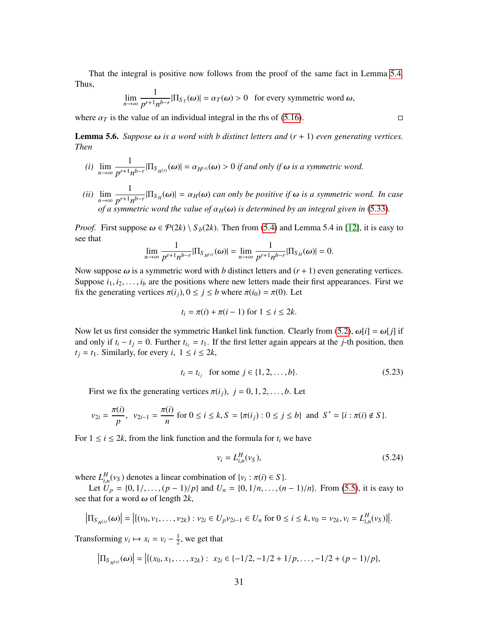That the integral is positive now follows from the proof of the same fact in Lemma [5.4.](#page-25-2) Thus,

$$
\lim_{n \to \infty} \frac{1}{p^{r+1} n^{b-r}} |\Pi_{S_T}(\omega)| = \alpha_T(\omega) > 0 \text{ for every symmetric word } \omega,
$$

where  $\alpha_T$  is the value of an individual integral in the rhs of [\(5.16\)](#page-28-0).

<span id="page-30-0"></span>Lemma 5.6. *Suppose* ω *is a word with b distinct letters and* (*<sup>r</sup>* <sup>+</sup> 1) *even generating vertices. Then*

- *(i)* lim *n*→∞ 1  $\frac{1}{p^{r+1}n^{b-r}}$  $|\Pi_{S_{H^{(s)}}}(\omega)| = \alpha_{H^{(s)}}(\omega) > 0$  *if and only if*  $\omega$  *is a symmetric word.*
- *(ii)* lim *n*→∞ 1  $\frac{1}{p^{r+1}n^{b-r}}$  | $\Pi_{S_H}(\omega)$ | =  $\alpha_H(\omega)$  *can only be positive if*  $\omega$  *is a symmetric word. In case of a symmetric word the value of*  $\alpha_H(\omega)$  *is determined by an integral given in* [\(5.33\)](#page-33-0).

*Proof.* First suppose  $\omega \in \mathcal{P}(2k) \setminus S_b(2k)$ . Then from [\(5.4\)](#page-24-2) and Lemma 5.4 in [\[12\]](#page-50-6), it is easy to see that

$$
\lim_{n \to \infty} \frac{1}{p^{r+1} n^{b-r}} |\Pi_{S_{H^{(s)}}}(\omega)| = \lim_{n \to \infty} \frac{1}{p^{r+1} n^{b-r}} |\Pi_{S_H}(\omega)| = 0.
$$

Now suppose  $\omega$  is a symmetric word with *b* distinct letters and  $(r + 1)$  even generating vertices. Suppose  $i_1, i_2, \ldots, i_b$  are the positions where new letters made their first appearances. First we fix the generating vertices  $\pi(i_j)$ ,  $0 \le j \le b$  where  $\pi(i_0) = \pi(0)$ . Let

$$
t_i = \pi(i) + \pi(i-1) \text{ for } 1 \leq i \leq 2k.
$$

Now let us first consider the symmetric Hankel link function. Clearly from [\(5.2\)](#page-23-1),  $\omega[i] = \omega[j]$  if and only if  $t_i - t_j = 0$ . Further  $t_{i_1} = t_1$ . If the first letter again appears at the *j*-th position, then  $t_i = t_1$ . Similarly, for every *i*,  $1 \le i \le 2k$ ,

$$
t_i = t_{i_j}
$$
 for some  $j \in \{1, 2, ..., b\}.$  (5.23)

First we fix the generating vertices  $\pi(i_j)$ ,  $j = 0, 1, 2, \ldots, b$ . Let

$$
\nu_{2i} = \frac{\pi(i)}{p}, \ \ \nu_{2i-1} = \frac{\pi(i)}{n} \text{ for } 0 \le i \le k, S = \{\pi(i_j) : 0 \le j \le b\} \text{ and } S' = \{i : \pi(i) \notin S\}.
$$

For  $1 \le i \le 2k$ , from the link function and the formula for  $t_i$  we have

<span id="page-30-1"></span>
$$
v_i = L_{i,n}^H(v_S),
$$
\n(5.24)

where  $L_{i,n}^H(v_S)$  denotes a linear combination of  $\{v_i : \pi(i) \in S\}$ .<br>Let  $\overline{U} = \{0, 1\}$   $(n = 1)/n$  and  $\overline{U} = \{0, 1/n\}$   $(n = 1)/n$ 

*i*,*n*(*v<sub>s</sub>*) denotes a miliar combination of  $\{v_1, v_2, v_3\}$ .<br>
Let  $U_p = \{0, 1/$ , ..., $(p - 1)/p\}$  and  $U_n = \{0, 1/n, ..., (n - 1)/n\}$ . From [\(5.5\)](#page-24-3), it is easy to see that for a word  $\omega$  of length 2*k*,

$$
\left|\Pi_{S_{H^{(s)}}}(\omega)\right| = \left|\left\{(v_0, v_1, \ldots, v_{2k}) : v_{2i} \in U_p v_{2i-1} \in U_n \text{ for } 0 \le i \le k, v_0 = v_{2k}, v_i = L_{i,n}^H(v_S)\right\}\right|.
$$

Transforming  $v_i \mapsto x_i = v_i - \frac{1}{2}$  $\frac{1}{2}$ , we get that

$$
\left|\Pi_{S_{H^{(s)}}}(\omega)\right| = \left|\left\{(x_0, x_1, \ldots, x_{2k}) : x_{2i} \in \{-1/2, -1/2 + 1/p, \ldots, -1/2 + (p-1)/p\},\right.\right\}
$$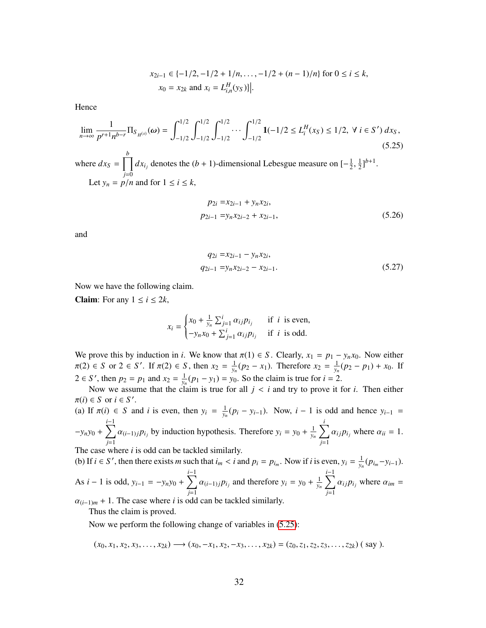$$
x_{2i-1} \in \{-1/2, -1/2 + 1/n, \dots, -1/2 + (n-1)/n\} \text{ for } 0 \le i \le k,
$$
  

$$
x_0 = x_{2k} \text{ and } x_i = L_{i,n}^H(y_S)\}.
$$

Hence

<span id="page-31-0"></span>
$$
\lim_{n \to \infty} \frac{1}{p^{r+1} n^{b-r}} \Pi_{S_{H^{(s)}}}(\omega) = \int_{-1/2}^{1/2} \int_{-1/2}^{1/2} \int_{-1/2}^{1/2} \cdots \int_{-1/2}^{1/2} \mathbf{1}(-1/2 \le L_i^H(x_S) \le 1/2, \ \forall \ i \in S') \, dx_S,
$$
\n(5.25)

where  $dx_S = \prod$ *j*=0  $dx_{i_j}$  denotes the (*b* + 1)-dimensional Lebesgue measure on  $\left[-\frac{1}{2}\right]$ 2 , 1  $\frac{1}{2}$ ]<sup>*b*+1</sup>. Let  $y_n = p/n$  and for  $1 \le i \le k$ ,

<span id="page-31-1"></span>
$$
p_{2i} = x_{2i-1} + y_n x_{2i},
$$
  
\n
$$
p_{2i-1} = y_n x_{2i-2} + x_{2i-1},
$$
\n(5.26)

and

<span id="page-31-2"></span>
$$
q_{2i} = x_{2i-1} - y_n x_{2i},
$$
  
\n
$$
q_{2i-1} = y_n x_{2i-2} - x_{2i-1}.
$$
\n(5.27)

Now we have the following claim.

**Claim:** For any  $1 \le i \le 2k$ ,

$$
x_i = \begin{cases} x_0 + \frac{1}{y_n} \sum_{j=1}^i \alpha_{ij} p_{i_j} & \text{if } i \text{ is even,} \\ -y_n x_0 + \sum_{j=1}^i \alpha_{ij} p_{i_j} & \text{if } i \text{ is odd.} \end{cases}
$$

We prove this by induction in *i*. We know that  $\pi(1) \in S$ . Clearly,  $x_1 = p_1 - y_n x_0$ . Now either  $\pi(2) \in S$  or  $2 \in S'$ . If  $\pi(2) \in S$ , then  $x_2 = \frac{1}{y_h}$  $\frac{1}{y_n}(p_2 - x_1)$ . Therefore  $x_2 = \frac{1}{y_n}$  $\frac{1}{y_n}(p_2 - p_1) + x_0$ . If  $2 \in S'$ , then  $p_2 = p_1$  and  $x_2 = \frac{1}{y_2}$  $\frac{1}{y_n}(p_1 - y_1) = y_0$ . So the claim is true for *i* = 2.

Now we assume that the claim is true for all  $j < i$  and try to prove it for *i*. Then either  $\pi(i) \in S$  or  $i \in S'$ .<br>(a) If  $\pi(i) \in S$  and

(a) If  $\pi(i) \in S$  and *i* is even, then  $y_i = \frac{1}{y_i}$  $\frac{1}{y_n}(p_i - y_{i-1})$ . Now, *i* − 1 is odd and hence  $y_{i-1}$  =  $-y_ny_0 + \sum_{i=1}^{i-1}$  $\sum_{j=1}^{\infty} \alpha_{(i-1)j} p_{i_j}$  by induction hypothesis. Therefore  $y_i = y_0 + \frac{1}{y_i}$  $\frac{1}{y_n}$   $\sum$  $\sum_{j=1}^n \alpha_{ij} p_{i_j}$  where  $\alpha_{ii} = 1$ .

The case where *i* is odd can be tackled similarly.

(b) If *i*  $\in S'$ , then there exists *m* such that  $i_m < i$  and  $p_i = p_{i_m}$ . Now if *i* is even,  $y_i = \frac{1}{y_n}$  $\frac{1}{y_n}(p_{i_m}-y_{i-1}).$ As *i* − 1 is odd,  $y_{i-1} = -y_n y_0 + \sum_{i=1}^{i-1}$  $\sum_{j=1}^{\infty} \alpha_{(i-1)j} p_{i_j}$  and therefore  $y_i = y_0 + \frac{1}{y_i}$  $\frac{1}{y_n}$   $\sum_{n=1}^{i-1}$  $\sum_{j=1}^n \alpha_{ij} p_{i_j}$  where  $\alpha_{im} =$ 

 $\alpha_{(i-1)m}$  + 1. The case where *i* is odd can be tackled similarly. Thus the claim is proved.

Now we perform the following change of variables in [\(5.25\)](#page-31-0):

 $(x_0, x_1, x_2, x_3, \ldots, x_{2k}) \longrightarrow (x_0, -x_1, x_2, -x_3, \ldots, x_{2k}) = (z_0, z_1, z_2, z_3, \ldots, z_{2k})$  (say).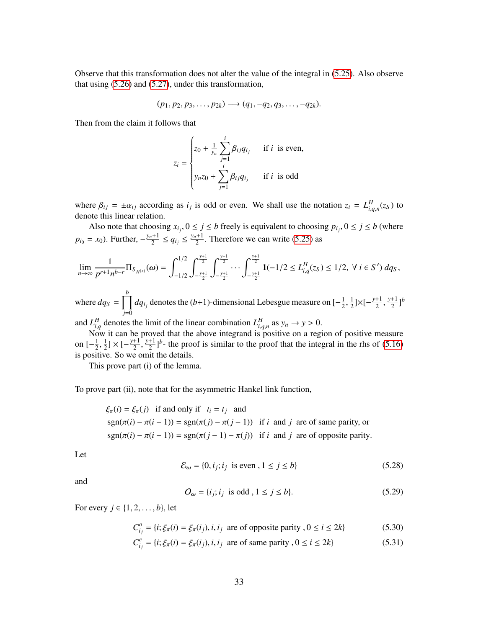Observe that this transformation does not alter the value of the integral in [\(5.25\)](#page-31-0). Also observe that using [\(5.26\)](#page-31-1) and [\(5.27\)](#page-31-2), under this transformation,

$$
(p_1, p_2, p_3, \ldots, p_{2k}) \longrightarrow (q_1, -q_2, q_3, \ldots, -q_{2k}).
$$

Then from the claim it follows that

$$
z_i = \begin{cases} z_0 + \frac{1}{y_n} \sum_{j=1}^i \beta_{ij} q_{i_j} & \text{if } i \text{ is even,} \\ y_n z_0 + \sum_{j=1}^i \beta_{ij} q_{i_j} & \text{if } i \text{ is odd} \end{cases}
$$

where  $\beta_{ij} = \pm \alpha_{ij}$  according as  $i_j$  is odd or even. We shall use the notation  $z_i = L_{i,q,n}^H(z_S)$  to denote this linear relation denote this linear relation.

Also note that choosing  $x_{i_j}$ ,  $0 \le j \le b$  freely is equivalent to choosing  $p_{i_j}$ ,  $0 \le j \le b$  (where  $p_{i_0} = x_0$ ). Further,  $-\frac{y_n+1}{2}$  $\frac{q_{i+1}}{2} \leq q_{i_j} \leq \frac{y_n+1}{2}$  $\frac{+1}{2}$ . Therefore we can write [\(5.25\)](#page-31-0) as

$$
\lim_{n \to \infty} \frac{1}{p^{r+1} n^{b-r}} \Pi_{S_{H^{(s)}}}( \omega) = \int_{-1/2}^{1/2} \int_{-\frac{y+1}{2}}^{\frac{y+1}{2}} \int_{-\frac{y+1}{2}}^{\frac{y+1}{2}} \cdots \int_{-\frac{y+1}{2}}^{\frac{y+1}{2}} 1(-1/2 \le L_{i,q}^H(z_S) \le 1/2, \ \forall \ i \in S') \, dq_S,
$$
\nwhere  $dq_S = \prod_{i=1}^{b} dq_{i_i}$  denotes the  $(b+1)$ -dimensional Lebesgue measure on  $[-\frac{1}{2}, \frac{1}{2}] \times [-\frac{y+1}{2}, \frac{y+1}{2}]$ 

*j*=0  $dq_{i_j}$  denotes the (*b*+1)-dimensional Lebesgue measure on [ $-\frac{1}{2}$ 2 ,  $\frac{1}{2}$ ]×[ $-\frac{y+1}{2}$ 2 ,  $\frac{+1}{2}$ ]<sup>*b*</sup>

and  $L_{i,q}^H$  denotes the limit of the linear combination  $L_{i,q,n}^H$  as  $y_n \to y > 0$ .<br>Now it can be proved that the above integrand is positive on a region of positive measure

on  $\left[-\frac{1}{2}\right]$ 2 is positive. So we omit the details. 1  $\frac{1}{2}$ ] × [ $-\frac{y+1}{2}$ 2 *y*+1  $\frac{1}{2}$ <sup>1</sup> - the proof is similar to the proof that the integral in the rhs of [\(5.16\)](#page-28-0)

This prove part (i) of the lemma.

To prove part (ii), note that for the asymmetric Hankel link function,

$$
\xi_{\pi}(i) = \xi_{\pi}(j)
$$
 if and only if  $t_i = t_j$  and  
\n $sgn(\pi(i) - \pi(i - 1)) = sgn(\pi(j) - \pi(j - 1))$  if *i* and *j* are of same parity, or  
\n $sgn(\pi(i) - \pi(i - 1)) = sgn(\pi(j - 1) - \pi(j))$  if *i* and *j* are of opposite parity.

Let

<span id="page-32-0"></span>
$$
\mathcal{E}_{\omega} = \{0, i_j; i_j \text{ is even }, 1 \le j \le b\}
$$
\n
$$
(5.28)
$$

and

<span id="page-32-2"></span><span id="page-32-1"></span>
$$
O_{\omega} = \{i_j; i_j \text{ is odd}, 1 \le j \le b\}. \tag{5.29}
$$

For every *j* ∈ {1, 2, . . . , *b*}, let

$$
C_{i_j}^o = \{i; \xi_\pi(i) = \xi_\pi(i_j), i, i_j \text{ are of opposite parity}, 0 \le i \le 2k\}
$$
 (5.30)

$$
C_{i_j}^e = \{i; \xi_\pi(i) = \xi_\pi(i_j), i, i_j \text{ are of same parity }, 0 \le i \le 2k\}
$$
 (5.31)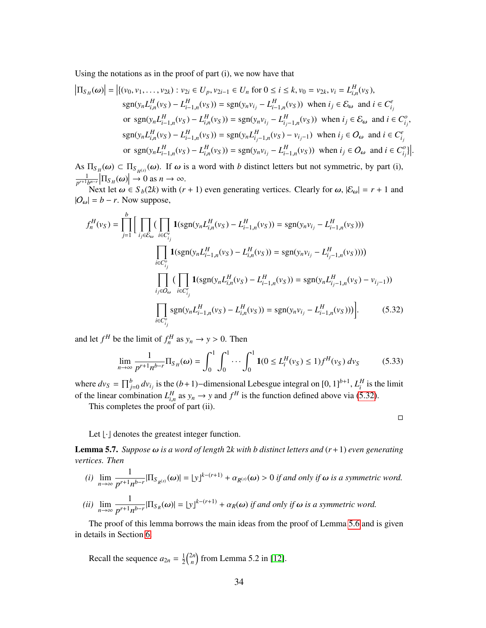Using the notations as in the proof of part (i), we now have that

$$
\left| \Pi_{S_H}(\omega) \right| = \left| \{ (v_0, v_1, \dots, v_{2k}) : v_{2i} \in U_p, v_{2i-1} \in U_n \text{ for } 0 \le i \le k, v_0 = v_{2k}, v_i = L_{i,n}^H(v_S),
$$
  
\n
$$
\text{sgn}(y_n L_{i,n}^H(v_S) - L_{i-1,n}^H(v_S)) = \text{sgn}(y_n v_{i_j} - L_{i-1,n}^H(v_S)) \text{ when } i_j \in \mathcal{E}_{\omega} \text{ and } i \in C_{i_j}^e
$$
  
\nor 
$$
\text{sgn}(y_n L_{i-1,n}^H(v_S) - L_{i,n}^H(v_S)) = \text{sgn}(y_n v_{i_j} - L_{i-1,n}^H(v_S)) \text{ when } i_j \in \mathcal{E}_{\omega} \text{ and } i \in C_{i_j}^e,
$$
  
\n
$$
\text{sgn}(y_n L_{i,n}^H(v_S) - L_{i-1,n}^H(v_S)) = \text{sgn}(y_n L_{i_j-1,n}^H(v_S) - v_{i_j-1}) \text{ when } i_j \in O_{\omega} \text{ and } i \in C_{i_j}^e
$$
  
\nor 
$$
\text{sgn}(y_n L_{i-1,n}^H(v_S) - L_{i,n}^H(v_S)) = \text{sgn}(y_n v_{i_j} - L_{i-1,n}^H(v_S)) \text{ when } i_j \in O_{\omega} \text{ and } i \in C_{i_j}^e \}
$$

As  $\Pi_{S_H}(\omega) \subset \Pi_{S_{H^{(s)}}}(\omega)$ . If  $\omega$  is a word with *b* distinct letters but not symmetric, by part (i), 1  $\frac{1}{p^{r+1}b^{n-r}}\left|\Pi_{S_H}(\omega)\right| \to 0$  as  $n \to \infty$ .<br>Next let  $\omega \in S_1(2k)$  with  $(r)$ 

Next let  $\omega \in S_b(2k)$  with  $(r + 1)$  even generating vertices. Clearly for  $\omega$ ,  $|\mathcal{E}_{\omega}| = r + 1$  and  $|O_{\omega}| = b - r$ . Now suppose,

$$
f_n^H(v_S) = \prod_{j=1}^b \Big[ \prod_{i_j \in \mathcal{E}_{\omega}} (\prod_{i \in C_{i_j}^e} \mathbf{1}(\text{sgn}(y_n L_{i,n}^H(v_S) - L_{i-1,n}^H(v_S)) = \text{sgn}(y_n v_{i_j} - L_{i-1,n}^H(v_S)))
$$
  

$$
\prod_{i \in C_{i_j}^o} \mathbf{1}(\text{sgn}(y_n L_{i-1,n}^H(v_S) - L_{i,n}^H(v_S)) = \text{sgn}(y_n v_{i_j} - L_{i_{j-1,n}}^H(v_S)))
$$
  

$$
\prod_{i_j \in O_{\omega}} (\prod_{i \in C_{i_j}^e} \mathbf{1}(\text{sgn}(y_n L_{i,n}^H(v_S) - L_{i-1,n}^H(v_S)) = \text{sgn}(y_n L_{i_{j-1,n}}^H(v_S) - v_{i_{j-1}}))
$$
  

$$
\prod_{i \in C_{i_j}^o} \text{sgn}(y_n L_{i-1,n}^H(v_S) - L_{i,n}^H(v_S)) = \text{sgn}(y_n v_{i_j} - L_{i-1,n}^H(v_S))) \Big].
$$
 (5.32)

and let  $f^H$  be the limit of  $f_n^H$  as  $y_n \to y > 0$ . Then

$$
\lim_{n \to \infty} \frac{1}{p^{r+1} n^{b-r}} \Pi_{S_H}(\omega) = \int_0^1 \int_0^1 \cdots \int_0^1 \mathbf{1}(0 \le L_i^H(\nu_S) \le 1) f^H(\nu_S) \, d\nu_S \tag{5.33}
$$

where  $dv_S = \prod_{j=0}^{b} dv_{i_j}$  is the (*b*+1)−dimensional Lebesgue integral on [0, 1]<sup>*b*+1</sup>,  $L_i^H$  is the limit of the limit of the linear combination  $L_{i,n}^H$  as  $y_n \to y$  and  $f^H$  is the function defined above via [\(5.32\)](#page-33-1).

This completes the proof of part (ii).

<span id="page-33-1"></span><span id="page-33-0"></span> $\Box$ 

Let  $\lfloor \cdot \rfloor$  denotes the greatest integer function.

<span id="page-33-2"></span>Lemma 5.7. *Suppose* ω *is a word of length* <sup>2</sup>*k with b distinct letters and* (*r*+1) *even generating vertices. Then*

- *(i)* lim *n*→∞ 1  $\frac{1}{p^{r+1}n^{b-r}}$  $|\Pi_{S_{R^{(s)}}}(\omega)| = \lfloor y \rfloor^{k-(r+1)} + \alpha_{R^{(s)}}(\omega) > 0$  *if and only if*  $\omega$  *is a symmetric word.*
- *(ii)* lim *n*→∞ 1  $\frac{1}{p^{r+1}n^{b-r}}$  $|\Pi_{S_R}(\omega)| = |y|^{k-(r+1)} + \alpha_R(\omega)$  *if and only if*  $\omega$  *is a symmetric word.*

The proof of this lemma borrows the main ideas from the proof of Lemma [5.6](#page-30-0) and is given in details in Section [6.](#page-45-0)

Recall the sequence  $a_{2n} = \frac{1}{2}$  $rac{1}{2}$  $binom{2n}{n}$  $\binom{2n}{n}$  from Lemma 5.2 in [\[12\]](#page-50-6).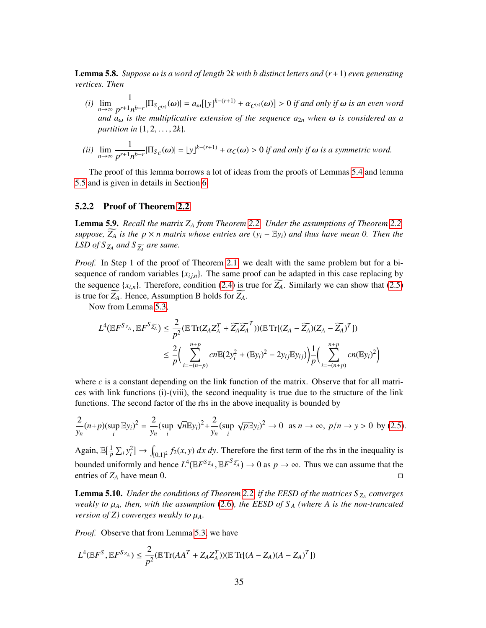<span id="page-34-2"></span>Lemma 5.8. *Suppose* ω *is a word of length* <sup>2</sup>*k with b distinct letters and* (*r*+1) *even generating vertices. Then*

- *(i)* lim *n*→∞ 1  $\frac{1}{p^{r+1}n^{b-r}}$  $|\Pi_{S_{C^{(s)}}}(\omega)| = a_{\omega} [y]^{k-(r+1)} + \alpha_{C^{(s)}}(\omega)] > 0$  *if and only if*  $\omega$  *is an even word and*  $a_{\omega}$  *is the multiplicative extension of the sequence*  $a_{2n}$  *when*  $\omega$  *<i>is considered as a partition in* {1, <sup>2</sup>, . . . , <sup>2</sup>*k*}*.*
- *(ii)* lim *n*→∞ 1  $\frac{1}{p^{r+1}n^{b-r}}$  $|\Pi_{S_C}(\omega)| = \lfloor y \rfloor^{k-(r+1)} + \alpha_C(\omega) > 0$  *if and only if*  $\omega$  *is a symmetric word.*

The proof of this lemma borrows a lot of ideas from the proofs of Lemmas [5.4](#page-25-2) and lemma [5.5](#page-28-3) and is given in details in Section [6.](#page-45-0)

### 5.2.2 Proof of Theorem [2.2](#page-5-0)

<span id="page-34-0"></span>Lemma 5.9. *Recall the matrix Z<sup>A</sup> from Theorem [2.2.](#page-5-0) Under the assumptions of Theorem [2.2,](#page-5-0) suppose,*  $\widetilde{Z_A}$  *is the p* × *n* matrix whose entries are  $(y_i - Ey_i)$  and thus have mean 0. Then the *LSD of S*<sub> $Z_A$ </sub> and *S*<sub> $\widetilde{Z_A}$  are same.</sub>

*Proof.* In Step 1 of the proof of Theorem [2.1,](#page-4-0) we dealt with the same problem but for a bisequence of random variables  $\{x_{i,j,n}\}$ . The same proof can be adapted in this case replacing by the sequence  $\{x_{i,n}\}$ . Therefore, condition [\(2.4\)](#page-5-3) is true for  $\widetilde{Z_A}$ . Similarly we can show that [\(2.5\)](#page-5-4) is true for  $Z_A$ . Hence, Assumption B holds for  $Z_A$ .

Now from Lemma [5.3,](#page-25-3)

$$
L^{4}(\mathbb{E}F^{S_{Z_A}}, \mathbb{E}F^{S_{\widetilde{Z_A}}}) \leq \frac{2}{p^2}(\mathbb{E}\operatorname{Tr}(Z_AZ_A^T + \widetilde{Z_AZ_A}^T))(\mathbb{E}\operatorname{Tr}[(Z_A - \widetilde{Z_A})(Z_A - \widetilde{Z_A})^T])
$$
  

$$
\leq \frac{2}{p}\Big(\sum_{i=-(n+p)}^{n+p} cn\mathbb{E}(2y_i^2 + (\mathbb{E}y_i)^2 - 2y_{ij}\mathbb{E}y_{ij})\Big) \frac{1}{p}\Big(\sum_{i=-(n+p)}^{n+p} cn(\mathbb{E}y_i)^2\Big)
$$

where  $c$  is a constant depending on the link function of the matrix. Observe that for all matrices with link functions (i)-(viii), the second inequality is true due to the structure of the link functions. The second factor of the rhs in the above inequality is bounded by

$$
\frac{2}{y_n}(n+p)(\sup_i \mathbb{E}y_i)^2 = \frac{2}{y_n}(\sup_i \sqrt{n}\mathbb{E}y_i)^2 + \frac{2}{y_n}(\sup_i \sqrt{p}\mathbb{E}y_i)^2 \to 0 \text{ as } n \to \infty, \ p/n \to y > 0 \text{ by (2.5)}.
$$

Again,  $\mathbb{E}[\frac{1}{n}]$  $\frac{1}{p}$   $\sum_i y_i^2$   $\rightarrow$  J  $f_{[0,1]^2} f_2(x, y) dx dy$ . Therefore the first term of the rhs in the inequality is bounded uniformly and hence  $L^4(\mathbb{E}F^{S_{Z_A}}, \mathbb{E}F^{S_{\overline{Z_A}}}) \to 0$  as  $p \to \infty$ . Thus we can assume that the entries of  $Z_A$  have mean 0.

<span id="page-34-1"></span>Lemma 5.10. *Under the conditions of Theorem [2.2,](#page-5-0) if the EESD of the matrices S <sup>Z</sup><sup>A</sup> converges weakly to*  $\mu_A$ *, then, with the assumption* [\(2.6\)](#page-6-3)*, the EESD of*  $S_A$  *(where A is the non-truncated version of Z) converges weakly to*  $\mu_A$ *.* 

*Proof.* Observe that from Lemma [5.3,](#page-25-3) we have

$$
L^{4}(\mathbb{E}F^{S}, \mathbb{E}F^{S_{Z_{A}}}) \leq \frac{2}{p^{2}}(\mathbb{E}Tr(AA^{T} + Z_{A}Z_{A}^{T}))(\mathbb{E}Tr[(A - Z_{A})(A - Z_{A})^{T}])
$$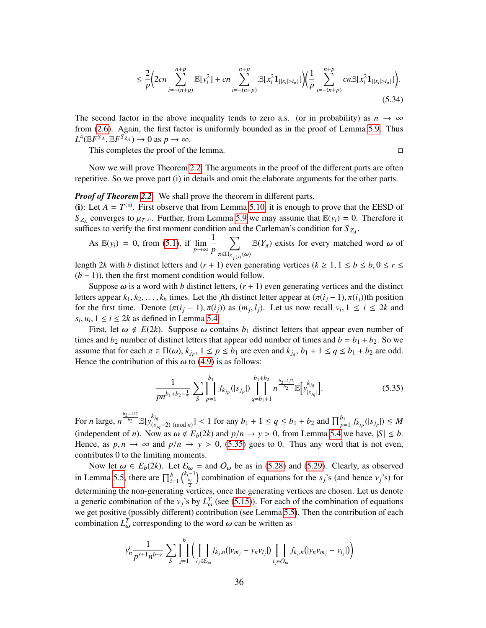$$
\leq \frac{2}{p} \Big( 2cn \sum_{i=-(n+p)}^{n+p} \mathbb{E}[y_i^2] + cn \sum_{i=-(n+p)}^{n+p} \mathbb{E}[x_i^2 \mathbf{1}_{[|x_i|>t_n]}] \Big) \Big( \frac{1}{p} \sum_{i=-(n+p)}^{n+p} cn \mathbb{E}[x_i^2 \mathbf{1}_{[|x_i|>t_n]}] \Big).
$$
\n(5.34)

The second factor in the above inequality tends to zero a.s. (or in probability) as  $n \to \infty$ from [\(2.6\)](#page-6-3). Again, the first factor is uniformly bounded as in the proof of Lemma [5.9.](#page-34-0) Thus  $L^4(\mathbb{E}F^{S_A}, \mathbb{E}F^{S_{Z_A}}) \to 0$  as  $p \to \infty$ .<br>This completes the proof of the

This completes the proof of the lemma.

Now we will prove Theorem [2.2.](#page-5-0) The arguments in the proof of the different parts are often repetitive. So we prove part (i) in details and omit the elaborate arguments for the other parts.

#### *Proof of Theorem [2.2](#page-5-0).* We shall prove the theorem in different parts.

(i): Let  $A = T^{(s)}$ . First observe that from Lemma [5.10,](#page-34-1) it is enough to prove that the EESD of  $S_{Z_A}$  converges to  $\mu_{T^{(s)}}$ . Further, from Lemma [5.9](#page-34-0) we may assume that  $\mathbb{E}(y_i) = 0$ . Therefore it suffices to verify the first moment condition and the Carleman's condition for S<sub>Z</sub> suffices to verify the first moment condition and the Carleman's condition for  $S_{Z_A}$ .

As 
$$
\mathbb{E}(y_i) = 0
$$
, from (5.1), if  $\lim_{p \to \infty} \frac{1}{p} \sum_{\pi \in \Pi_{S_{T}(s)}(\omega)} \mathbb{E}(Y_{\pi})$  exists for every matched word  $\omega$  of

length 2*k* with *b* distinct letters and  $(r + 1)$  even generating vertices  $(k \ge 1, 1 \le b \le b, 0 \le r \le (b - 1)$  then the first moment condition would follow  $(b-1)$ ), then the first moment condition would follow.

Suppose  $\omega$  is a word with *b* distinct letters,  $(r + 1)$  even generating vertices and the distinct letters appear  $k_1, k_2, \ldots, k_b$  times. Let the *j*th distinct letter appear at  $(\pi(i_i-1), \pi(i_i))$ th position for the first time. Denote  $(\pi(i_j - 1), \pi(i_j))$  as  $(m_j, l_j)$ . Let us now recall  $v_i, 1 \le i \le 2k$  and  $s_i, u_i, 1 \le i \le 2k$  as defined in Lamma 5.4.  $s_i, u_i, 1 \le i \le 2k$  as defined in Lemma [5.4.](#page-25-2)<br>First, let  $\omega \notin E(2k)$ . Suppose  $\omega$  con-

First, let  $\omega \notin E(2k)$ . Suppose  $\omega$  contains  $b_1$  distinct letters that appear even number of times and  $b_2$  number of distinct letters that appear odd number of times and  $b = b_1 + b_2$ . So we assume that for each  $\pi \in \Pi(\omega)$ ,  $k_{j_p}$ ,  $1 \le p \le b_1$  are even and  $k_{j_q}$ ,  $b_1 + 1 \le q \le b_1 + b_2$  are odd.<br>Hence the contribution of this  $\omega$  to (4.9) is as follows: Hence the contribution of this  $\omega$  to [\(4.9\)](#page-9-1) is as follows:

<span id="page-35-0"></span>
$$
\frac{1}{pn^{b_1+b_2-\frac{1}{2}}} \sum_{S} \prod_{p=1}^{b_1} f_{k_{j_p}}(|s_{j_p}|) \prod_{q=b_1+1}^{b_1+b_2} n^{\frac{b_2-1/2}{b_2}} \mathbb{E}[y_{|s_{j_q}|}^{k_{j_q}}].
$$
\n(5.35)

For *n* large,  $n \frac{b_2-1/2}{b_2} \mathbb{E}[y_{\ell,s}^{k_{jq}}]$  $\left[\frac{k_{jq}}{(s_{jq}-2)}\left(\bmod n\right)\right]$  < 1 for any *b*<sub>1</sub> + 1 ≤ *q* ≤ *b*<sub>1</sub> + *b*<sub>2</sub> and  $\prod_{p=1}^{b_1} f_{k_{jp}}(|s_{j_p}|)$  ≤ *M* (independent of *n*). Now as  $\omega \notin E_b(2k)$  and  $p/n \to y > 0$ , from Lemma [5.4](#page-25-2) we have,  $|S| \leq b$ . Hence, as  $p, n \to \infty$  and  $p/n \to y > 0$ , [\(5.35\)](#page-35-0) goes to 0. Thus any word that is not even, contributes 0 to the limiting moments.

Now let  $\omega \in E_b(2k)$ . Let  $\mathcal{E}_{\omega} =$  and  $O_{\omega}$  be as in [\(5.28\)](#page-32-0) and [\(5.29\)](#page-32-1). Clearly, as observed in Lemma [5.5,](#page-28-3) there are  $\prod_{i=1}^{b} {k_i-1 \choose \frac{k_i}{n}}$  combination of equations for the *s<sub>j</sub>*'s (and hence *v<sub>j</sub>*'s) for determining the non-generating vertices, once the generating vertices are chosen. Let us denote a generic combination of the *v*<sup>*j*</sup>'s by  $L^T_\omega$  (see [\(5.15\)](#page-27-0)). For each of the combination of equations we get positive (possibly different) contribution (see I emma 5.5). Then the contribution of each we get positive (possibly different) contribution (see Lemma [5.5\)](#page-28-3). Then the contribution of each combination  $L^T_{\omega}$  corresponding to the word  $\omega$  can be written as

$$
y_n^r \frac{1}{p^{r+1} n^{b-r}} \sum_{S} \prod_{j=1}^b \Big( \prod_{i_j \in \mathcal{E}_{\omega}} f_{k_j,n}(|v_{m_j} - v_n v_{l_j}|) \prod_{i_j \in O_{\omega}} f_{k_j,n}(|v_n v_{m_j} - v_{l_j}|) \Big)
$$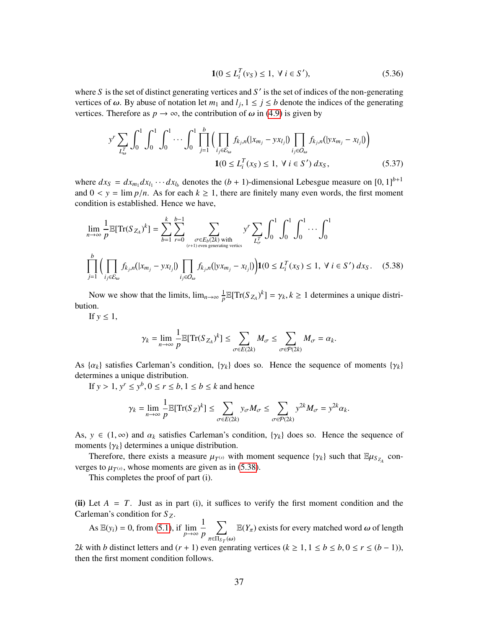$$
\mathbf{1}(0 \le L_i^T(v_S) \le 1, \ \forall \ i \in S'), \tag{5.36}
$$

where  $S$  is the set of distinct generating vertices and  $S'$  is the set of indices of the non-generating vertices of  $\omega$ . By abuse of notation let  $m_1$  and  $l_j$ ,  $1 \le j \le b$  denote the indices of the generating vertices. Therefore as  $n \to \infty$  the contribution of  $\omega$  in (4.0) is given by vertices. Therefore as  $p \to \infty$ , the contribution of  $\omega$  in [\(4.9\)](#page-9-1) is given by

$$
y^{r} \sum_{L_{\omega}^{T}} \int_{0}^{1} \int_{0}^{1} \cdots \int_{0}^{1} \prod_{j=1}^{b} \Big( \prod_{i_{j} \in \mathcal{E}_{\omega}} f_{k_{j},n}(|x_{m_{j}} - y x_{l_{j}}|) \prod_{i_{j} \in O_{\omega}} f_{k_{j},n}(|x_{m_{j}} - x_{l_{j}}|) \Big) \qquad (5.37)
$$
  

$$
1(0 \le L_{i}^{T}(x_{S}) \le 1, \ \forall \ i \in S') \ dx_{S},
$$

where  $dx_S = dx_{m_1} dx_{l_1} \cdots dx_{l_b}$  denotes the  $(b + 1)$ -dimensional Lebesgue measure on  $[0, 1]^{b+1}$ <br>and  $0 \le y = \lim_{h \to 0} g/h$ . As for each  $k > 1$ , there are finitely many even words, the first moment and  $0 < y = \lim p/n$ . As for each  $k \ge 1$ , there are finitely many even words, the first moment condition is established. Hence we have,

$$
\lim_{n \to \infty} \frac{1}{p} \mathbb{E}[Tr(S_{Z_A})^k] = \sum_{b=1}^k \sum_{r=0}^{b-1} \sum_{\substack{\sigma \in E_b(2k) \text{ with} \\ (\tau+1) \text{ even generating vertices}}} y^r \sum_{L_{\sigma}^T} \int_0^1 \int_0^1 \int_0^1 \cdots \int_0^1
$$
\n
$$
\prod_{j=1}^b \left( \prod_{i_j \in \mathcal{E}_{\omega}} f_{k_j, n}(|x_{m_j} - y x_{l_j}|) \prod_{i_j \in \mathcal{O}_{\omega}} f_{k_j, n}(|y x_{m_j} - x_{l_j}|) \right) \mathbf{1}(0 \le L_i^T(x_S) \le 1, \ \forall \ i \in S') \ dx_S. \tag{5.38}
$$

Now we show that the limits,  $\lim_{n\to\infty}\frac{1}{n}$  $\frac{1}{p} \mathbb{E}[Tr(S_{Z_A})^k] = \gamma_k, k \ge 1$  determines a unique distribution.

If  $y \leq 1$ ,

<span id="page-36-0"></span>
$$
\gamma_k = \lim_{n \to \infty} \frac{1}{p} \mathbb{E}[\operatorname{Tr}(S_{Z_A})^k] \le \sum_{\sigma \in E(2k)} M_{\sigma} \le \sum_{\sigma \in \mathcal{P}(2k)} M_{\sigma} = \alpha_k.
$$

As  $\{\alpha_k\}$  satisfies Carleman's condition,  $\{\gamma_k\}$  does so. Hence the sequence of moments  $\{\gamma_k\}$ determines a unique distribution.

If  $y > 1$ ,  $y^r \le y^b$ ,  $0 \le r \le b$ ,  $1 \le b \le k$  and hence

$$
\gamma_k = \lim_{n \to \infty} \frac{1}{p} \mathbb{E}[\text{Tr}(S_Z)^k] \le \sum_{\sigma \in E(2k)} y_{\sigma} M_{\sigma} \le \sum_{\sigma \in \mathcal{P}(2k)} y^{2k} M_{\sigma} = y^{2k} \alpha_k.
$$

As,  $y \in (1, \infty)$  and  $\alpha_k$  satisfies Carleman's condition,  $\{\gamma_k\}$  does so. Hence the sequence of moments  $\{\gamma_k\}$  determines a unique distribution.

Therefore, there exists a measure  $\mu_{T^{(s)}}$  with moment sequence  $\{\gamma_k\}$  such that  $\mathbb{E}\mu_{S_{Z_A}}$  converges to  $\mu_{T^{(s)}}$ , whose moments are given as in [\(5.38\)](#page-36-0).<br>This completes the proof of part (i)

This completes the proof of part (i).

(ii) Let  $A = T$ . Just as in part (i), it suffices to verify the first moment condition and the Carleman's condition for *S <sup>Z</sup>*.

As  $\mathbb{E}(y_i) = 0$ , from [\(5.1\)](#page-23-2), if  $\lim_{p \to \infty}$ 1 *p*  $\nabla$  $π∈Π<sub>S T</sub>(ω)$  $E(Y_\pi)$  exists for every matched word  $\omega$  of length

2*k* with *b* distinct letters and  $(r + 1)$  even genrating vertices  $(k \ge 1, 1 \le b \le b, 0 \le r \le (b - 1))$ , then the first moment condition follows.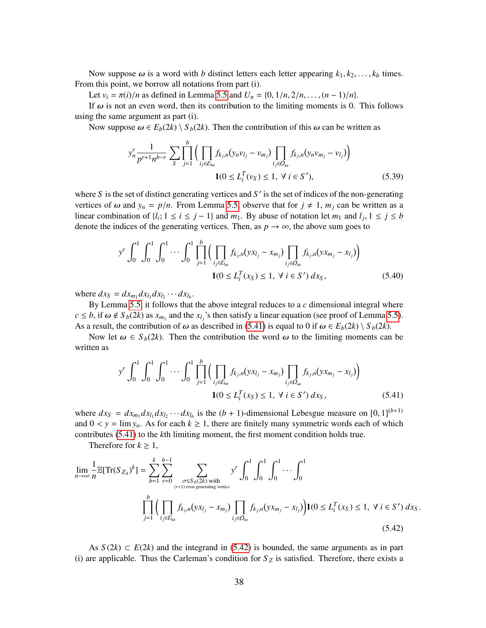Now suppose  $\omega$  is a word with *b* distinct letters each letter appearing  $k_1, k_2, \ldots, k_b$  times. From this point, we borrow all notations from part (i).

Let  $v_i = \pi(i)/n$  as defined in Lemma [5.5](#page-28-3) and  $U_n = \{0, 1/n, 2/n, \ldots, (n-1)/n\}.$ 

If  $\omega$  is not an even word, then its contribution to the limiting moments is 0. This follows using the same argument as part (i).

Now suppose  $\omega \in E_b(2k) \setminus S_b(2k)$ . Then the contribution of this  $\omega$  can be written as

$$
y_n^r \frac{1}{p^{r+1} n^{b-r}} \sum_{S} \prod_{j=1}^b \Big( \prod_{i_j \in \mathcal{E}_{\omega}} f_{k_j, n} (y_n v_{l_j} - v_{m_j}) \prod_{i_j \in O_{\omega}} f_{k_j, n} (y_n v_{m_j} - v_{l_j}) \Big)
$$
  

$$
\mathbf{1}(0 \le L_i^T (v_S) \le 1, \ \forall \ i \in S'), \tag{5.39}
$$

where  $S$  is the set of distinct generating vertices and  $S'$  is the set of indices of the non-generating vertices of  $\omega$  and  $y_n = p/n$ . From Lemma [5.5,](#page-28-3) observe that for  $j \neq 1$ ,  $m_j$  can be written as a linear combination of  $\{l_i; 1 \le i \le j - 1\}$  and  $m_1$ . By abuse of notation let  $m_1$  and  $l_j$ ,  $1 \le j \le b$  denote the indices of the generating vertices. Then as  $n \to \infty$  the above sum goes to denote the indices of the generating vertices. Then, as  $p \to \infty$ , the above sum goes to

$$
y^{r} \int_{0}^{1} \int_{0}^{1} \int_{0}^{1} \cdots \int_{0}^{1} \prod_{j=1}^{b} \Big( \prod_{i_{j} \in \mathcal{E}_{\omega}} f_{k_{j},n}(yx_{l_{j}} - x_{m_{j}}) \prod_{i_{j} \in O_{\omega}} f_{k_{j},n}(yx_{m_{j}} - x_{l_{j}}) \Big) \qquad (5.40)
$$
  

$$
1(0 \le L_{i}^{T}(x_{S}) \le 1, \ \forall \ i \in S') \ dx_{S},
$$

where  $dx_S = dx_{m_1} dx_{l_1} dx_{l_2} \cdots dx_{l_b}$ .

By Lemma [5.5,](#page-28-3) it follows that the above integral reduces to a *c* dimensional integral where  $c \leq b$ , if  $\omega \notin S_b(2k)$  as  $x_{m_1}$  and the  $x_{l_j}$ 's then satisfy a linear equation (see proof of Lemma [5.5\)](#page-28-3).<br>As a result, the contribution of  $\omega$  as described in (5.41) is equal to 0 if  $\omega \in F_b(2k) \setminus S_b(2k)$ . As a result, the contribution of  $\omega$  as described in [\(5.41\)](#page-37-0) is equal to 0 if  $\omega \in E_b(2k) \setminus S_b(2k)$ .

Now let  $\omega \in S_b(2k)$ . Then the contribution the word  $\omega$  to the limiting moments can be written as

<span id="page-37-0"></span>
$$
y^{r} \int_{0}^{1} \int_{0}^{1} \int_{0}^{1} \cdots \int_{0}^{1} \prod_{j=1}^{b} \Big( \prod_{i_{j} \in \mathcal{E}_{\omega}} f_{k_{j},n}(yx_{l_{j}} - x_{m_{j}}) \prod_{i_{j} \in O_{\omega}} f_{k_{j},n}(yx_{m_{j}} - x_{l_{j}}) \Big) \qquad (5.41)
$$
  

$$
1(0 \le L_{i}^{T}(x_{S}) \le 1, \ \forall \ i \in S') \ dx_{S},
$$

where  $dx_S = dx_{m_1} dx_{l_1} dx_{l_2} \cdots dx_{l_b}$  is the  $(b + 1)$ -dimensional Lebesgue measure on  $[0, 1]^{(b+1)}$ <br>and  $0 \le y = \lim_{b \to \infty} \Delta s$  for each  $b > 1$ , there are finitely many symmetric words each of which and  $0 < y = \lim y_n$ . As for each  $k \ge 1$ , there are finitely many symmetric words each of which contributes [\(5.41\)](#page-37-0) to the *k*th limiting moment, the first moment condition holds true.

<span id="page-37-1"></span>Therefore for  $k \geq 1$ ,

$$
\lim_{n \to \infty} \frac{1}{n} \mathbb{E}[\text{Tr}(S_{Z_A})^k] = \sum_{b=1}^k \sum_{r=0}^{b-1} \sum_{\substack{\sigma \in S_b(2k) \text{ with } \\ (r+1) \text{ even generating vertices}}} y^r \int_0^1 \int_0^1 \int_0^1 \cdots \int_0^1
$$
  

$$
\prod_{j=1}^b \Big( \prod_{i_j \in \mathcal{E}_{\omega}} f_{k_j, n}(yx_{l_j} - x_{m_j}) \prod_{i_j \in \mathcal{O}_{\omega}} f_{k_j, n}(yx_{m_j} - x_{l_j}) \Big) \mathbf{1}(0 \le L_i^T(x_S) \le 1, \ \forall \ i \in S') \ dx_S.
$$
\n(5.42)

As  $S(2k) \subset E(2k)$  and the integrand in [\(5.42\)](#page-37-1) is bounded, the same arguments as in part (i) are applicable. Thus the Carleman's condition for  $S_Z$  is satisfied. Therefore, there exists a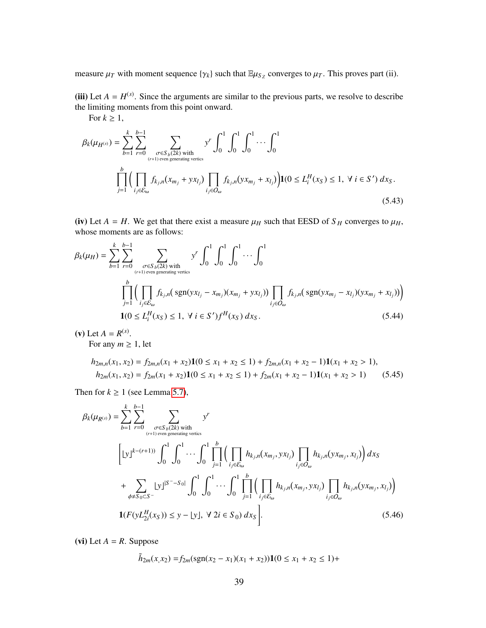measure  $\mu_T$  with moment sequence  $\{\gamma_k\}$  such that  $\mathbb{E}\mu_{S_Z}$  converges to  $\mu_T$ . This proves part (ii).

(iii) Let  $A = H^{(s)}$ . Since the arguments are similar to the previous parts, we resolve to describe the limiting moments from this point onward.

For 
$$
k \ge 1
$$
,  
\n
$$
\beta_k(\mu_{H^{(s)}}) = \sum_{b=1}^k \sum_{r=0}^{b-1} \sum_{\substack{\sigma \in S_b(2k) \text{ with } \\ (r+1) \text{ even generating vertices}}} y^r \int_0^1 \int_0^1 \int_0^1 \cdots \int_0^1
$$
\n
$$
\prod_{j=1}^b \Big( \prod_{i_j \in \mathcal{E}_{\omega}} f_{k_j, n}(x_{m_j} + yx_{l_j}) \prod_{i_j \in O_{\omega}} f_{k_j, n}(yx_{m_j} + x_{l_j}) \Big) \mathbf{1}(0 \le L_i^H(x_S) \le 1, \ \forall \ i \in S') \ dx_S.
$$
\n(5.43)

<span id="page-38-0"></span>(iv) Let  $A = H$ . We get that there exist a measure  $\mu_H$  such that EESD of  $S_H$  converges to  $\mu_H$ , whose moments are as follows:

$$
\beta_k(\mu_H) = \sum_{b=1}^k \sum_{r=0}^{b-1} \sum_{\substack{\sigma \in S_b(2k) \text{ with} \\ (r+1) \text{ even generating vertices}}} y^r \int_0^1 \int_0^1 \int_0^1 \dots \int_0^1
$$
  

$$
\prod_{j=1}^b \Big( \prod_{i_j \in \mathcal{E}_{\omega}} f_{k_j,n}(\text{sgn}(yx_{l_j} - x_{m_j})(x_{m_j} + y_{\mathcal{X}_{l_j}})) \prod_{i_j \in \mathcal{O}_{\omega}} f_{k_j,n}(\text{sgn}(yx_{m_j} - x_{l_j})(yx_{m_j} + x_{l_j})) \Big)
$$
  

$$
\mathbf{1}(0 \le L_i^H(x_S) \le 1, \ \forall \ i \in S') f^H(x_S) \, dx_S.
$$
 (5.44)

(**v**) Let  $A = R^{(s)}$ . For any  $m \geq 1$ , let

<span id="page-38-1"></span>
$$
h_{2m,n}(x_1, x_2) = f_{2m,n}(x_1 + x_2)\mathbf{1}(0 \le x_1 + x_2 \le 1) + f_{2m,n}(x_1 + x_2 - 1)\mathbf{1}(x_1 + x_2 > 1),
$$
\n
$$
h_{2m}(x_1, x_2) = f_{2m}(x_1 + x_2)\mathbf{1}(0 \le x_1 + x_2 \le 1) + f_{2m}(x_1 + x_2 - 1)\mathbf{1}(x_1 + x_2 > 1) \tag{5.45}
$$

Then for  $k \ge 1$  (see Lemma [5.7\)](#page-33-2),

$$
\beta_{k}(\mu_{R^{(s)}}) = \sum_{b=1}^{k} \sum_{r=0}^{b-1} \sum_{\substack{\sigma \in S_{b}(2k) \text{ with} \\ (r+1) \text{ even generating vertices}}} y^{r}
$$
\n
$$
\left[ |y|^{k-(r+1)} \right] \int_{0}^{1} \int_{0}^{1} \cdots \int_{0}^{1} \prod_{j=1}^{b} \left( \prod_{i_{j} \in \mathcal{E}_{\omega}} h_{k_{j},n}(x_{m_{j}}, yx_{l_{j}}) \prod_{i_{j} \in \mathcal{O}_{\omega}} h_{k_{j},n}(yx_{m_{j}}, x_{l_{j}}) \right) dx_{S}
$$
\n
$$
+ \sum_{\phi \neq S_{0} \subset S^{-}} |y|^{S^{--}S_{0}|} \int_{0}^{1} \int_{0}^{1} \cdots \int_{0}^{1} \prod_{j=1}^{b} \left( \prod_{i_{j} \in \mathcal{E}_{\omega}} h_{k_{j},n}(x_{m_{j}}, yx_{l_{j}}) \prod_{i_{j} \in \mathcal{O}_{\omega}} h_{k_{j},n}(yx_{m_{j}}, x_{l_{j}}) \right)
$$
\n
$$
\mathbf{1}(F(yL_{2i}^{H}(x_{S})) \leq y - \lfloor y \rfloor, \ \forall \ 2i \in S_{0}) \ dx_{S} \Bigg]. \tag{5.46}
$$

(vi) Let  $A = R$ . Suppose

<span id="page-38-2"></span>
$$
\tilde{h}_{2m}(x, x_2) = f_{2m}(\text{sgn}(x_2 - x_1)(x_1 + x_2))\mathbf{1}(0 \le x_1 + x_2 \le 1) +
$$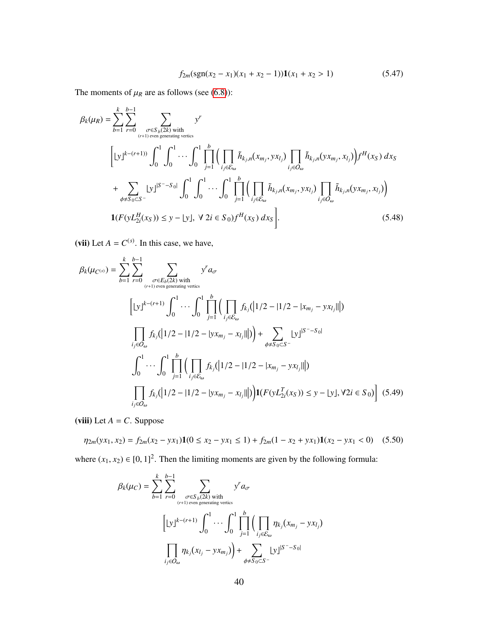$$
f_{2m}(\text{sgn}(x_2 - x_1)(x_1 + x_2 - 1))\mathbf{1}(x_1 + x_2 > 1)
$$
\n(5.47)

The moments of  $\mu_R$  are as follows (see [\(6.8\)](#page-47-0)):

$$
\beta_{k}(\mu_{R}) = \sum_{b=1}^{k} \sum_{r=0}^{b-1} \sum_{\substack{\sigma \in S_{b}(2k) \text{ with} \\ (r+1) \text{ even generating vertices}}} y^{r}
$$
\n
$$
\left[ |y|^{k-(r+1)} \right] \int_{0}^{1} \int_{0}^{1} \cdots \int_{0}^{1} \prod_{j=1}^{b} \left( \prod_{i_{j} \in \mathcal{E}_{\omega}} \tilde{h}_{k_{j},n}(x_{m_{j}}, yx_{l_{j}}) \prod_{i_{j} \in O_{\omega}} \tilde{h}_{k_{j},n}(yx_{m_{j}}, x_{l_{j}}) \right) f^{H}(x_{S}) dx_{S}
$$
\n
$$
+ \sum_{\phi \neq S_{0} \subset S^{-}} |y|^{S^{2}-S_{0}} \int_{0}^{1} \int_{0}^{1} \cdots \int_{0}^{1} \prod_{j=1}^{b} \left( \prod_{i_{j} \in \mathcal{E}_{\omega}} \tilde{h}_{k_{j},n}(x_{m_{j}}, yx_{l_{j}}) \prod_{i_{j} \in O_{\omega}} \tilde{h}_{k_{j},n}(yx_{m_{j}}, x_{l_{j}}) \right)
$$
\n
$$
\mathbf{1}(F(yL_{2i}^{H}(x_{S})) \leq y - \lfloor y \rfloor, \ \forall \ 2i \in S_{0}) f^{H}(x_{S}) dx_{S}.
$$
\n(5.48)

(vii) Let  $A = C^{(s)}$ . In this case, we have,

$$
\beta_{k}(\mu_{C^{(s)}}) = \sum_{b=1}^{k} \sum_{r=0}^{b-1} \sum_{\substack{\sigma \in E_{b}(2k) \text{ with} \\ (r+1) \text{ even generating vertices}}} y^{r} a_{\sigma}
$$
\n
$$
\left[ \lfloor y \rfloor^{k-(r+1)} \int_{0}^{1} \cdots \int_{0}^{1} \prod_{j=1}^{b} \left( \prod_{i_{j} \in \mathcal{E}_{\omega}} f_{k_{j}}(|1/2 - |1/2 - |x_{m_{j}} - yx_{l_{j}}||) \right) \right]
$$
\n
$$
\prod_{i_{j} \in O_{\omega}} f_{k_{j}}(|1/2 - |1/2 - |yx_{m_{j}} - x_{l_{j}}||) + \sum_{\phi \neq S_{0} \subset S^{-}} \lfloor y \rfloor^{S^{-}-S_{0}}
$$
\n
$$
\int_{0}^{1} \cdots \int_{0}^{1} \prod_{j=1}^{b} \left( \prod_{i_{j} \in \mathcal{E}_{\omega}} f_{k_{j}}(|1/2 - |1/2 - |x_{m_{j}} - yx_{l_{j}}||) \right)
$$
\n
$$
\prod_{i_{j} \in O_{\omega}} f_{k_{j}}(|1/2 - |1/2 - |yx_{m_{j}} - x_{l_{j}}||) \right) \mathbf{1}(F(yL_{2i}^{T}(x_{S})) \leq y - |y|, \forall 2i \in S_{0}) \tag{5.49}
$$

(viii) Let  $A = C$ . Suppose

$$
\eta_{2m}(yx_1, x_2) = f_{2m}(x_2 - yx_1)\mathbf{1}(0 \le x_2 - yx_1 \le 1) + f_{2m}(1 - x_2 + yx_1)\mathbf{1}(x_2 - yx_1 < 0) \tag{5.50}
$$

where  $(x_1, x_2) \in [0, 1]^2$ . Then the limiting moments are given by the following formula:

<span id="page-39-0"></span>
$$
\beta_k(\mu_C) = \sum_{b=1}^k \sum_{r=0}^{b-1} \sum_{\substack{\sigma \in S_b(2k) \text{ with} \\ (r+1) \text{ even generating vertices}}} y^r a_{\sigma}
$$

$$
\left[ \lfloor y \rfloor^{k-(r+1)} \int_0^1 \cdots \int_0^1 \prod_{j=1}^b \left( \prod_{i_j \in \mathcal{E}_{\omega}} \eta_{k_j} (x_{m_j} - y x_{l_j}) \right) \right.
$$

$$
\prod_{i_j \in \mathcal{O}_{\omega}} \eta_{k_j} (x_{l_j} - y x_{m_j}) + \sum_{\phi \neq S_0 \subset S^-} \lfloor y \rfloor^{S^- - S_0}
$$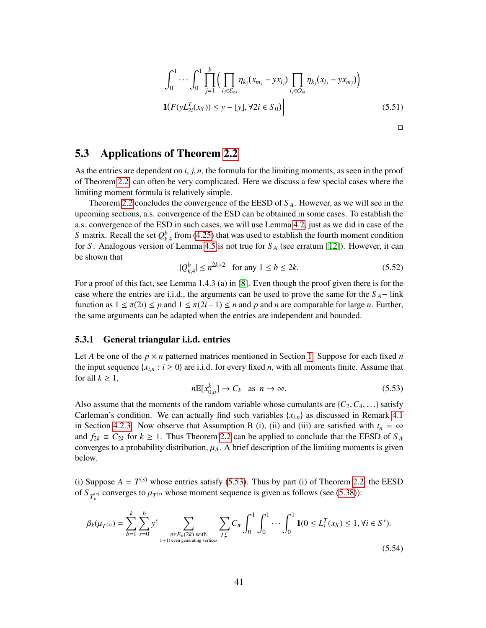<span id="page-40-3"></span>
$$
\int_{0}^{1} \cdots \int_{0}^{1} \prod_{j=1}^{b} \Big( \prod_{i_{j} \in \mathcal{E}_{\omega}} \eta_{k_{j}} (x_{m_{j}} - y x_{l_{j}}) \prod_{i_{j} \in O_{\omega}} \eta_{k_{j}} (x_{l_{j}} - y x_{m_{j}}) \Big)
$$
  

$$
\mathbf{1}(F(yL_{2i}^{T}(x_{S})) \leq y - \lfloor y \rfloor, \forall 2i \in S_{0})
$$
 (5.51)

## <span id="page-40-0"></span>5.3 Applications of Theorem [2.2](#page-5-0)

As the entries are dependent on *<sup>i</sup>*, *<sup>j</sup>*, *<sup>n</sup>*, the formula for the limiting moments, as seen in the proof of Theorem [2.2,](#page-5-0) can often be very complicated. Here we discuss a few special cases where the limiting moment formula is relatively simple.

Theorem [2.2](#page-5-0) concludes the convergence of the EESD of *S <sup>A</sup>*. However, as we will see in the upcoming sections, a.s. convergence of the ESD can be obtained in some cases. To establish the a.s. convergence of the ESD in such cases, we will use Lemma [4.2,](#page-10-1) just as we did in case of the *S* matrix. Recall the set  $Q_{k,4}^b$  from [\(4.25\)](#page-16-4) that was used to establish the fourth moment condition for *S*. Analogous version of Lemma [4.5](#page-16-3) is not true for  $S_A$  (see erratum [\[12\]](#page-50-6)). However, it can be shown that

<span id="page-40-5"></span>
$$
|Q_{k,4}^b| \le n^{2k+2} \quad \text{for any } 1 \le b \le 2k. \tag{5.52}
$$

For a proof of this fact, see Lemma 1.4.3 (a) in [\[8\]](#page-50-9). Even though the proof given there is for the case where the entries are i.i.d., the arguments can be used to prove the same for the  $S_A-$  link function as  $1 \le \pi(2i) \le p$  and  $1 \le \pi(2i-1) \le n$  and p and n are comparable for large *n*. Further, the same arguments can be adapted when the entries are independent and bounded.

### <span id="page-40-4"></span>5.3.1 General triangular i.i.d. entries

Let *A* be one of the  $p \times n$  patterned matrices mentioned in Section [1.](#page-1-0) Suppose for each fixed *n* the input sequence  $\{x_{i,n} : i \geq 0\}$  are i.i.d. for every fixed *n*, with all moments finite. Assume that for all  $k \geq 1$ ,

<span id="page-40-1"></span>
$$
n\mathbb{E}[x_{0,n}^k] \to C_k \quad \text{as} \quad n \to \infty. \tag{5.53}
$$

Also assume that the moments of the random variable whose cumulants are  $\{C_2, C_4, \ldots\}$  satisfy Carleman's condition. We can actually find such variables  ${x_i}_n$  as discussed in Remark [4.1](#page-12-4) in Section [4.2.3.](#page-11-1) Now observe that Assumption B (i), (ii) and (iii) are satisfied with  $t_n = \infty$ and  $f_{2k} \equiv C_{2k}$  for  $k \ge 1$ . Thus Theorem [2.2](#page-5-0) can be applied to conclude that the EESD of  $S_A$ converges to a probability distribution,  $\mu_A$ . A brief description of the limiting moments is given below.

(i) Suppose  $A = T^{(s)}$  whose entries satisfy [\(5.53\)](#page-40-1). Thus by part (i) of Theorem [2.2,](#page-5-0) the EESD of  $S_{T_p^{(s)}}$  converges to  $\mu_{T^{(s)}}$  whose moment sequence is given as follows (see [\(5.38\)](#page-36-0)):

<span id="page-40-2"></span>
$$
\beta_k(\mu_{T^{(s)}}) = \sum_{b=1}^k \sum_{r=0}^b y^r \sum_{\substack{\pi \in E_b(2k) \text{ with } \\ (r+1) \text{ even generating vertices}}} \sum_{L_{\pi}^T} C_{\pi} \int_0^1 \int_0^1 \cdots \int_0^1 \mathbf{1}(0 \le L_i^T(x_S) \le 1, \forall i \in S').
$$
\n(5.54)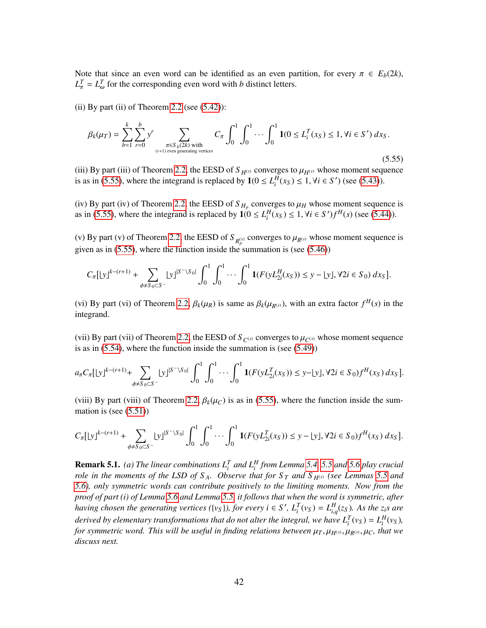Note that since an even word can be identified as an even partition, for every  $\pi \in E_b(2k)$ ,  $L_{\pi}^T = L_{\omega}^T$  for the corresponding even word with *b* distinct letters.

(ii) By part (ii) of Theorem [2.2](#page-5-0) (see  $(5.42)$ ):

<span id="page-41-0"></span>
$$
\beta_k(\mu_T) = \sum_{b=1}^k \sum_{r=0}^b y^r \sum_{\substack{\pi \in S_b(2k) \text{ with } \\ (r+1) \text{ even generating vertices}}} C_{\pi} \int_0^1 \int_0^1 \cdots \int_0^1 \mathbf{1}(0 \le L_i^T(x_S) \le 1, \forall i \in S') dx_S.
$$
\n(5.55)

(iii) By part (iii) of Theorem [2.2,](#page-5-0) the EESD of *S*  $_{H^{(s)}}$  converges to  $\mu_{H^{(s)}}$  whose moment sequence is as in [\(5.55\)](#page-41-0), where the integrand is replaced by  $1(0 \le L_i^H(x_S) \le 1, \forall i \in S')$  (see [\(5.43\)](#page-38-0)).

(iv) By part (iv) of Theorem [2.2,](#page-5-0) the EESD of  $S_{H_p}$  converges to  $\mu_H$  whose moment sequence is<br>as in (5.55), where the integrand is replaced by  $1/(0 < I^H(x) < 1$ ,  $\forall i \in S'/H^H(x)$  (see (5.44)) as in [\(5.55\)](#page-41-0), where the integrand is replaced by  $\mathbf{1}(0 \le L_i^H(x_S) \le 1, \forall i \in S')f^H(s)$  (see [\(5.44\)](#page-38-1)).

(v) By part (v) of Theorem [2.2,](#page-5-0) the EESD of  $S_{R_p^{(s)}}$  converges to  $\mu_{R^{(s)}}$  whose moment sequence is given as in [\(5.55\)](#page-41-0), where the function inside the summation is (see [\(5.46\)](#page-38-2))

$$
C_{\pi}[[y]^{k-(r+1)} + \sum_{\phi \neq S_0 \subset S^-} [y]^{S^- \setminus S_0} \int_0^1 \int_0^1 \cdots \int_0^1 \mathbf{1}(F(yL_{2i}^H(x_S)) \leq y - [y], \forall 2i \in S_0) \, dx_S].
$$

(vi) By part (vi) of Theorem [2.2,](#page-5-0)  $\beta_k(\mu_R)$  is same as  $\beta_k(\mu_{R^{(s)}})$ , with an extra factor  $f^H(s)$  in the integrand integrand.

(vii) By part (vii) of Theorem [2.2,](#page-5-0) the EESD of  $S_{C^{(s)}}$  converges to  $\mu_{C^{(s)}}$  whose moment sequence is as in [\(5.54\)](#page-40-2), where the function inside the summation is (see [\(5.49\)](#page-39-0))

$$
a_{\pi}C_{\pi}[[y]^{k-(r+1)} + \sum_{\phi \neq S_0 \subset S^-} [y]^{S^- \setminus S_0} \int_0^1 \int_0^1 \cdots \int_0^1 \mathbf{1}(F(yL_{2i}^T(x_S)) \leq y - [y], \forall 2i \in S_0) f^H(x_S) dx_S].
$$

(viii) By part (viii) of Theorem [2.2,](#page-5-0)  $\beta_k(\mu_C)$  is as in [\(5.55\)](#page-41-0), where the function inside the summation is (see [\(5.51\)](#page-40-3))

$$
C_{\pi}[[y]^{k-(r+1)} + \sum_{\phi \neq S_0 \subset S^-} [y]^{S^- \setminus S_0} \int_0^1 \int_0^1 \cdots \int_0^1 \mathbf{1}(F(yL_{2i}^T(x_S)) \leq y - [y], \forall 2i \in S_0) f^H(x_S) dx_S].
$$

**Remark 5.1.** (a) The linear combinations  $L_i^T$  and  $L_i^H$  from Lemma [5.4,](#page-25-2) [5.5](#page-28-3) and [5.6](#page-30-0) play crucial *role in the moments of the LSD of S<sub>A</sub>. Observe that for S<sub>T</sub> and S<sub>H(s)</sub> (see Lemmas [5.5](#page-28-3) and [5.6\)](#page-30-0), only symmetric words can contribute positively to the limiting moments. Now from the proof of part (i) of Lemma [5.6](#page-30-0) and Lemma [5.5,](#page-28-3) it follows that when the word is symmetric, after* having chosen the generating vertices ({v<sub>S</sub>}), for every  $i \in S'$ ,  $L_i^T(v_S) = L_{i,q}^H(z_S)$ . As the  $z_i$ s are denied by class transformations that do not alter the integral use have  $L_i^T(v_S) = L_i^H(v_S)$ *derived by elementary transformations that do not alter the integral, we have*  $L_i^T(v_S) = L_i^H(v_S)$ *, for symmetric word. This will be useful in finding relations between*  $\mu_T$ ,  $\mu_{H^{(s)}}, \mu_{R^{(s)}}, \mu_C$ , that we *discuss next.*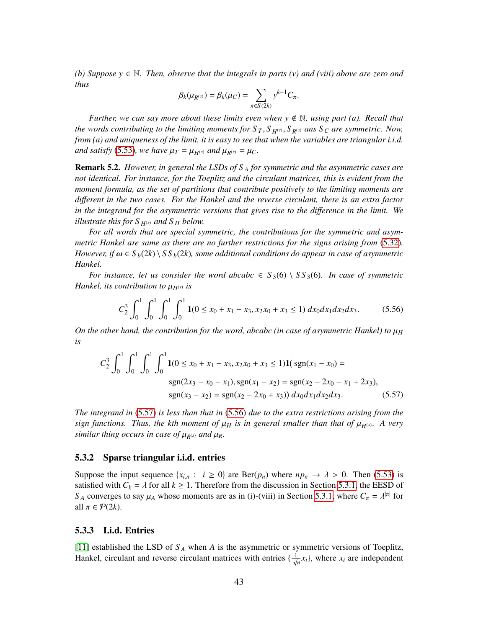*(b)* Suppose  $y \in \mathbb{N}$ . Then, observe that the integrals in parts (v) and (viii) above are zero and *thus*

$$
\beta_k(\mu_{R^{(s)}})=\beta_k(\mu_C)=\sum_{\pi\in S(2k)}y^{k-1}C_{\pi}.
$$

*Further, we can say more about these limits even when*  $y \notin \mathbb{N}$ *, using part (a). Recall that the words contributing to the limiting moments for*  $S_T$ ,  $S_H(s)$ ,  $S_R(s)$  *ans*  $S_C$  *are symmetric. Now, from (a) and uniqueness of the limit, it is easy to see that when the variables are triangular i.i.d. and satisfy* [\(5.53\)](#page-40-1)*, we have*  $\mu_T = \mu_{H^{(s)}}$  *and*  $\mu_{R^{(s)}} = \mu_C$ *.* 

Remark 5.2. *However, in general the LSDs of S <sup>A</sup> for symmetric and the asymmetric cases are not identical. For instance, for the Toeplitz and the circulant matrices, this is evident from the moment formula, as the set of partitions that contribute positively to the limiting moments are di*ff*erent in the two cases. For the Hankel and the reverse circulant, there is an extra factor in the integrand for the asymmetric versions that gives rise to the di*ff*erence in the limit. We illustrate this for*  $S_{H^{(s)}}$  *and*  $S_H$  *below.* 

*For all words that are special symmetric, the contributions for the symmetric and asymmetric Hankel are same as there are no further restrictions for the signs arising from* [\(5.32\)](#page-33-1)*. However, if*  $\omega \in S_b(2k) \setminus S_s(b(2k))$ , some additional conditions do appear in case of asymmetric *Hankel.*

*For instance, let us consider the word abcabc*  $\in S_3(6) \setminus SS_3(6)$ *. In case of symmetric Hankel, its contribution to*  $\mu_{H^{(s)}}$  *is* 

<span id="page-42-1"></span><span id="page-42-0"></span>
$$
C_2^3 \int_0^1 \int_0^1 \int_0^1 \int_0^1 \mathbf{1}(0 \le x_0 + x_1 - x_3, x_2x_0 + x_3 \le 1) dx_0 dx_1 dx_2 dx_3. \tag{5.56}
$$

*On the other hand, the contribution for the word, abcabc (in case of asymmetric Hankel) to*  $\mu$ <sup>*H*</sup> *is*

$$
C_2^3 \int_0^1 \int_0^1 \int_0^1 \int_0^1 \mathbf{1}(0 \le x_0 + x_1 - x_3, x_2x_0 + x_3 \le 1) \mathbf{1}(\text{sgn}(x_1 - x_0) =
$$
  
sgn(2x<sub>3</sub> - x<sub>0</sub> - x<sub>1</sub>), sgn(x<sub>1</sub> - x<sub>2</sub>) = sgn(x<sub>2</sub> - 2x<sub>0</sub> - x<sub>1</sub> + 2x<sub>3</sub>),  
sgn(x<sub>3</sub> - x<sub>2</sub>) = sgn(x<sub>2</sub> - 2x<sub>0</sub> + x<sub>3</sub>)) dx<sub>0</sub> dx<sub>1</sub> dx<sub>2</sub> dx<sub>3</sub>. (5.57)

*The integrand in* [\(5.57\)](#page-42-0) *is less than that in* [\(5.56\)](#page-42-1) *due to the extra restrictions arising from the sign functions. Thus, the kth moment of*  $\mu_H$  *is in general smaller than that of*  $\mu_{H(s)}$ . A very *similar thing occurs in case of*  $\mu_{R^{(s)}}$  *and*  $\mu_R$ *.* 

#### 5.3.2 Sparse triangular i.i.d. entries

Suppose the input sequence  $\{x_{i,n} : i \geq 0\}$  are  $\text{Ber}(p_n)$  where  $np_n \to \lambda > 0$ . Then [\(5.53\)](#page-40-1) is satisfied with  $C_k = \lambda$  for all  $k \ge 1$ . Therefore from the discussion in Section [5.3.1,](#page-40-4) the EESD of *S*<sub>*A*</sub> converges to say  $\mu_A$  whose moments are as in (i)-(viii) in Section [5.3.1,](#page-40-4) where  $C_{\pi} = \lambda^{|\pi|}$  for  $\Omega^{11} \pi \in \mathcal{Q}(2k)$ all  $\pi \in \mathcal{P}(2k)$ .

#### 5.3.3 I.i.d. Entries

[\[11\]](#page-50-0) established the LSD of *S <sup>A</sup>* when *A* is the asymmetric or symmetric versions of Toeplitz, Hankel, circulant and reverse circulant matrices with entries  $\{\frac{1}{\sqrt{n}}x_i\}$ , where  $x_i$  are independent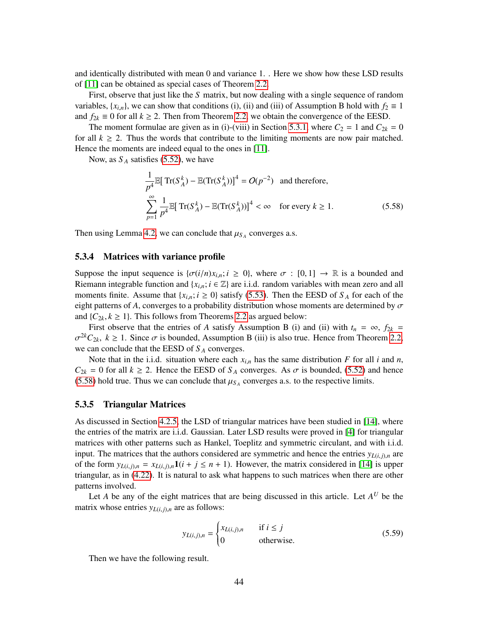and identically distributed with mean 0 and variance 1. . Here we show how these LSD results of [\[11\]](#page-50-0) can be obtained as special cases of Theorem [2.2.](#page-5-0)

First, observe that just like the *S* matrix, but now dealing with a single sequence of random variables,  $\{x_{i,n}\}$ , we can show that conditions (i), (ii) and (iii) of Assumption B hold with  $f_2 \equiv 1$ and  $f_{2k} \equiv 0$  for all  $k \ge 2$ . Then from Theorem [2.2,](#page-5-0) we obtain the convergence of the EESD.

The moment formulae are given as in (i)-(viii) in Section [5.3.1,](#page-40-4) where  $C_2 = 1$  and  $C_{2k} = 0$ for all  $k \geq 2$ . Thus the words that contribute to the limiting moments are now pair matched. Hence the moments are indeed equal to the ones in [\[11\]](#page-50-0).

Now, as  $S_A$  satisfies [\(5.52\)](#page-40-5), we have

<span id="page-43-0"></span>
$$
\frac{1}{p^4} \mathbb{E}[\operatorname{Tr}(S_A^k) - \mathbb{E}(\operatorname{Tr}(S_A^k))]^4 = O(p^{-2}) \text{ and therefore,}
$$
  

$$
\sum_{p=1}^{\infty} \frac{1}{p^4} \mathbb{E}[\operatorname{Tr}(S_A^k) - \mathbb{E}(\operatorname{Tr}(S_A^k))]^4 < \infty \text{ for every } k \ge 1.
$$
 (5.58)

Then using Lemma [4.2,](#page-10-1) we can conclude that  $\mu_{S_A}$  converges a.s.

### 5.3.4 Matrices with variance profile

Suppose the input sequence is  $\{\sigma(i/n)x_{i,n}; i \geq 0\}$ , where  $\sigma : [0,1] \to \mathbb{R}$  is a bounded and Riemann integrable function and  $\{x_{i,n}; i \in \mathbb{Z}\}\$  are i.i.d. random variables with mean zero and all moments finite. Assume that  $\{x_{i,n}; i \ge 0\}$  satisfy [\(5.53\)](#page-40-1). Then the EESD of  $S_A$  for each of the eight patterns of *A*, converges to a probability distribution whose moments are determined by  $\sigma$ and  $\{C_{2k}, k \geq 1\}$ . This follows from Theorems [2.2](#page-5-0) as argued below:

First observe that the entries of *A* satisfy Assumption B (i) and (ii) with  $t_n = \infty$ ,  $f_{2k} =$ σ we can conclude that the EESD of *S <sup>A</sup>* converges.  $\sigma^{2k}C_{2k}$ ,  $k \ge 1$ . Since  $\sigma$  is bounded, Assumption B (iii) is also true. Hence from Theorem [2.2,](#page-5-0)

Note that in the i.i.d. situation where each  $x_{i,n}$  has the same distribution *F* for all *i* and *n*,  $C_{2k} = 0$  for all  $k \ge 2$ . Hence the EESD of  $S_A$  converges. As  $\sigma$  is bounded, [\(5.52\)](#page-40-5) and hence [\(5.58\)](#page-43-0) hold true. Thus we can conclude that  $\mu_{S_A}$  converges a.s. to the respective limits.

#### 5.3.5 Triangular Matrices

As discussed in Section [4.2.5,](#page-13-0) the LSD of triangular matrices have been studied in [\[14\]](#page-50-5), where the entries of the matrix are i.i.d. Gaussian. Later LSD results were proved in [\[4\]](#page-50-12) for triangular matrices with other patterns such as Hankel, Toeplitz and symmetric circulant, and with i.i.d. input. The matrices that the authors considered are symmetric and hence the entries  $y_{L(i,j),n}$  are of the form  $y_{L(i,j),n} = x_{L(i,j),n}1(i + j \leq n + 1)$ . However, the matrix considered in [\[14\]](#page-50-5) is upper triangular, as in [\(4.22\)](#page-14-2). It is natural to ask what happens to such matrices when there are other patterns involved.

Let *A* be any of the eight matrices that are being discussed in this article. Let  $A^U$  be the matrix whose entries  $y_{L(i,j),n}$  are as follows:

<span id="page-43-1"></span>
$$
y_{L(i,j),n} = \begin{cases} x_{L(i,j),n} & \text{if } i \le j \\ 0 & \text{otherwise.} \end{cases} \tag{5.59}
$$

Then we have the following result.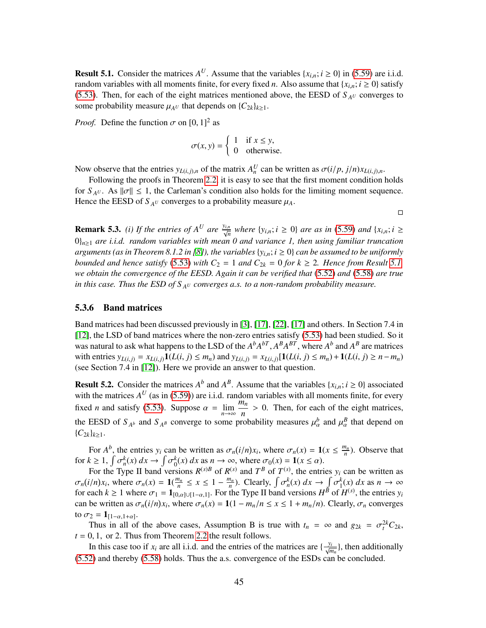<span id="page-44-0"></span>**Result 5.1.** Consider the matrices  $A^U$ . Assume that the variables  $\{x_{i,n}; i \ge 0\}$  in [\(5.59\)](#page-43-1) are i.i.d. readers usually a virtually parameter finite for every fixed  $u$ . Also economic that  $\{u, i \ge 0\}$  estigfy random variables with all moments finite, for every fixed *n*. Also assume that { $x<sub>i</sub>$ *n*; *i*  $\geq$  0} satisfy [\(5.53\)](#page-40-1). Then, for each of the eight matrices mentioned above, the EESD of  $S_{A}U$  converges to some probability measure  $\mu_{A}$ *U* that depends on  $\{C_{2k}\}_{k\geq 1}$ .

*Proof.* Define the function  $\sigma$  on  $[0, 1]^2$  as

$$
\sigma(x, y) = \begin{cases} 1 & \text{if } x \le y, \\ 0 & \text{otherwise.} \end{cases}
$$

Now observe that the entries  $y_{L(i,j),n}$  of the matrix  $A_n^U$  can be written as  $\sigma(i/p, j/n)x_{L(i,j),n}$ .<br>Following the proofs in Theorem 2.2, it is easy to see that the first moment condition

Following the proofs in Theorem [2.2,](#page-5-0) it is easy to see that the first moment condition holds for  $S_{A^U}$ . As  $\|\sigma\| \leq 1$ , the Carleman's condition also holds for the limiting moment sequence. Hence the EESD of  $S_{A^U}$  converges to a probability measure  $\mu_A$ .

 $\Box$ 

**Remark 5.3.** (i) If the entries of  $A^U$  are  $\frac{y_{i,n}}{\sqrt{n}}$  where  $\{y_{i,n}; i \ge 0\}$  are as in [\(5.59\)](#page-43-1) and  $\{x_{i,n}; i \ge 0\}$ 0}*n*≥<sup>1</sup> *are i.i.d. random variables with mean 0 and variance 1, then using familiar truncation arguments (as in Theorem 8.1.2 in [\[8\]](#page-50-9)), the variables*  $\{y_{i,n}; i \geq 0\}$  *can be assumed to be uniformly bounded and hence satisfy* [\(5.53\)](#page-40-1) *with*  $C_2 = 1$  *and*  $C_{2k} = 0$  *for*  $k \ge 2$ *. Hence from Result* [5.1,](#page-44-0) *we obtain the convergence of the EESD. Again it can be verified that* [\(5.52\)](#page-40-5) *and* [\(5.58\)](#page-43-0) *are true in this case. Thus the ESD of S <sup>A</sup><sup>U</sup> converges a.s. to a non-random probability measure.*

#### 5.3.6 Band matrices

Band matrices had been discussed previously in [\[3\]](#page-50-14), [\[17\]](#page-51-9), [\[22\]](#page-51-10), [\[17\]](#page-51-9) and others. In Section 7.4 in [\[12\]](#page-50-6), the LSD of band matrices where the non-zero entries satisfy [\(5.53\)](#page-40-1) had been studied. So it was natural to ask what happens to the LSD of the  $A^b A^{bT}$ ,  $A^B A^{BT}$ , where  $A^b$  and  $A^B$  are matrices with entries  $y_{M,k} = y_{M,k} \mathbf{1}(I(i, j) \le m)$  and  $y_{M,k} = y_{M,k} \mathbf{1}(I(i, j) \le m) + \mathbf{1}(I(i, j) \ge n-m)$ with entries  $y_{L(i,j)} = x_{L(i,j)} \mathbf{1}(L(i,j) \le m_n)$  and  $y_{L(i,j)} = x_{L(i,j)} [ \mathbf{1}(L(i,j) \le m_n) + \mathbf{1}(L(i,j) \ge n - m_n)]$ (see Section 7.4 in [\[12\]](#page-50-6)). Here we provide an answer to that question.

**Result 5.2.** Consider the matrices  $A^b$  and  $A^B$ . Assume that the variables  $\{x_{i,n}; i \ge 0\}$  associated with the matrices  $A^U$  (see in (5.50)) and i.i.d. readem variables with all magnetic finite for average with the matrices  $A^U$  (as in [\(5.59\)](#page-43-1)) are i.i.d. random variables with all moments finite, for every fixed *n* and satisfy [\(5.53\)](#page-40-1). Suppose  $\alpha = \lim_{n \to \infty}$ *m<sup>n</sup>*  $\frac{a_n}{n} > 0$ . Then, for each of the eight matrices, the EESD of  $S_{A^b}$  and  $S_{A^b}$  converge to some probability measures  $\mu_\alpha^b$  and  $\mu_\alpha^B$  that depend on  ${C_{2k}}_{k>1}$ .

For  $A^b$ , the entries  $y_i$  can be written as  $\sigma_n(i/n)x_i$ , where  $\sigma_n(x) = \mathbf{1}(x \le \frac{m_n}{n})$  $\frac{n_n}{n}$ ). Observe that for  $k \ge 1$ ,  $\int \sigma_n^k(x) dx \to \int \sigma_0^k(x) dx$  as  $n \to \infty$ , where  $\sigma_0(x) = \mathbf{1}(x \le \alpha)$ .<br>For the Type II band versions  $P^{(s)B}$  of  $P^{(s)}$  and  $T^B$  of  $T^{(s)}$  the entri-

For the Type II band versions  $R^{(s)B}$  of  $R^{(s)}$  and  $T^B$  of  $T^{(s)}$ , the entries  $y_i$  can be written as  $\sigma_n(i/n)x_i$ , where  $\sigma_n(x) = 1\left(\frac{m_n}{n}\right)$  $\frac{n_n}{n} \leq x \leq 1 - \frac{m_n}{n}$  $\frac{n_n}{n}$ ). Clearly,  $\int$ ້<br>ປ  $\int_{n}^{k}(x) dx \rightarrow \int$ ັ<br>ີ  $h_1^k(x)$  *dx* as  $n \to \infty$ for each  $k \ge 1$  where  $\sigma_1 = \mathbf{1}_{[0,\alpha]\cup[1-\alpha,1]}$ . For the Type II band versions  $H^B$  of  $H^{(s)}$ , the entries  $y_i$ <br>can be written as  $\sigma_i(i/n)$ , where  $\sigma_i(x) = 1(1-m/n \le x \le 1+m/n)$ . Clearly  $\sigma_i$  converges can be written as  $\sigma_n(i/n)x_i$ , where  $\sigma_n(x) = 1(1 - m_n/n \le x \le 1 + m_n/n)$ . Clearly,  $\sigma_n$  converges to  $\sigma_2 = \mathbf{1}_{[1-\alpha,1+\alpha]}$ .<br>Thus in all of

Thus in all of the above cases, Assumption B is true with  $t_n = \infty$  and  $g_{2k} = \sigma_t^{2k} C_{2k}$ ,  $0, 1, \text{ or } 2$ . Thus from Theorem 2.2 the result follows  $t = 0, 1$ , or 2. Thus from Theorem [2.2](#page-5-0) the result follows.

In this case too if  $x_i$  are all i.i.d. and the entries of the matrices are  $\{\frac{y_i}{\sqrt{m_n}}\}$ , then additionally [\(5.52\)](#page-40-5) and thereby [\(5.58\)](#page-43-0) holds. Thus the a.s. convergence of the ESDs can be concluded.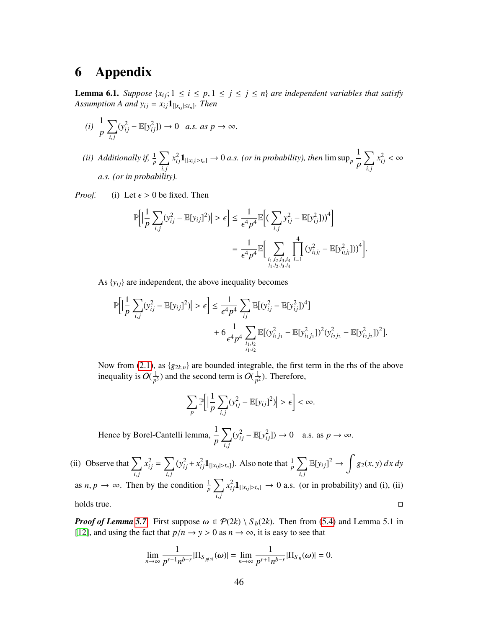## <span id="page-45-0"></span>6 Appendix

**Lemma 6.1.** *Suppose*  $\{x_{ij}; 1 \le i \le p, 1 \le j \le n\}$  *are independent variables that satisfy Assumption A and*  $y_{ij} = x_{ij} \mathbf{1}_{[|x_{ij}| \le t_n]}$ *. Then* 

$$
(i) \frac{1}{p} \sum_{i,j} (y_{ij}^2 - \mathbb{E}[y_{ij}^2]) \to 0 \quad a.s. \text{ as } p \to \infty.
$$

*(ii) Additionally if,*  $\frac{1}{p} \sum$ *i*, *j*  $\alpha_{ij}^2 \mathbf{1}_{[|x_{ij}|>t_n]} \rightarrow 0$  a.s. (or in probability), then  $\limsup_p \frac{1}{p}$ *p*  $\nabla$ *i*, *j*  $x_{ij}^2 < \infty$ *a.s. (or in probability).*

*Proof.* (i) Let  $\epsilon > 0$  be fixed. Then

$$
\mathbb{P}\Big[\Big|\frac{1}{p}\sum_{i,j}(y_{ij}^2 - \mathbb{E}[y_{ij}]^2)\Big| > \epsilon\Big] \le \frac{1}{\epsilon^4 p^4} \mathbb{E}\Big[\Big(\sum_{i,j}y_{ij}^2 - \mathbb{E}[y_{ij}^2])\Big)^4\Big] \n= \frac{1}{\epsilon^4 p^4} \mathbb{E}\Big[\sum_{\substack{i_1,i_2,i_3,i_4\\j_1,j_2,j_3,i_4}}\prod_{l=1}^4\big(y_{i_lj_l}^2 - \mathbb{E}[y_{i_lj_l}^2])\big)^4\Big].
$$

As  $\{y_{ij}\}\$ are independent, the above inequality becomes

$$
\mathbb{P}\Big[\Big|\frac{1}{p}\sum_{i,j}(y_{ij}^2-\mathbb{E}[y_{ij}]^2)\Big|>\epsilon\Big]\leq \frac{1}{\epsilon^4p^4}\sum_{ij}\mathbb{E}[(y_{ij}^2-\mathbb{E}[y_{ij}^2])^4]\\+6\frac{1}{\epsilon^4p^4}\sum_{\substack{i_1,i_2\\ j_1,j_2}}\mathbb{E}[(y_{i_1j_1}^2-\mathbb{E}[y_{i_1j_1}^2])^2(y_{i_2j_2}^2-\mathbb{E}[y_{i_2j_2}^2])^2].
$$

Now from [\(2.1\)](#page-4-3), as {*g*2*k*,*n*} are bounded integrable, the first term in the rhs of the above inequality is  $O(\frac{1}{n^2})$  $\frac{1}{p^3}$ ) and the second term is  $O(\frac{1}{p^2})$  $\frac{1}{p^2}$ ). Therefore,

$$
\sum_{p} \mathbb{P}\Big[\Big|\frac{1}{p}\sum_{i,j} (y_{ij}^2 - \mathbb{E}[y_{ij}]^2)\Big| > \epsilon\Big] < \infty.
$$

Hence by Borel-Cantelli lemma,  $\frac{1}{p}$  $\nabla$ *i*, *j*  $(y_{ij}^2 - \mathbb{E}[y_{ij}^2]) \to 0$  a.s. as  $p \to \infty$ .

(ii) Observe that  $\sum$ *i*, *j*  $x_{ij}^2 = \sum$ *i*, *j*  $(y_{ij}^2 + x_{ij}^2 \mathbf{1}_{[|x_{ij}| > t_n]})$ . Also note that  $\frac{1}{p} \sum_{i=1}^{n}$ *i*, *j*  $\mathbb{E}[y_{ij}]^2 \to \int g_2(x, y) dx dy$ as *n*, *p*  $\rightarrow \infty$ . Then by the condition  $\frac{1}{p} \sum_{i,j}$ *i*, *j*  $x_{ij}^2 \mathbf{1}_{[|x_{ij}|>t_n]} \rightarrow 0$  a.s. (or in probability) and (i), (ii)  $h$ olds true.

*Proof of Lemma* [5.7](#page-33-2). First suppose  $\omega \in \mathcal{P}(2k) \setminus S_b(2k)$ . Then from [\(5.4\)](#page-24-2) and Lemma 5.1 in [\[12\]](#page-50-6), and using the fact that  $p/n \to y > 0$  as  $n \to \infty$ , it is easy to see that

$$
\lim_{n \to \infty} \frac{1}{p^{r+1} n^{b-r}} |\Pi_{S_{R}(s)}(\omega)| = \lim_{n \to \infty} \frac{1}{p^{r+1} n^{b-r}} |\Pi_{S_{R}}(\omega)| = 0.
$$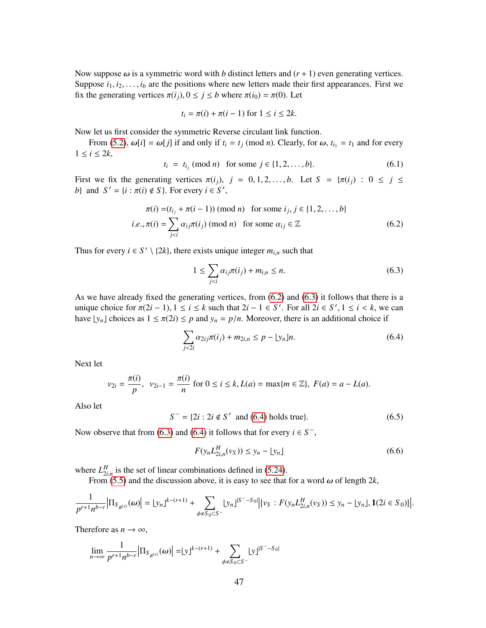Now suppose  $\omega$  is a symmetric word with *b* distinct letters and  $(r + 1)$  even generating vertices. Suppose  $i_1, i_2, \ldots, i_b$  are the positions where new letters made their first appearances. First we fix the generating vertices  $\pi(i_j)$ ,  $0 \le j \le b$  where  $\pi(i_0) = \pi(0)$ . Let

$$
t_i = \pi(i) + \pi(i-1) \text{ for } 1 \leq i \leq 2k.
$$

Now let us first consider the symmetric Reverse circulant link function.

From [\(5.2\)](#page-23-1),  $\omega[i] = \omega[j]$  if and only if  $t_i = t_j \pmod{n}$ . Clearly, for  $\omega$ ,  $t_{i_1} = t_1$  and for every  $1 \leq i \leq 2k$ ,

$$
t_i = t_{i_j} \text{ (mod } n) \text{ for some } j \in \{1, 2, ..., b\}. \tag{6.1}
$$

First we fix the generating vertices  $\pi(i_j)$ ,  $j = 0, 1, 2, \ldots, b$ . Let  $S = {\pi(i_j) : 0 \le j \le m}$ *b*} and  $S' = \{i : \pi(i) \notin S\}$ . For every  $i \in S'$ ,

$$
\pi(i) = (t_{i_j} + \pi(i-1)) \pmod{n} \text{ for some } i_j, j \in \{1, 2, ..., b\}
$$
  

$$
i.e., \pi(i) = \sum_{j < i} \alpha_{ij} \pi(i_j) \pmod{n} \text{ for some } \alpha_{ij} \in \mathbb{Z} \tag{6.2}
$$

Thus for every  $i \in S' \setminus \{2k\}$ , there exists unique integer  $m_{i,n}$  such that

<span id="page-46-2"></span><span id="page-46-1"></span><span id="page-46-0"></span>
$$
1 \le \sum_{j < i} \alpha_{ij} \pi(i_j) + m_{i,n} \le n. \tag{6.3}
$$

As we have already fixed the generating vertices, from [\(6.2\)](#page-46-0) and [\(6.3\)](#page-46-1) it follows that there is a unique choice for  $\pi(2i - 1), 1 \le i \le k$  such that  $2i - 1 \in S'$ . For all  $2i \in S', 1 \le i \le k$ , we can<br>have by l choices as  $1 \le \pi(2i) \le n$  and  $y_i = n/n$ . Moreover, there is an additional choice if have  $\lfloor y_n \rfloor$  choices as  $1 \le \pi(2i) \le p$  and  $y_n = p/n$ . Moreover, there is an additional choice if

$$
\sum_{j < 2i} \alpha_{2ij} \pi(i_j) + m_{2i,n} \le p - \lfloor y_n \rfloor n. \tag{6.4}
$$

Next let

$$
v_{2i} = \frac{\pi(i)}{p}
$$
,  $v_{2i-1} = \frac{\pi(i)}{n}$  for  $0 \le i \le k$ ,  $L(a) = \max\{m \in \mathbb{Z}\}$ ,  $F(a) = a - L(a)$ .

Also let

<span id="page-46-3"></span>
$$
S^- = \{2i : 2i \notin S' \text{ and } (6.4) \text{ holds true}\}.
$$
 (6.5)

Now observe that from [\(6.3\)](#page-46-1) and [\(6.4\)](#page-46-2) it follows that for every  $i \in S^-$ ,

$$
F(y_n L_{2i,n}^H(v_S)) \le y_n - \lfloor y_n \rfloor \tag{6.6}
$$

where  $L_{2i}^H$  is the set of linear combinations defined in [\(5.24\)](#page-30-1).

From [\(5.5\)](#page-24-3) and the discussion above, it is easy to see that for a word  $\omega$  of length 2*k*,

$$
\frac{1}{p^{r+1}n^{b-r}}\Big|\Pi_{S_{R^{(s)}}}(\omega)\Big| = \lfloor y_n \rfloor^{k-(r+1)} + \sum_{\phi \neq S_0 \subset S^-} \lfloor y_n \rfloor^{|S^- - S_0|} \Big| \{v_S : F(y_n L_{2i,n}^H(v_S)) \le y_n - \lfloor y_n \rfloor, \mathbf{1}(2i \in S_0) \Big|.
$$

Therefore as  $n \to \infty$ ,

$$
\lim_{n \to \infty} \frac{1}{p^{r+1} n^{b-r}} \left| \Pi_{S_{R^{(s)}}}(\omega) \right| = [y]^{k-(r+1)} + \sum_{\phi \neq S_0 \subset S^-} [y]^{S^- - S_0}
$$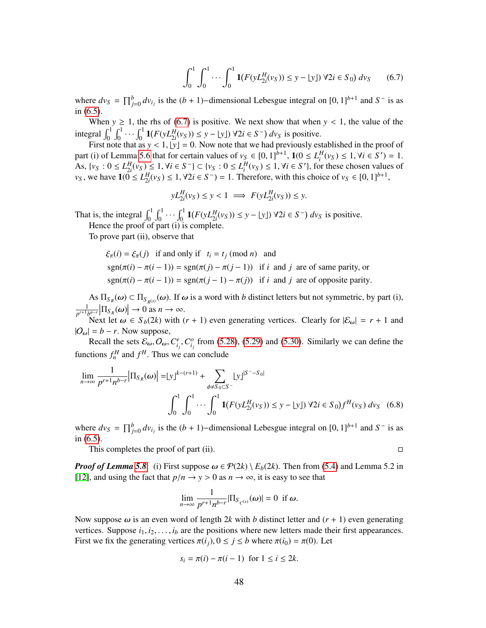<span id="page-47-1"></span>
$$
\int_0^1 \int_0^1 \cdots \int_0^1 \mathbf{1}(F(yL_{2i}^H(v_S)) \le y - \lfloor y \rfloor) \, \forall 2i \in S_0) \, dv_S \tag{6.7}
$$

where  $dv_S = \prod_{j=0}^{b} dv_{i_j}$  is the  $(b + 1)$ –dimensional Lebesgue integral on  $[0, 1]^{b+1}$  and  $S^-$  is as in [\(6.5\)](#page-46-3).<br>When  $y \ge 1$ , the rhs of (6.7) is positive. We next show that when  $y < 1$ , the value of the

When  $y \ge 1$ , the rhs of [\(6.7\)](#page-47-1) is positive. We next show that when  $y < 1$ , the value of the integral  $\int_0^1 \int_0^1 \cdots \int_0^1 \mathbf{1}(F(yL_{2i}^H(v_S)) \le y - \lfloor y \rfloor) \, \forall 2i \in S^-) \, dv_S$  is positive.

First note that as  $y < 1$ ,  $|y| = 0$ . Now note that we had previously established in the proof of (i) of Lemma 5.6 that for certain values of  $y_c \in [0, 1]^{b+1}$ ,  $1/(0 < I^H(y_c) < 1$ ,  $y_i \in S'$ )  $-1$ part (i) of Lemma [5.6](#page-30-0) that for certain values of  $v_S \in [0, 1]^{b+1}$ ,  $\mathbf{1}(0 \le L_i^H(v_S) \le 1, \forall i \in S') = 1$ .<br>As  $\{v_S : 0 \le L_i^H(v_S) \le 1, \forall i \in S^{-1} \subset \{v_S : 0 \le L_i^H(v_S) \le 1, \forall i \in S' \}$  for these chosen values of As,  $\{v_S : 0 \le L_{2i}^H(v_S) \le 1, \forall i \in S^- \} \subset \{v_S : 0 \le L_i^H(v_S) \le 1, \forall i \in S' \}$ , for these chosen values of  $v_S$  as  $\mathbf{1}(0 < L^H(v_S) < 1, \forall i \in S^- \} = 1$ . Therefore, with this choice of  $v_S \in [0, 1]^{b+1}$ *v<sub>S</sub>*, we have  $1(\overline{0} \le L_{2i}^H(v_S) \le 1, \forall 2i \in S^-) = 1$ . Therefore, with this choice of *v<sub>S</sub>* ∈ [0, 1]<sup>*b*+1</sup>,

$$
yL_{2i}^H(v_S) \le y < 1 \implies F(yL_{2i}^H(v_S)) \le y.
$$

That is, the integral  $\int_0^1 \int_0^1 \cdots \int_0^1 \mathbf{1}(F(yL_{2i}^H(v_S)) \leq y - \lfloor y \rfloor) \ \forall 2i \in S^-) \ dv_S$  is positive. Hence the proof of part (i) is complete.

To prove part (ii), observe that

$$
\xi_{\pi}(i) = \xi_{\pi}(j)
$$
 if and only if  $t_i = t_j \pmod{n}$  and  
\n $sgn(\pi(i) - \pi(i - 1)) = sgn(\pi(j) - \pi(j - 1))$  if *i* and *j* are of same parity, or  
\n $sgn(\pi(i) - \pi(i - 1)) = sgn(\pi(j - 1) - \pi(j))$  if *i* and *j* are of opposite parity.

As  $\Pi_{S_R}(\omega) \subset \Pi_{S_{R}(s)}(\omega)$ . If  $\omega$  is a word with *b* distinct letters but not symmetric, by part (i), 1  $\frac{1}{p^{r+1}b^{n-r}}\left|\prod_{S_R}(\omega)\right| \to 0$  as  $n \to \infty$ .<br>Next let  $\omega \in S_1(2k)$  with (

Next let  $\omega \in S_b(2k)$  with  $(r + 1)$  even generating vertices. Clearly for  $|\mathcal{E}_{\omega}| = r + 1$  and  $|O_{\omega}| = b - r$ . Now suppose,

Recall the sets  $\mathcal{E}_{\omega}, O_{\omega}, C_{i_j}^e, C_{i_j}^o$  from [\(5.28\)](#page-32-0), [\(5.29\)](#page-32-1) and [\(5.30\)](#page-32-2). Similarly we can define the functions  $f_n^H$  and  $f^H$ . Thus we can conclude

$$
\lim_{n \to \infty} \frac{1}{p^{r+1} n^{b-r}} |\Pi_{S_R}(\omega)| = |y|^{k-(r+1)} + \sum_{\phi \neq S_0 \subset S^-} |y|^{S^- - S_0}
$$

$$
\int_0^1 \int_0^1 \cdots \int_0^1 \mathbf{1} (F(yL_{2i}^H(v_S)) \le y - |y|) \, \forall 2i \in S_0 \int f^H(v_S) \, dv_S \quad (6.8)
$$

where  $dv_s = \prod_{j=0}^{b} dv_{i_j}$  is the  $(b + 1)$ –dimensional Lebesgue integral on  $[0, 1]^{b+1}$  and  $S^-$  is as in [\(6.5\)](#page-46-3).

This completes the proof of part (ii).  $\Box$ 

<span id="page-47-0"></span>

*Proof of Lemma* [5.8](#page-34-2)*.* (i) First suppose  $\omega \in \mathcal{P}(2k) \setminus E_b(2k)$ . Then from [\(5.4\)](#page-24-2) and Lemma 5.2 in [\[12\]](#page-50-6), and using the fact that  $p/n \to y > 0$  as  $n \to \infty$ , it is easy to see that

$$
\lim_{n\to\infty}\frac{1}{p^{r+1}n^{b-r}}|\Pi_{S_{C^{(s)}}}(\omega)|=0\ \text{ if }\omega.
$$

Now suppose  $\omega$  is an even word of length 2*k* with *b* distinct letter and  $(r + 1)$  even generating vertices. Suppose  $i_1, i_2, \ldots, i_b$  are the positions where new letters made their first appearances. First we fix the generating vertices  $\pi(i_j)$ ,  $0 \le j \le b$  where  $\pi(i_0) = \pi(0)$ . Let

$$
s_i = \pi(i) - \pi(i-1) \text{ for } 1 \le i \le 2k.
$$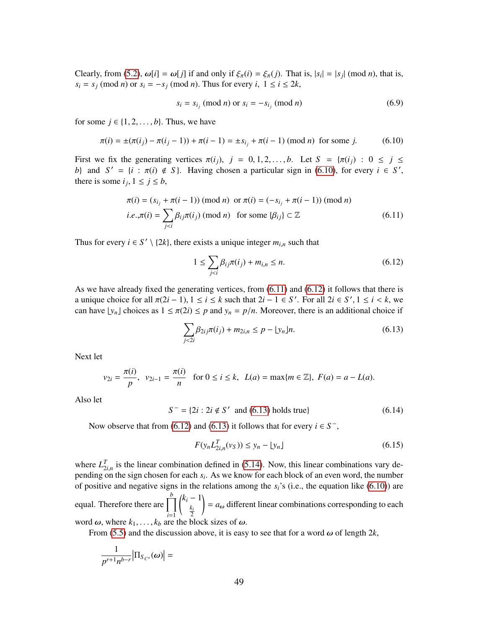Clearly, from [\(5.2\)](#page-23-1),  $\omega[i] = \omega[j]$  if and only if  $\xi_{\pi}(i) = \xi_{\pi}(j)$ . That is,  $|s_i| = |s_j| \pmod{n}$ , that is,  $s_i = s_i \pmod{n}$  or  $s_i = -s_i \pmod{n}$ . Thus for every  $i, 1 \le i \le 2^k$ .  $s_i = s_j \pmod{n}$  or  $s_i = -s_j \pmod{n}$ . Thus for every  $i, 1 \le i \le 2k$ ,

<span id="page-48-0"></span>
$$
s_i = s_{i_j} \text{ (mod } n \text{) or } s_i = -s_{i_j} \text{ (mod } n \text{)}
$$
 (6.9)

for some  $j \in \{1, 2, \ldots, b\}$ . Thus, we have

$$
\pi(i) = \pm(\pi(i_j) - \pi(i_j - 1)) + \pi(i - 1) = \pm s_{i_j} + \pi(i - 1) \pmod{n} \text{ for some } j.
$$
 (6.10)

First we fix the generating vertices  $\pi(i_j)$ ,  $j = 0, 1, 2, \ldots, b$ . Let  $S = {\pi(i_j) : 0 \le j \le m}$ *b*} and  $S' = \{i : \pi(i) \notin S\}$ . Having chosen a particular sign in [\(6.10\)](#page-48-0), for every  $i \in S'$ , there is some  $i, 1 \le i \le h$ there is some  $i_j$ ,  $1 \le j \le b$ ,

$$
\pi(i) = (s_{i_j} + \pi(i-1)) \pmod{n} \text{ or } \pi(i) = (-s_{i_j} + \pi(i-1)) \pmod{n}
$$
  
*i.e.*, $\pi(i) = \sum_{j < i} \beta_{ij} \pi(i_j) \pmod{n} \text{ for some } \{\beta_{ij}\} \subset \mathbb{Z}$  (6.11)

Thus for every  $i \in S' \setminus \{2k\}$ , there exists a unique integer  $m_{i,n}$  such that

<span id="page-48-2"></span><span id="page-48-1"></span>
$$
1 \le \sum_{j < i} \beta_{ij} \pi(i_j) + m_{i,n} \le n. \tag{6.12}
$$

As we have already fixed the generating vertices, from [\(6.11\)](#page-48-1) and [\(6.12\)](#page-48-2) it follows that there is a unique choice for all  $\pi(2i - 1), 1 \le i \le k$  such that  $2i - 1 \in S'$ . For all  $2i \in S', 1 \le i \le k$ , we can have  $|y|$ , l choices as  $1 \le \pi(2i) \le n$  and  $y = n/n$ . Moreover, there is an additional choice if can have  $\lfloor y_n \rfloor$  choices as  $1 \le \pi(2i) \le p$  and  $y_n = p/n$ . Moreover, there is an additional choice if

<span id="page-48-3"></span>
$$
\sum_{j < 2i} \beta_{2ij} \pi(i_j) + m_{2i,n} \le p - \lfloor y_n \rfloor n. \tag{6.13}
$$

Next let

$$
v_{2i} = \frac{\pi(i)}{p}
$$
,  $v_{2i-1} = \frac{\pi(i)}{n}$  for  $0 \le i \le k$ ,  $L(a) = \max\{m \in \mathbb{Z}\}$ ,  $F(a) = a - L(a)$ .

Also let

 $S^- = \{2i : 2i \notin S' \text{ and } (6.13) \text{ holds true}\}\$  $S^- = \{2i : 2i \notin S' \text{ and } (6.13) \text{ holds true}\}\$  $S^- = \{2i : 2i \notin S' \text{ and } (6.13) \text{ holds true}\}\$  (6.14)

Now observe that from [\(6.12\)](#page-48-2) and [\(6.13\)](#page-48-3) it follows that for every  $i \in S^-$ ,

$$
F(y_n L_{2i,n}^T(v_S)) \le y_n - \lfloor y_n \rfloor \tag{6.15}
$$

where  $L_{\gamma_i}^T$  is the linear combination defined in [\(5.14\)](#page-27-1). Now, this linear combinations vary dewhere  $L_{2i,n}$  is the finear combination defined in (5.14). Tow, this finear combinations vary depending on the sign chosen for each  $s_i$ . As we know for each block of an even word, the number of positive and negative signs in the relations among the  $s_i$ 's (i.e., the equation like [\(6.10\)](#page-48-0)) are equal. Therefore there are  $\prod^b$ *i*=1  $k_i - 1$ *ki* 2 !  $= a_{\omega}$  different linear combinations corresponding to each word  $\omega$ , where  $k_1, \ldots, k_b$  are the block sizes of  $\omega$ .

From [\(5.5\)](#page-24-3) and the discussion above, it is easy to see that for a word  $\omega$  of length 2*k*,

$$
\frac{1}{p^{r+1}n^{b-r}}\Big|\Pi_{S_{C^s}}(\omega)\Big|=
$$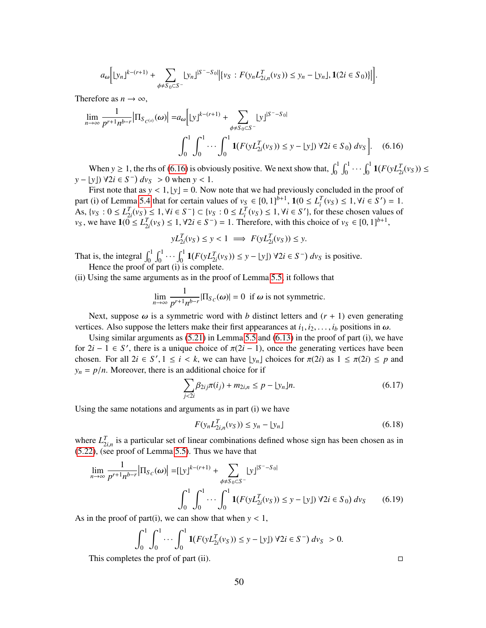$$
a_{\omega} \Big[ \lfloor y_n \rfloor^{k-(r+1)} + \sum_{\phi \neq S_0 \subset S^-} \lfloor y_n \rfloor^{|S^- - S_0|} \Big| \{ v_S : F(y_n L_{2i,n}^T(v_S)) \leq y_n - \lfloor y_n \rfloor, \mathbf{1}(2i \in S_0) \} \Big| \Big].
$$

Therefore as  $n \to \infty$ ,

$$
\lim_{n \to \infty} \frac{1}{p^{r+1} n^{b-r}} |\Pi_{S_{C^{(s)}}}(\omega)| = a_{\omega} \Big[ |y|^{k-(r+1)} + \sum_{\phi \neq S_0 \subset S^-} |y|^{|S^- - S_0|} \Big]
$$
  

$$
\int_0^1 \int_0^1 \cdots \int_0^1 \mathbf{1} (F(y L_{2i}^T(v_S)) \le y - |y|) \, \forall 2i \in S_0) \, dv_S \Big]. \tag{6.16}
$$

When  $y \ge 1$ , the rhs of [\(6.16\)](#page-49-0) is obviously positive. We next show that,  $\int_0^1 \int_0^1 \cdots \int_0^1 \mathbf{1}(F(yL_{2i}^T(v_S)) \le$  $y - [y]$   $\forall 2i \in S^ dv_S > 0$  when  $y < 1$ .<br>First note that as  $y < 1$ ,  $|y| = 0$ . Now

First note that as  $y < 1$ ,  $|y| = 0$ . Now note that we had previously concluded in the proof of (i) of Lemma 5.4 that for certain values of  $y_0 \in [0, 11^{b+1}, 10] < L^T(y_0) < 1$ ,  $y_i \in S'$ . part (i) of Lemma [5.4](#page-25-2) that for certain values of  $v_S \in [0, 1]^{b+1}$ ,  $\mathbf{1}(0 \le L_i^T(v_S) \le 1, \forall i \in S') = 1$ .<br>As  $f v_S : 0 \le L_i^T(v_S) \le 1$ ,  $\forall i \in S^{-1} \subset f v_S : 0 \le L_i^T(v_S) \le 1$ ,  $\forall i \in S'$ , for these chosen values of As,  $\{v_S : 0 \le L_{2i}^T(v_S) \le 1, \forall i \in S^- \} \subset \{v_S : 0 \le L_i^T(v_S) \le 1, \forall i \in S' \}$ , for these chosen values of  $v_S$  we have  $1(0 < I^T(v_S) < 1 \forall i \in S^-) = 1$ . Therefore, with this choice of  $v_S \in [0, 1]^{b+1}$ *v*<sub>*S*</sub>, we have  $1(0 \text{ ≤ } L_{2i}^T(v_S) \text{ ≤ } 1, \forall 2i \in S^-) = 1$ . Therefore, with this choice of *v<sub>S</sub>* ∈ [0, 1]<sup>*b*+1</sup>,

<span id="page-49-0"></span>
$$
yL_{2i}^T(v_S) \le y < 1 \implies F(yL_{2i}^T(v_S)) \le y.
$$

That is, the integral  $\int_0^1 \int_0^1 \cdots \int_0^1 \mathbf{1}(F(yL_{2i}^T(v_S)) \leq y - \lfloor y \rfloor) \ \forall 2i \in S^- \text{ and } v_S$  is positive. Hence the proof of part (i) is complete.

(ii) Using the same arguments as in the proof of Lemma [5.5,](#page-28-3) it follows that

$$
\lim_{n \to \infty} \frac{1}{p^{r+1} n^{b-r}} |\Pi_{S_C}(\omega)| = 0 \text{ if } \omega \text{ is not symmetric.}
$$

Next, suppose  $\omega$  is a symmetric word with *b* distinct letters and  $(r + 1)$  even generating vertices. Also suppose the letters make their first appearances at  $i_1, i_2, \ldots, i_b$  positions in  $\omega$ .

Using similar arguments as  $(5.21)$  in Lemma [5.5](#page-28-3) and  $(6.13)$  in the proof of part (i), we have for  $2i - 1 \in S'$ , there is a unique choice of  $\pi(2i - 1)$ , once the generating vertices have been<br>chosen. For all  $2i \in S'$ ,  $1 \le i \le k$ , we can have by Leboices for  $\pi(2i)$  as  $1 \le \pi(2i) \le n$  and chosen. For all  $2i \in S', 1 \le i \le k$ , we can have  $\lfloor y_n \rfloor$  choices for  $\pi(2i)$  as  $1 \le \pi(2i) \le p$  and  $y_n = n/n$ . Moreover, there is an additional choice for if  $y_n = p/n$ . Moreover, there is an additional choice for if

$$
\sum_{j < 2i} \beta_{2ij} \pi(i_j) + m_{2i,n} \le p - \lfloor y_n \rfloor n. \tag{6.17}
$$

Using the same notations and arguments as in part (i) we have

$$
F(y_n L_{2i,n}^T(v_S)) \le y_n - \lfloor y_n \rfloor \tag{6.18}
$$

where  $L_{i,n}^T$  is a particular set of linear combinations defined whose sign has been chosen as in  $(5.22)$ , (see proof of Lemma [5.5\)](#page-28-3). Thus we have that

$$
\lim_{n \to \infty} \frac{1}{p^{r+1} n^{b-r}} |\Pi_{S_C}(\omega)| = [\lfloor y \rfloor^{k-(r+1)} + \sum_{\phi \neq S_0 \subset S^-} \lfloor y \rfloor^{|S^- - S_0|} \n\int_0^1 \int_0^1 \cdots \int_0^1 \mathbf{1}(F(yL_{2i}^T(v_S)) \leq y - \lfloor y \rfloor) \, \forall 2i \in S_0) \, dv_S \tag{6.19}
$$

As in the proof of part(i), we can show that when  $y < 1$ ,

$$
\int_0^1 \int_0^1 \cdots \int_0^1 \mathbf{1}(F(yL_{2i}^T(v_S)) \le y - \lfloor y \rfloor) \, \forall 2i \in S^-) \, dv_S \ > 0.
$$

This completes the prof of part (ii).  $\Box$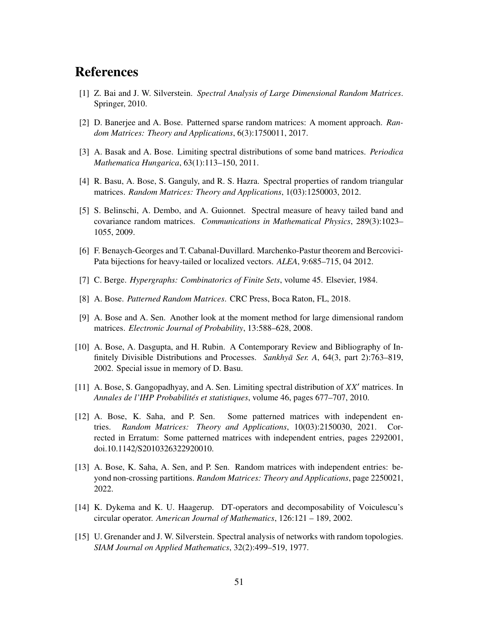# **References**

- <span id="page-50-8"></span>[1] Z. Bai and J. W. Silverstein. *Spectral Analysis of Large Dimensional Random Matrices*. Springer, 2010.
- <span id="page-50-7"></span>[2] D. Banerjee and A. Bose. Patterned sparse random matrices: A moment approach. *Random Matrices: Theory and Applications*, 6(3):1750011, 2017.
- <span id="page-50-14"></span>[3] A. Basak and A. Bose. Limiting spectral distributions of some band matrices. *Periodica Mathematica Hungarica*, 63(1):113–150, 2011.
- <span id="page-50-12"></span>[4] R. Basu, A. Bose, S. Ganguly, and R. S. Hazra. Spectral properties of random triangular matrices. *Random Matrices: Theory and Applications*, 1(03):1250003, 2012.
- <span id="page-50-2"></span>[5] S. Belinschi, A. Dembo, and A. Guionnet. Spectral measure of heavy tailed band and covariance random matrices. *Communications in Mathematical Physics*, 289(3):1023– 1055, 2009.
- <span id="page-50-4"></span>[6] F. Benaych-Georges and T. Cabanal-Duvillard. Marchenko-Pastur theorem and Bercovici-Pata bijections for heavy-tailed or localized vectors. *ALEA*, 9:685–715, 04 2012.
- <span id="page-50-13"></span>[7] C. Berge. *Hypergraphs: Combinatorics of Finite Sets*, volume 45. Elsevier, 1984.
- <span id="page-50-9"></span>[8] A. Bose. *Patterned Random Matrices*. CRC Press, Boca Raton, FL, 2018.
- <span id="page-50-10"></span>[9] A. Bose and A. Sen. Another look at the moment method for large dimensional random matrices. *Electronic Journal of Probability*, 13:588–628, 2008.
- <span id="page-50-11"></span>[10] A. Bose, A. Dasgupta, and H. Rubin. A Contemporary Review and Bibliography of Infinitely Divisible Distributions and Processes. *Sankhyā Ser. A*, 64(3, part 2):763–819, 2002. Special issue in memory of D. Basu.
- <span id="page-50-0"></span>[11] A. Bose, S. Gangopadhyay, and A. Sen. Limiting spectral distribution of *XX*<sup>0</sup> matrices. In *Annales de l'IHP Probabilit´es et statistiques*, volume 46, pages 677–707, 2010.
- <span id="page-50-6"></span>[12] A. Bose, K. Saha, and P. Sen. Some patterned matrices with independent entries. *Random Matrices: Theory and Applications*, 10(03):2150030, 2021. Corrected in Erratum: Some patterned matrices with independent entries, pages 2292001, doi.10.1142/S2010326322920010.
- <span id="page-50-3"></span>[13] A. Bose, K. Saha, A. Sen, and P. Sen. Random matrices with independent entries: beyond non-crossing partitions. *Random Matrices: Theory and Applications*, page 2250021, 2022.
- <span id="page-50-5"></span>[14] K. Dykema and K. U. Haagerup. DT-operators and decomposability of Voiculescu's circular operator. *American Journal of Mathematics*, 126:121 – 189, 2002.
- <span id="page-50-1"></span>[15] U. Grenander and J. W. Silverstein. Spectral analysis of networks with random topologies. *SIAM Journal on Applied Mathematics*, 32(2):499–519, 1977.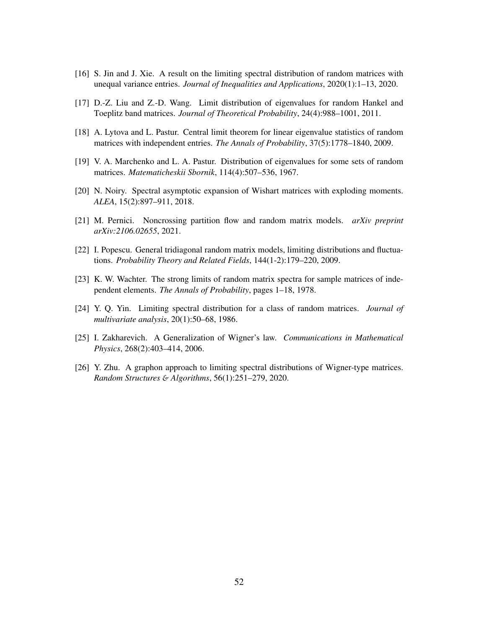- <span id="page-51-8"></span>[16] S. Jin and J. Xie. A result on the limiting spectral distribution of random matrices with unequal variance entries. *Journal of Inequalities and Applications*, 2020(1):1–13, 2020.
- <span id="page-51-9"></span>[17] D.-Z. Liu and Z.-D. Wang. Limit distribution of eigenvalues for random Hankel and Toeplitz band matrices. *Journal of Theoretical Probability*, 24(4):988–1001, 2011.
- <span id="page-51-6"></span>[18] A. Lytova and L. Pastur. Central limit theorem for linear eigenvalue statistics of random matrices with independent entries. *The Annals of Probability*, 37(5):1778–1840, 2009.
- <span id="page-51-0"></span>[19] V. A. Marchenko and L. A. Pastur. Distribution of eigenvalues for some sets of random matrices. *Matematicheskii Sbornik*, 114(4):507–536, 1967.
- <span id="page-51-4"></span>[20] N. Noiry. Spectral asymptotic expansion of Wishart matrices with exploding moments. *ALEA*, 15(2):897–911, 2018.
- <span id="page-51-5"></span>[21] M. Pernici. Noncrossing partition flow and random matrix models. *arXiv preprint arXiv:2106.02655*, 2021.
- <span id="page-51-10"></span>[22] I. Popescu. General tridiagonal random matrix models, limiting distributions and fluctuations. *Probability Theory and Related Fields*, 144(1-2):179–220, 2009.
- <span id="page-51-1"></span>[23] K. W. Wachter. The strong limits of random matrix spectra for sample matrices of independent elements. *The Annals of Probability*, pages 1–18, 1978.
- <span id="page-51-2"></span>[24] Y. Q. Yin. Limiting spectral distribution for a class of random matrices. *Journal of multivariate analysis*, 20(1):50–68, 1986.
- <span id="page-51-3"></span>[25] I. Zakharevich. A Generalization of Wigner's law. *Communications in Mathematical Physics*, 268(2):403–414, 2006.
- <span id="page-51-7"></span>[26] Y. Zhu. A graphon approach to limiting spectral distributions of Wigner-type matrices. *Random Structures* & *Algorithms*, 56(1):251–279, 2020.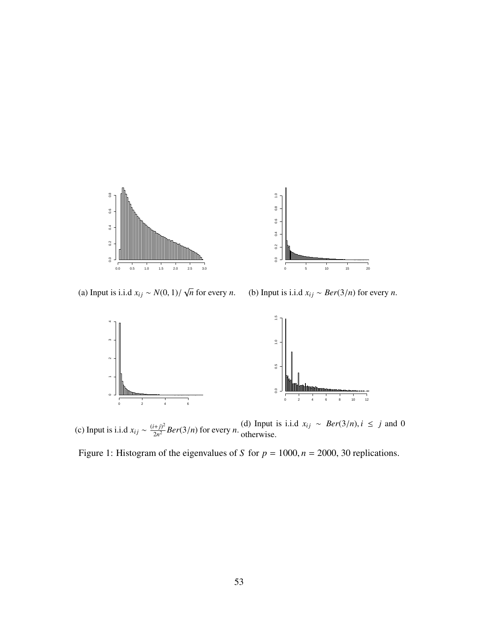<span id="page-52-0"></span>

(a) Input is i.i.d  $x_{ij} \sim N(0, 1) / \sqrt{2}$ *n* for every *n*.

(b) Input is i.i.d  $x_{ij} \sim Ber(3/n)$  for every *n*.



(c) Input is i.i.d  $x_{ij} \sim \frac{(i+j)^2}{2n^2}$  $\frac{(d)}{2n^2}$  *Ber*(3/*n*) for every *n*. (d) Input is i.i.d  $x_{ij}$  ∼ *Ber*(3/*n*), *i* ≤ *j* and 0

Figure 1: Histogram of the eigenvalues of *S* for  $p = 1000$ ,  $n = 2000$ , 30 replications.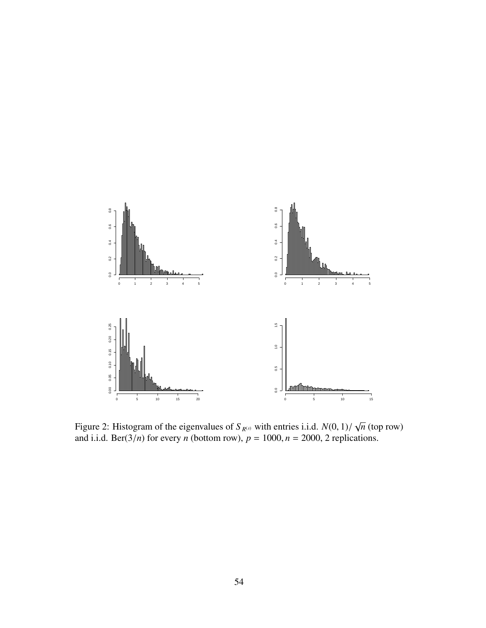<span id="page-53-0"></span>

Figure 2: Histogram of the eigenvalues of  $S_{R^{(s)}}$  with entries i.i.d.  $N(0, 1)/$ <br>and i.i.d. Ber(3/n) for every *n* (bottom row),  $n = 1000$ ,  $n = 2000$ , 2 replic √ *n* (top row) and i.i.d. Ber( $3/n$ ) for every *n* (bottom row),  $p = 1000$ ,  $n = 2000$ , 2 replications.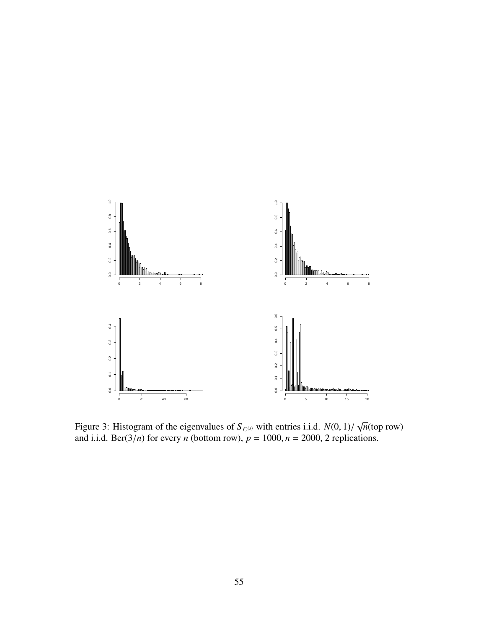<span id="page-54-0"></span>

Figure 3: Histogram of the eigenvalues of  $S_{C^{(s)}}$  with entries i.i.d.  $N(0, 1)/$ <br>and i.i.d. Ber(3/n) for every *n* (bottom row),  $n = 1000$ ,  $n = 2000$ , 2 replicts √ *n*(top row) and i.i.d. Ber( $3/n$ ) for every *n* (bottom row),  $p = 1000$ ,  $n = 2000$ , 2 replications.